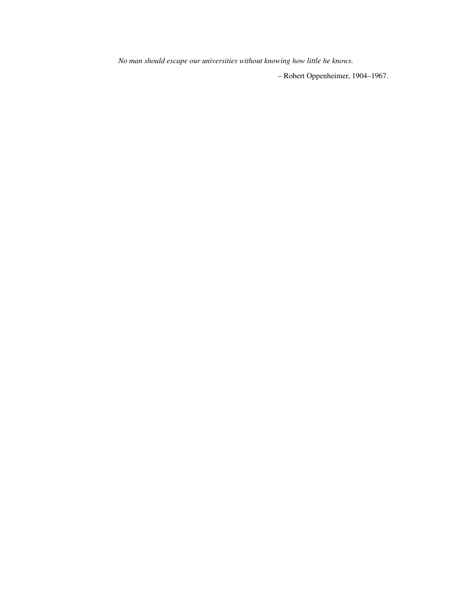*No man should escape our universities without knowing how little he knows.*

– Robert Oppenheimer, 1904–1967.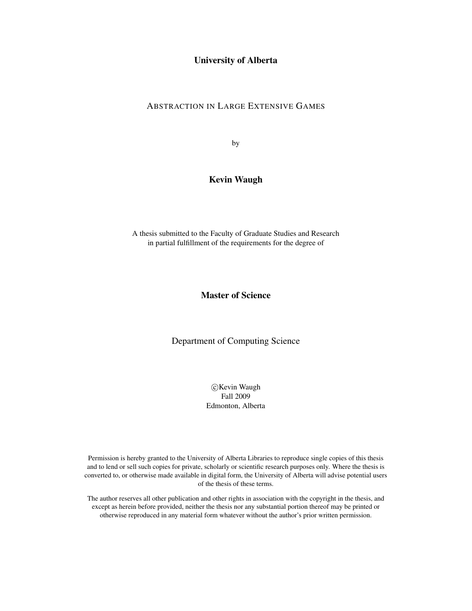### University of Alberta

### ABSTRACTION IN LARGE EXTENSIVE GAMES

by

### Kevin Waugh

A thesis submitted to the Faculty of Graduate Studies and Research in partial fulfillment of the requirements for the degree of

### Master of Science

Department of Computing Science

 c Kevin Waugh Fall 2009 Edmonton, Alberta

Permission is hereby granted to the University of Alberta Libraries to reproduce single copies of this thesis and to lend or sell such copies for private, scholarly or scientific research purposes only. Where the thesis is converted to, or otherwise made available in digital form, the University of Alberta will advise potential users of the thesis of these terms.

The author reserves all other publication and other rights in association with the copyright in the thesis, and except as herein before provided, neither the thesis nor any substantial portion thereof may be printed or otherwise reproduced in any material form whatever without the author's prior written permission.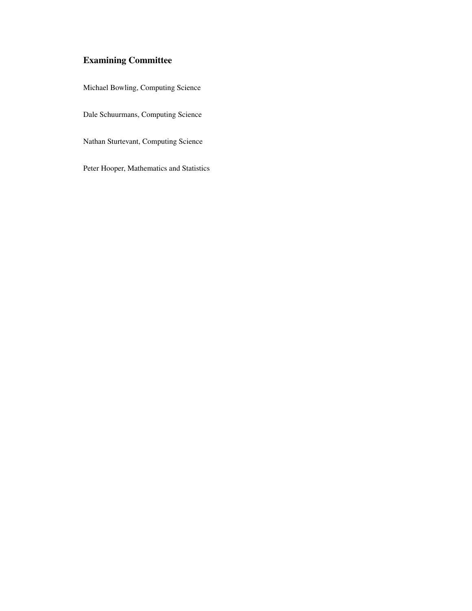## Examining Committee

Michael Bowling, Computing Science

Dale Schuurmans, Computing Science

Nathan Sturtevant, Computing Science

Peter Hooper, Mathematics and Statistics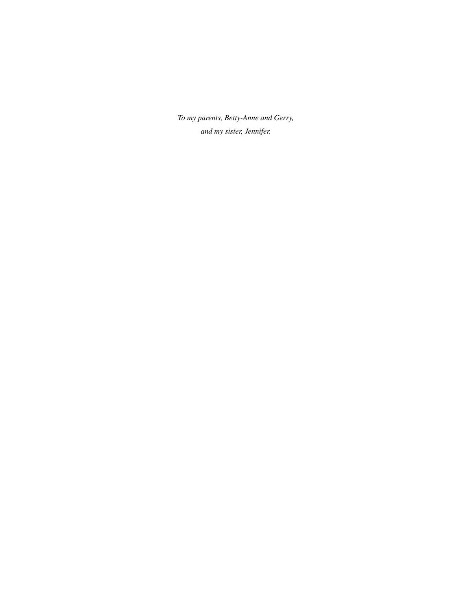*To my parents, Betty-Anne and Gerry, and my sister, Jennifer.*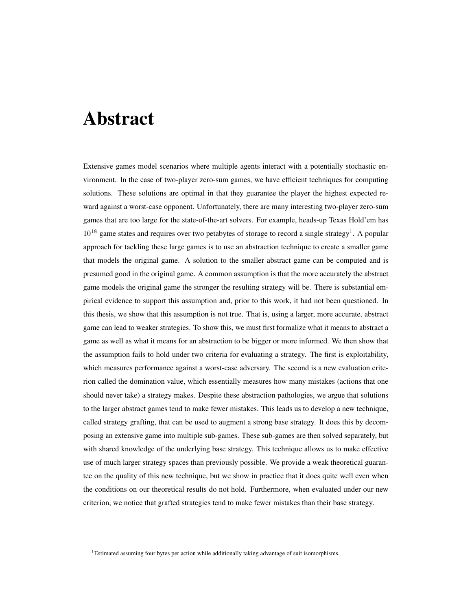## Abstract

Extensive games model scenarios where multiple agents interact with a potentially stochastic environment. In the case of two-player zero-sum games, we have efficient techniques for computing solutions. These solutions are optimal in that they guarantee the player the highest expected reward against a worst-case opponent. Unfortunately, there are many interesting two-player zero-sum games that are too large for the state-of-the-art solvers. For example, heads-up Texas Hold'em has  $10^{18}$  game states and requires over two petabytes of storage to record a single strategy<sup>1</sup>. A popular approach for tackling these large games is to use an abstraction technique to create a smaller game that models the original game. A solution to the smaller abstract game can be computed and is presumed good in the original game. A common assumption is that the more accurately the abstract game models the original game the stronger the resulting strategy will be. There is substantial empirical evidence to support this assumption and, prior to this work, it had not been questioned. In this thesis, we show that this assumption is not true. That is, using a larger, more accurate, abstract game can lead to weaker strategies. To show this, we must first formalize what it means to abstract a game as well as what it means for an abstraction to be bigger or more informed. We then show that the assumption fails to hold under two criteria for evaluating a strategy. The first is exploitability, which measures performance against a worst-case adversary. The second is a new evaluation criterion called the domination value, which essentially measures how many mistakes (actions that one should never take) a strategy makes. Despite these abstraction pathologies, we argue that solutions to the larger abstract games tend to make fewer mistakes. This leads us to develop a new technique, called strategy grafting, that can be used to augment a strong base strategy. It does this by decomposing an extensive game into multiple sub-games. These sub-games are then solved separately, but with shared knowledge of the underlying base strategy. This technique allows us to make effective use of much larger strategy spaces than previously possible. We provide a weak theoretical guarantee on the quality of this new technique, but we show in practice that it does quite well even when the conditions on our theoretical results do not hold. Furthermore, when evaluated under our new criterion, we notice that grafted strategies tend to make fewer mistakes than their base strategy.

 $1<sup>1</sup>$ Estimated assuming four bytes per action while additionally taking advantage of suit isomorphisms.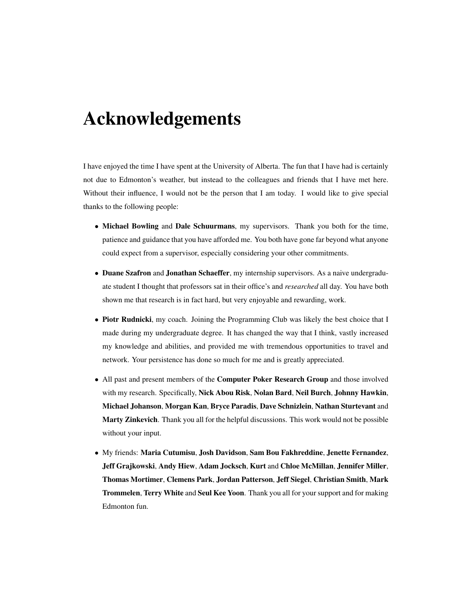## Acknowledgements

I have enjoyed the time I have spent at the University of Alberta. The fun that I have had is certainly not due to Edmonton's weather, but instead to the colleagues and friends that I have met here. Without their influence, I would not be the person that I am today. I would like to give special thanks to the following people:

- Michael Bowling and Dale Schuurmans, my supervisors. Thank you both for the time, patience and guidance that you have afforded me. You both have gone far beyond what anyone could expect from a supervisor, especially considering your other commitments.
- Duane Szafron and Jonathan Schaeffer, my internship supervisors. As a naive undergraduate student I thought that professors sat in their office's and *researched* all day. You have both shown me that research is in fact hard, but very enjoyable and rewarding, work.
- Piotr Rudnicki, my coach. Joining the Programming Club was likely the best choice that I made during my undergraduate degree. It has changed the way that I think, vastly increased my knowledge and abilities, and provided me with tremendous opportunities to travel and network. Your persistence has done so much for me and is greatly appreciated.
- All past and present members of the Computer Poker Research Group and those involved with my research. Specifically, Nick Abou Risk, Nolan Bard, Neil Burch, Johnny Hawkin, Michael Johanson, Morgan Kan, Bryce Paradis, Dave Schnizlein, Nathan Sturtevant and Marty Zinkevich. Thank you all for the helpful discussions. This work would not be possible without your input.
- My friends: Maria Cutumisu, Josh Davidson, Sam Bou Fakhreddine, Jenette Fernandez, Jeff Grajkowski, Andy Hiew, Adam Jocksch, Kurt and Chloe McMillan, Jennifer Miller, Thomas Mortimer, Clemens Park, Jordan Patterson, Jeff Siegel, Christian Smith, Mark Trommelen, Terry White and Seul Kee Yoon. Thank you all for your support and for making Edmonton fun.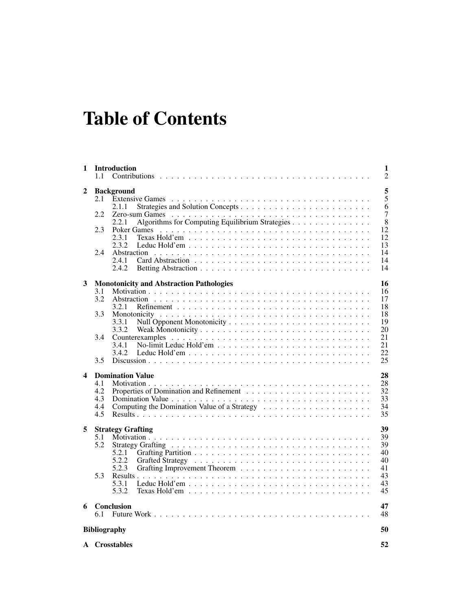# Table of Contents

| 1                       | 1.1                             | <b>Introduction</b>                                                                                                     | 1<br>$\overline{2}$                                        |
|-------------------------|---------------------------------|-------------------------------------------------------------------------------------------------------------------------|------------------------------------------------------------|
| 2                       | 2.1<br>2.2<br>2.3<br>2.4        | <b>Background</b><br>2.1.1<br>Algorithms for Computing Equilibrium Strategies<br>2.2.1<br>Poker Games<br>2.3.1<br>2.3.2 | 5<br>5<br>6<br>$\overline{7}$<br>8<br>12<br>12<br>13<br>14 |
| 3                       | 3.1                             | 2.4.1<br>2.4.2<br><b>Monotonicity and Abstraction Pathologies</b>                                                       | 14<br>14<br>16<br>16                                       |
|                         | 3.2                             | 3.2.1                                                                                                                   | 17<br>18                                                   |
|                         | 3.3                             | 3.3.1<br>3.3.2                                                                                                          | 18<br>19<br>20                                             |
|                         | 3.4                             | 3.4.1<br>3.4.2                                                                                                          | 21<br>21<br>22                                             |
|                         | 3.5                             |                                                                                                                         | 25                                                         |
| $\overline{\mathbf{4}}$ | 4.1<br>4.2<br>4.3<br>4.4<br>4.5 | <b>Domination Value</b>                                                                                                 | 28<br>28<br>32<br>33<br>34<br>35                           |
| 5                       | 5.1<br>5.2<br>5.3               | <b>Strategy Grafting</b><br>5.2.1<br>5.2.2<br>5.2.3<br>5.3.1                                                            | 39<br>39<br>39<br>40<br>40<br>41<br>43<br>43               |
|                         |                                 | 5.3.2<br>Texas Hold'em $\ldots \ldots \ldots \ldots \ldots \ldots \ldots \ldots \ldots \ldots \ldots$                   | 45                                                         |
| 6                       | 6.1                             | Conclusion                                                                                                              | 47<br>48                                                   |
|                         |                                 | <b>Bibliography</b>                                                                                                     | 50                                                         |
|                         |                                 | A Crosstables                                                                                                           | 52                                                         |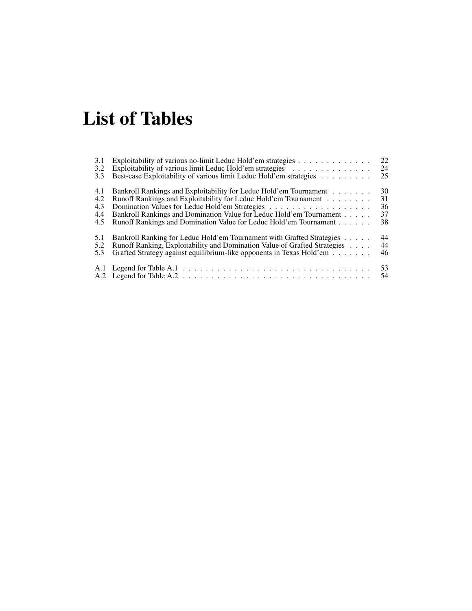# List of Tables

| 3.1 | Exploitability of various no-limit Leduc Hold'em strategies               | 22       |
|-----|---------------------------------------------------------------------------|----------|
| 3.2 | Exploitability of various limit Leduc Hold'em strategies                  | 24       |
| 3.3 | Best-case Exploitability of various limit Leduc Hold'em strategies        | 25       |
| 4.1 | Bankroll Rankings and Exploitability for Leduc Hold'em Tournament         | 30       |
| 4.2 | Runoff Rankings and Exploitability for Leduc Hold'em Tournament           | 31       |
| 4.3 |                                                                           | 36       |
| 4.4 | Bankroll Rankings and Domination Value for Leduc Hold'em Tournament       | 37       |
| 4.5 | Runoff Rankings and Domination Value for Leduc Hold'em Tournament         | 38       |
| 5.1 | Bankroll Ranking for Leduc Hold'em Tournament with Grafted Strategies     | 44       |
| 5.2 | Runoff Ranking, Exploitability and Domination Value of Grafted Strategies | 44       |
| 5.3 | Grafted Strategy against equilibrium-like opponents in Texas Hold'em      | 46       |
|     |                                                                           | 53<br>54 |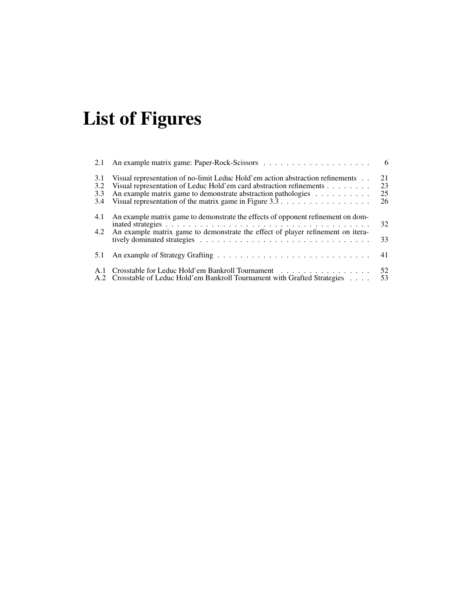# List of Figures

| 2.1                      |                                                                                                                                                                                                                                                                                                                       | - 6                  |
|--------------------------|-----------------------------------------------------------------------------------------------------------------------------------------------------------------------------------------------------------------------------------------------------------------------------------------------------------------------|----------------------|
| 3.1<br>3.2<br>3.3<br>3.4 | Visual representation of no-limit Leduc Hold'em action abstraction refinements<br>Visual representation of Leduc Hold'em card abstraction refinements<br>An example matrix game to demonstrate abstraction pathologies<br>Visual representation of the matrix game in Figure $3.3 \ldots \ldots \ldots \ldots \ldots$ | 21<br>23<br>25<br>26 |
| 4.1<br>4.2               | An example matrix game to demonstrate the effects of opponent refinement on dom-<br>An example matrix game to demonstrate the effect of player refinement on itera-                                                                                                                                                   | 32<br>33             |
| 5.1                      |                                                                                                                                                                                                                                                                                                                       | 41                   |
| -A.1                     | Crosstable for Leduc Hold'em Bankroll Tournament<br>A.2 Crosstable of Leduc Hold'em Bankroll Tournament with Grafted Strategies                                                                                                                                                                                       | 52<br>53             |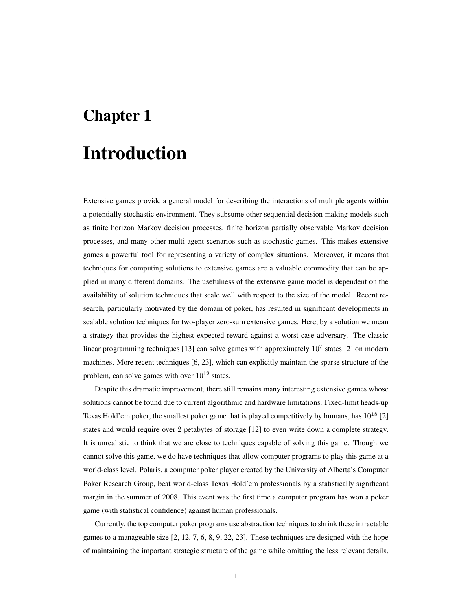# Chapter 1

## Introduction

Extensive games provide a general model for describing the interactions of multiple agents within a potentially stochastic environment. They subsume other sequential decision making models such as finite horizon Markov decision processes, finite horizon partially observable Markov decision processes, and many other multi-agent scenarios such as stochastic games. This makes extensive games a powerful tool for representing a variety of complex situations. Moreover, it means that techniques for computing solutions to extensive games are a valuable commodity that can be applied in many different domains. The usefulness of the extensive game model is dependent on the availability of solution techniques that scale well with respect to the size of the model. Recent research, particularly motivated by the domain of poker, has resulted in significant developments in scalable solution techniques for two-player zero-sum extensive games. Here, by a solution we mean a strategy that provides the highest expected reward against a worst-case adversary. The classic linear programming techniques [13] can solve games with approximately  $10^7$  states [2] on modern machines. More recent techniques [6, 23], which can explicitly maintain the sparse structure of the problem, can solve games with over  $10^{12}$  states.

Despite this dramatic improvement, there still remains many interesting extensive games whose solutions cannot be found due to current algorithmic and hardware limitations. Fixed-limit heads-up Texas Hold'em poker, the smallest poker game that is played competitively by humans, has  $10^{18}$  [2] states and would require over 2 petabytes of storage [12] to even write down a complete strategy. It is unrealistic to think that we are close to techniques capable of solving this game. Though we cannot solve this game, we do have techniques that allow computer programs to play this game at a world-class level. Polaris, a computer poker player created by the University of Alberta's Computer Poker Research Group, beat world-class Texas Hold'em professionals by a statistically significant margin in the summer of 2008. This event was the first time a computer program has won a poker game (with statistical confidence) against human professionals.

Currently, the top computer poker programs use abstraction techniques to shrink these intractable games to a manageable size [2, 12, 7, 6, 8, 9, 22, 23]. These techniques are designed with the hope of maintaining the important strategic structure of the game while omitting the less relevant details.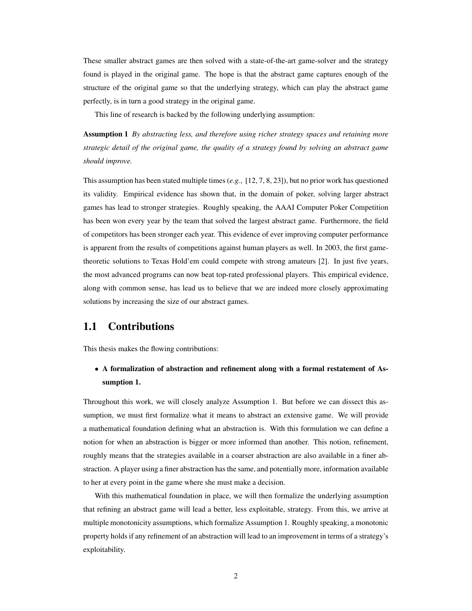These smaller abstract games are then solved with a state-of-the-art game-solver and the strategy found is played in the original game. The hope is that the abstract game captures enough of the structure of the original game so that the underlying strategy, which can play the abstract game perfectly, is in turn a good strategy in the original game.

This line of research is backed by the following underlying assumption:

Assumption 1 *By abstracting less, and therefore using richer strategy spaces and retaining more strategic detail of the original game, the quality of a strategy found by solving an abstract game should improve.*

This assumption has been stated multiple times (*e.g.*, [12, 7, 8, 23]), but no prior work has questioned its validity. Empirical evidence has shown that, in the domain of poker, solving larger abstract games has lead to stronger strategies. Roughly speaking, the AAAI Computer Poker Competition has been won every year by the team that solved the largest abstract game. Furthermore, the field of competitors has been stronger each year. This evidence of ever improving computer performance is apparent from the results of competitions against human players as well. In 2003, the first gametheoretic solutions to Texas Hold'em could compete with strong amateurs [2]. In just five years, the most advanced programs can now beat top-rated professional players. This empirical evidence, along with common sense, has lead us to believe that we are indeed more closely approximating solutions by increasing the size of our abstract games.

### 1.1 Contributions

This thesis makes the flowing contributions:

• A formalization of abstraction and refinement along with a formal restatement of Assumption 1.

Throughout this work, we will closely analyze Assumption 1. But before we can dissect this assumption, we must first formalize what it means to abstract an extensive game. We will provide a mathematical foundation defining what an abstraction is. With this formulation we can define a notion for when an abstraction is bigger or more informed than another. This notion, refinement, roughly means that the strategies available in a coarser abstraction are also available in a finer abstraction. A player using a finer abstraction has the same, and potentially more, information available to her at every point in the game where she must make a decision.

With this mathematical foundation in place, we will then formalize the underlying assumption that refining an abstract game will lead a better, less exploitable, strategy. From this, we arrive at multiple monotonicity assumptions, which formalize Assumption 1. Roughly speaking, a monotonic property holds if any refinement of an abstraction will lead to an improvement in terms of a strategy's exploitability.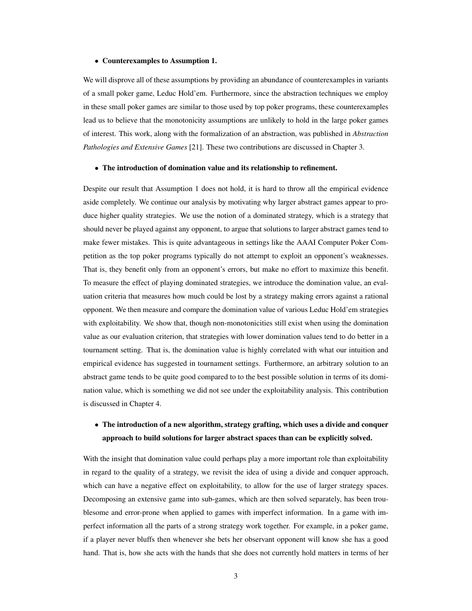#### • Counterexamples to Assumption 1.

We will disprove all of these assumptions by providing an abundance of counterexamples in variants of a small poker game, Leduc Hold'em. Furthermore, since the abstraction techniques we employ in these small poker games are similar to those used by top poker programs, these counterexamples lead us to believe that the monotonicity assumptions are unlikely to hold in the large poker games of interest. This work, along with the formalization of an abstraction, was published in *Abstraction Pathologies and Extensive Games* [21]. These two contributions are discussed in Chapter 3.

#### • The introduction of domination value and its relationship to refinement.

Despite our result that Assumption 1 does not hold, it is hard to throw all the empirical evidence aside completely. We continue our analysis by motivating why larger abstract games appear to produce higher quality strategies. We use the notion of a dominated strategy, which is a strategy that should never be played against any opponent, to argue that solutions to larger abstract games tend to make fewer mistakes. This is quite advantageous in settings like the AAAI Computer Poker Competition as the top poker programs typically do not attempt to exploit an opponent's weaknesses. That is, they benefit only from an opponent's errors, but make no effort to maximize this benefit. To measure the effect of playing dominated strategies, we introduce the domination value, an evaluation criteria that measures how much could be lost by a strategy making errors against a rational opponent. We then measure and compare the domination value of various Leduc Hold'em strategies with exploitability. We show that, though non-monotonicities still exist when using the domination value as our evaluation criterion, that strategies with lower domination values tend to do better in a tournament setting. That is, the domination value is highly correlated with what our intuition and empirical evidence has suggested in tournament settings. Furthermore, an arbitrary solution to an abstract game tends to be quite good compared to to the best possible solution in terms of its domination value, which is something we did not see under the exploitability analysis. This contribution is discussed in Chapter 4.

### • The introduction of a new algorithm, strategy grafting, which uses a divide and conquer approach to build solutions for larger abstract spaces than can be explicitly solved.

With the insight that domination value could perhaps play a more important role than exploitability in regard to the quality of a strategy, we revisit the idea of using a divide and conquer approach, which can have a negative effect on exploitability, to allow for the use of larger strategy spaces. Decomposing an extensive game into sub-games, which are then solved separately, has been troublesome and error-prone when applied to games with imperfect information. In a game with imperfect information all the parts of a strong strategy work together. For example, in a poker game, if a player never bluffs then whenever she bets her observant opponent will know she has a good hand. That is, how she acts with the hands that she does not currently hold matters in terms of her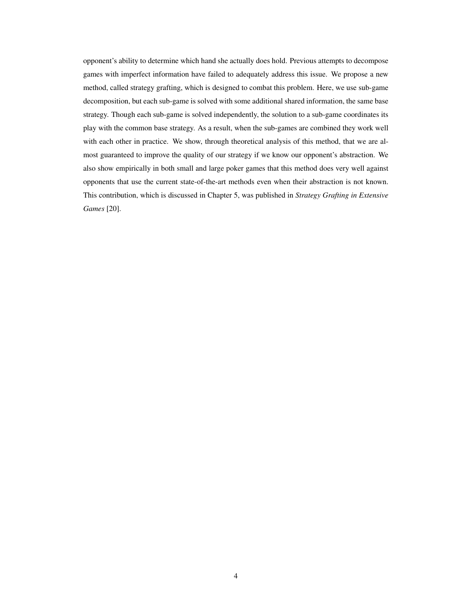opponent's ability to determine which hand she actually does hold. Previous attempts to decompose games with imperfect information have failed to adequately address this issue. We propose a new method, called strategy grafting, which is designed to combat this problem. Here, we use sub-game decomposition, but each sub-game is solved with some additional shared information, the same base strategy. Though each sub-game is solved independently, the solution to a sub-game coordinates its play with the common base strategy. As a result, when the sub-games are combined they work well with each other in practice. We show, through theoretical analysis of this method, that we are almost guaranteed to improve the quality of our strategy if we know our opponent's abstraction. We also show empirically in both small and large poker games that this method does very well against opponents that use the current state-of-the-art methods even when their abstraction is not known. This contribution, which is discussed in Chapter 5, was published in *Strategy Grafting in Extensive Games* [20].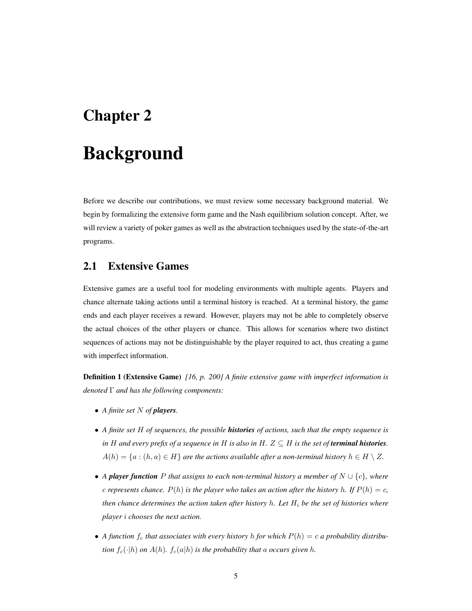## Chapter 2

## Background

Before we describe our contributions, we must review some necessary background material. We begin by formalizing the extensive form game and the Nash equilibrium solution concept. After, we will review a variety of poker games as well as the abstraction techniques used by the state-of-the-art programs.

## 2.1 Extensive Games

Extensive games are a useful tool for modeling environments with multiple agents. Players and chance alternate taking actions until a terminal history is reached. At a terminal history, the game ends and each player receives a reward. However, players may not be able to completely observe the actual choices of the other players or chance. This allows for scenarios where two distinct sequences of actions may not be distinguishable by the player required to act, thus creating a game with imperfect information.

Definition 1 (Extensive Game) *[16, p. 200] A finite extensive game with imperfect information is denoted* Γ *and has the following components:*

- *A finite set* N *of players.*
- *A finite set* H *of sequences, the possible histories of actions, such that the empty sequence is in* H and every prefix of a sequence in H is also in H.  $Z \subseteq H$  is the set of **terminal histories**.  $A(h) = \{a : (h, a) \in H\}$  are the actions available after a non-terminal history  $h \in H \setminus Z$ .
- *A player function* P *that assigns to each non-terminal history a member of* N ∪ {c}*, where c* represents chance.  $P(h)$  is the player who takes an action after the history h. If  $P(h) = c$ , *then chance determines the action taken after history* h. Let  $H_i$  be the set of histories where *player* i *chooses the next action.*
- A function  $f_c$  that associates with every history h for which  $P(h) = c$  a probability distribu*tion*  $f_c(\cdot|h)$  *on*  $A(h)$ *.*  $f_c(a|h)$  *is the probability that* a *occurs given* h.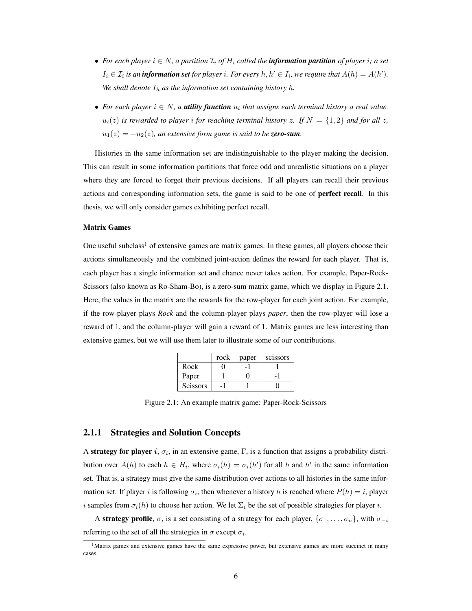- For each player  $i \in N$ , a partition  $\mathcal{I}_i$  of  $H_i$  called the **information partition** of player i; a set  $I_i \in \mathcal{I}_i$  is an **information set** for player i. For every  $h, h' \in I_i$ , we require that  $A(h) = A(h')$ . We shall denote  $I_h$  as the information set containing history h.
- For each player  $i \in N$ , a **utility function**  $u_i$  that assigns each terminal history a real value.  $u_i(z)$  is rewarded to player i for reaching terminal history z. If  $N = \{1, 2\}$  and for all z,  $u_1(z) = -u_2(z)$ , an extensive form game is said to be **zero-sum**.

Histories in the same information set are indistinguishable to the player making the decision. This can result in some information partitions that force odd and unrealistic situations on a player where they are forced to forget their previous decisions. If all players can recall their previous actions and corresponding information sets, the game is said to be one of **perfect recall**. In this thesis, we will only consider games exhibiting perfect recall.

#### Matrix Games

One useful subclass<sup>1</sup> of extensive games are matrix games. In these games, all players choose their actions simultaneously and the combined joint-action defines the reward for each player. That is, each player has a single information set and chance never takes action. For example, Paper-Rock-Scissors (also known as Ro-Sham-Bo), is a zero-sum matrix game, which we display in Figure 2.1. Here, the values in the matrix are the rewards for the row-player for each joint action. For example, if the row-player plays *Rock* and the column-player plays *paper*, then the row-player will lose a reward of 1, and the column-player will gain a reward of 1. Matrix games are less interesting than extensive games, but we will use them later to illustrate some of our contributions.

|                 | rock | paper | scissors |
|-----------------|------|-------|----------|
| Rock            |      |       |          |
| Paper           |      |       |          |
| <b>Scissors</b> |      |       |          |

Figure 2.1: An example matrix game: Paper-Rock-Scissors

#### 2.1.1 Strategies and Solution Concepts

A strategy for player i,  $\sigma_i$ , in an extensive game,  $\Gamma$ , is a function that assigns a probability distribution over  $A(h)$  to each  $h \in H_i$ , where  $\sigma_i(h) = \sigma_i(h')$  for all h and h' in the same information set. That is, a strategy must give the same distribution over actions to all histories in the same information set. If player i is following  $\sigma_i$ , then whenever a history h is reached where  $P(h) = i$ , player i samples from  $\sigma_i(h)$  to choose her action. We let  $\Sigma_i$  be the set of possible strategies for player i.

A strategy profile,  $\sigma$ , is a set consisting of a strategy for each player,  $\{\sigma_1, \ldots, \sigma_n\}$ , with  $\sigma_{-i}$ referring to the set of all the strategies in  $\sigma$  except  $\sigma_i$ .

 $1<sup>1</sup>$ Matrix games and extensive games have the same expressive power, but extensive games are more succinct in many cases.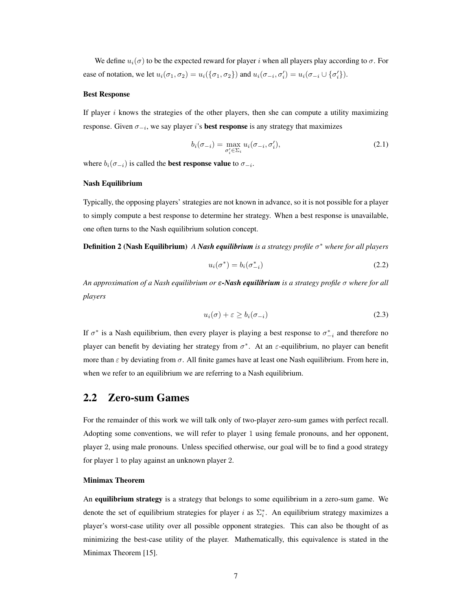We define  $u_i(\sigma)$  to be the expected reward for player i when all players play according to  $\sigma$ . For ease of notation, we let  $u_i(\sigma_1, \sigma_2) = u_i(\{\sigma_1, \sigma_2\})$  and  $u_i(\sigma_{-i}, \sigma'_i) = u_i(\sigma_{-i} \cup \{\sigma'_i\}).$ 

#### Best Response

If player  $i$  knows the strategies of the other players, then she can compute a utility maximizing response. Given  $\sigma_{-i}$ , we say player i's **best response** is any strategy that maximizes

$$
b_i(\sigma_{-i}) = \max_{\sigma'_i \in \Sigma_i} u_i(\sigma_{-i}, \sigma'_i), \tag{2.1}
$$

where  $b_i(\sigma_{-i})$  is called the **best response value** to  $\sigma_{-i}$ .

#### Nash Equilibrium

Typically, the opposing players' strategies are not known in advance, so it is not possible for a player to simply compute a best response to determine her strategy. When a best response is unavailable, one often turns to the Nash equilibrium solution concept.

Definition 2 (Nash Equilibrium) *A Nash equilibrium is a strategy profile* σ <sup>∗</sup> *where for all players*

$$
u_i(\sigma^*) = b_i(\sigma_{-i}^*)
$$
\n<sup>(2.2)</sup>

*An approximation of a Nash equilibrium or* ε*-Nash equilibrium is a strategy profile* σ *where for all players*

$$
u_i(\sigma) + \varepsilon \ge b_i(\sigma_{-i})
$$
\n(2.3)

If  $\sigma^*$  is a Nash equilibrium, then every player is playing a best response to  $\sigma_{-i}^*$  and therefore no player can benefit by deviating her strategy from  $\sigma^*$ . At an  $\varepsilon$ -equilibrium, no player can benefit more than  $\varepsilon$  by deviating from  $\sigma$ . All finite games have at least one Nash equilibrium. From here in, when we refer to an equilibrium we are referring to a Nash equilibrium.

### 2.2 Zero-sum Games

For the remainder of this work we will talk only of two-player zero-sum games with perfect recall. Adopting some conventions, we will refer to player 1 using female pronouns, and her opponent, player 2, using male pronouns. Unless specified otherwise, our goal will be to find a good strategy for player 1 to play against an unknown player 2.

#### Minimax Theorem

An equilibrium strategy is a strategy that belongs to some equilibrium in a zero-sum game. We denote the set of equilibrium strategies for player i as  $\Sigma_i^*$ . An equilibrium strategy maximizes a player's worst-case utility over all possible opponent strategies. This can also be thought of as minimizing the best-case utility of the player. Mathematically, this equivalence is stated in the Minimax Theorem [15].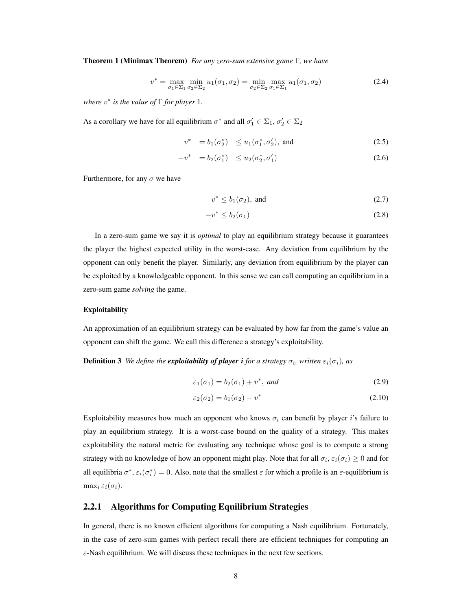Theorem 1 (Minimax Theorem) *For any zero-sum extensive game* Γ*, we have*

$$
v^* = \max_{\sigma_1 \in \Sigma_1} \min_{\sigma_2 \in \Sigma_2} u_1(\sigma_1, \sigma_2) = \min_{\sigma_2 \in \Sigma_2} \max_{\sigma_1 \in \Sigma_1} u_1(\sigma_1, \sigma_2)
$$
(2.4)

*where*  $v^*$  *is the value of*  $\Gamma$  *for player* 1*.* 

As a corollary we have for all equilibrium  $\sigma^*$  and all  $\sigma'_1 \in \Sigma_1$ ,  $\sigma'_2 \in \Sigma_2$ 

$$
v^* = b_1(\sigma_2^*) \le u_1(\sigma_1^*, \sigma_2'), \text{ and } (2.5)
$$

$$
-v^* = b_2(\sigma_1^*) \le u_2(\sigma_2^*, \sigma_1') \tag{2.6}
$$

Furthermore, for any  $\sigma$  we have

$$
v^* \le b_1(\sigma_2), \text{ and } \tag{2.7}
$$

$$
-v^* \le b_2(\sigma_1) \tag{2.8}
$$

In a zero-sum game we say it is *optimal* to play an equilibrium strategy because it guarantees the player the highest expected utility in the worst-case. Any deviation from equilibrium by the opponent can only benefit the player. Similarly, any deviation from equilibrium by the player can be exploited by a knowledgeable opponent. In this sense we can call computing an equilibrium in a zero-sum game *solving* the game.

#### Exploitability

An approximation of an equilibrium strategy can be evaluated by how far from the game's value an opponent can shift the game. We call this difference a strategy's exploitability.

#### **Definition 3** We define the **exploitability of player i** for a strategy  $\sigma_i$ , written  $\varepsilon_i(\sigma_i)$ , as

$$
\varepsilon_1(\sigma_1) = b_2(\sigma_1) + v^*, \text{ and} \tag{2.9}
$$

$$
\varepsilon_2(\sigma_2) = b_1(\sigma_2) - v^* \tag{2.10}
$$

Exploitability measures how much an opponent who knows  $\sigma_i$  can benefit by player i's failure to play an equilibrium strategy. It is a worst-case bound on the quality of a strategy. This makes exploitability the natural metric for evaluating any technique whose goal is to compute a strong strategy with no knowledge of how an opponent might play. Note that for all  $\sigma_i$ ,  $\varepsilon_i(\sigma_i) \geq 0$  and for all equilibria  $\sigma^*$ ,  $\varepsilon_i(\sigma_i^*) = 0$ . Also, note that the smallest  $\varepsilon$  for which a profile is an  $\varepsilon$ -equilibrium is  $\max_i \varepsilon_i(\sigma_i)$ .

#### 2.2.1 Algorithms for Computing Equilibrium Strategies

In general, there is no known efficient algorithms for computing a Nash equilibrium. Fortunately, in the case of zero-sum games with perfect recall there are efficient techniques for computing an  $\varepsilon$ -Nash equilibrium. We will discuss these techniques in the next few sections.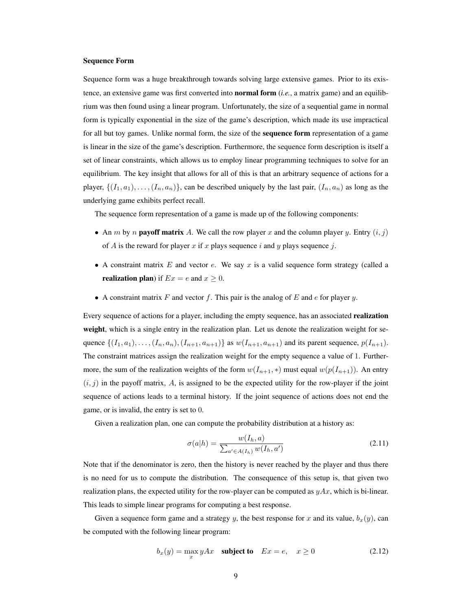#### Sequence Form

Sequence form was a huge breakthrough towards solving large extensive games. Prior to its existence, an extensive game was first converted into normal form (*i.e.*, a matrix game) and an equilibrium was then found using a linear program. Unfortunately, the size of a sequential game in normal form is typically exponential in the size of the game's description, which made its use impractical for all but toy games. Unlike normal form, the size of the **sequence form** representation of a game is linear in the size of the game's description. Furthermore, the sequence form description is itself a set of linear constraints, which allows us to employ linear programming techniques to solve for an equilibrium. The key insight that allows for all of this is that an arbitrary sequence of actions for a player,  $\{(I_1, a_1), \ldots, (I_n, a_n)\}\)$ , can be described uniquely by the last pair,  $(I_n, a_n)$  as long as the underlying game exhibits perfect recall.

The sequence form representation of a game is made up of the following components:

- An *m* by *n* **payoff matrix** A. We call the row player x and the column player y. Entry  $(i, j)$ of A is the reward for player x if x plays sequence i and y plays sequence j.
- A constraint matrix E and vector e. We say x is a valid sequence form strategy (called a **realization plan**) if  $Ex = e$  and  $x \ge 0$ .
- A constraint matrix  $F$  and vector  $f$ . This pair is the analog of  $E$  and  $e$  for player  $y$ .

Every sequence of actions for a player, including the empty sequence, has an associated **realization** weight, which is a single entry in the realization plan. Let us denote the realization weight for sequence  $\{(I_1, a_1), \ldots, (I_n, a_n), (I_{n+1}, a_{n+1})\}$  as  $w(I_{n+1}, a_{n+1})$  and its parent sequence,  $p(I_{n+1})$ . The constraint matrices assign the realization weight for the empty sequence a value of 1. Furthermore, the sum of the realization weights of the form  $w(I_{n+1}, *)$  must equal  $w(p(I_{n+1}))$ . An entry  $(i, j)$  in the payoff matrix, A, is assigned to be the expected utility for the row-player if the joint sequence of actions leads to a terminal history. If the joint sequence of actions does not end the game, or is invalid, the entry is set to 0.

Given a realization plan, one can compute the probability distribution at a history as:

$$
\sigma(a|h) = \frac{w(I_h, a)}{\sum_{a' \in A(I_h)} w(I_h, a')}
$$
\n(2.11)

Note that if the denominator is zero, then the history is never reached by the player and thus there is no need for us to compute the distribution. The consequence of this setup is, that given two realization plans, the expected utility for the row-player can be computed as  $yAx$ , which is bi-linear. This leads to simple linear programs for computing a best response.

Given a sequence form game and a strategy y, the best response for x and its value,  $b_x(y)$ , can be computed with the following linear program:

$$
b_x(y) = \max_x yAx \quad \text{subject to} \quad Ex = e, \quad x \ge 0 \tag{2.12}
$$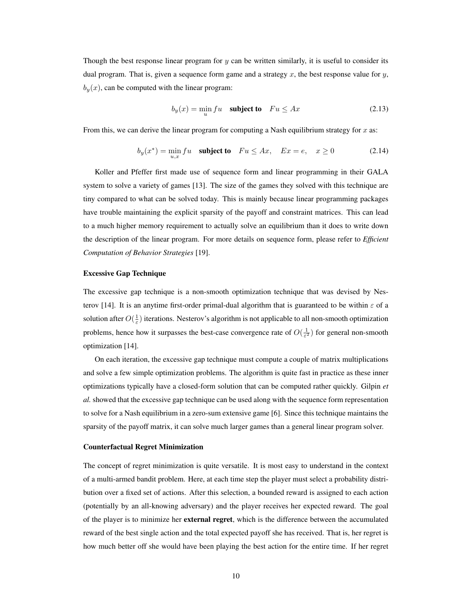Though the best response linear program for  $y$  can be written similarly, it is useful to consider its dual program. That is, given a sequence form game and a strategy  $x$ , the best response value for  $y$ ,  $b<sub>y</sub>(x)$ , can be computed with the linear program:

$$
b_y(x) = \min_u f u \quad \text{subject to} \quad Fu \leq Ax \tag{2.13}
$$

From this, we can derive the linear program for computing a Nash equilibrium strategy for  $x$  as:

$$
b_y(x^*) = \min_{u,x} fu \quad \text{subject to} \quad Fu \le Ax, \quad Ex = e, \quad x \ge 0 \tag{2.14}
$$

Koller and Pfeffer first made use of sequence form and linear programming in their GALA system to solve a variety of games [13]. The size of the games they solved with this technique are tiny compared to what can be solved today. This is mainly because linear programming packages have trouble maintaining the explicit sparsity of the payoff and constraint matrices. This can lead to a much higher memory requirement to actually solve an equilibrium than it does to write down the description of the linear program. For more details on sequence form, please refer to *Efficient Computation of Behavior Strategies* [19].

#### Excessive Gap Technique

The excessive gap technique is a non-smooth optimization technique that was devised by Nesterov [14]. It is an anytime first-order primal-dual algorithm that is guaranteed to be within  $\varepsilon$  of a solution after  $O(\frac{1}{\varepsilon})$  iterations. Nesterov's algorithm is not applicable to all non-smooth optimization problems, hence how it surpasses the best-case convergence rate of  $O(\frac{1}{\varepsilon^2})$  for general non-smooth optimization [14].

On each iteration, the excessive gap technique must compute a couple of matrix multiplications and solve a few simple optimization problems. The algorithm is quite fast in practice as these inner optimizations typically have a closed-form solution that can be computed rather quickly. Gilpin *et al.* showed that the excessive gap technique can be used along with the sequence form representation to solve for a Nash equilibrium in a zero-sum extensive game [6]. Since this technique maintains the sparsity of the payoff matrix, it can solve much larger games than a general linear program solver.

#### Counterfactual Regret Minimization

The concept of regret minimization is quite versatile. It is most easy to understand in the context of a multi-armed bandit problem. Here, at each time step the player must select a probability distribution over a fixed set of actions. After this selection, a bounded reward is assigned to each action (potentially by an all-knowing adversary) and the player receives her expected reward. The goal of the player is to minimize her external regret, which is the difference between the accumulated reward of the best single action and the total expected payoff she has received. That is, her regret is how much better off she would have been playing the best action for the entire time. If her regret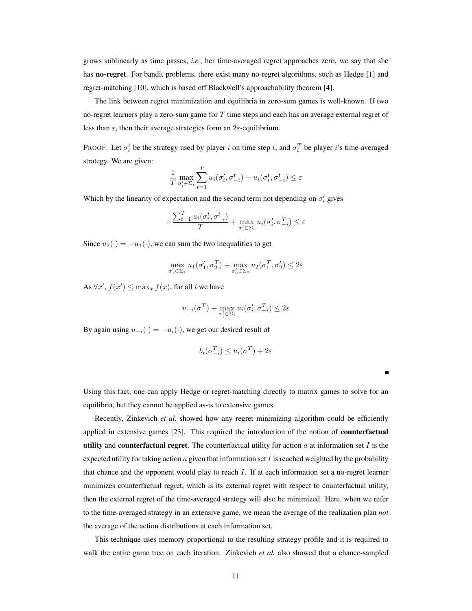grows sublinearly as time passes, *i.e.*, her time-averaged regret approaches zero, we say that she has **no-regret**. For bandit problems, there exist many no-regret algorithms, such as Hedge [1] and regret-matching [10], which is based off Blackwell's approachability theorem [4].

The link between regret minimization and equilibria in zero-sum games is well-known. If two no-regret learners play a zero-sum game for  $T$  time steps and each has an average external regret of less than  $\varepsilon$ , then their average strategies form an  $2\varepsilon$ -equilibrium.

PROOF. Let  $\sigma_i^t$  be the strategy used by player i on time step t, and  $\sigma_i^T$  be player i's time-averaged strategy. We are given:

$$
\frac{1}{T} \max_{\sigma'_i \in \Sigma_i} \sum_{t=1}^T u_i(\sigma'_i, \sigma^t_{-i}) - u_i(\sigma^t_i, \sigma^t_{-i}) \le \varepsilon
$$

Which by the linearity of expectation and the second term not depending on  $\sigma_i$  gives

$$
-\frac{\sum_{t=1}^{T} u_i(\sigma_i^t, \sigma_{-i}^t)}{T} + \max_{\sigma_i' \in \Sigma_i} u_i(\sigma_i', \sigma_{-i}^T) \le \varepsilon
$$

Since  $u_2(\cdot) = -u_1(\cdot)$ , we can sum the two inequalities to get

$$
\max_{\sigma'_1 \in \Sigma_1} u_1(\sigma'_1, \sigma_2^T) + \max_{\sigma'_2 \in \Sigma_2} u_2(\sigma_1^T, \sigma'_2) \le 2\varepsilon
$$

As  $\forall x', f(x') \leq \max_x f(x)$ , for all *i* we have

$$
u_{-i}(\sigma^T) + \max_{\sigma'_i \in \Sigma_i} u_i(\sigma'_i, \sigma^T_{-i}) \le 2\varepsilon
$$

By again using  $u_{-i}(\cdot) = -u_i(\cdot)$ , we get our desired result of

$$
b_i(\sigma_{-i}^T) \le u_i(\sigma^T) + 2\varepsilon
$$

Using this fact, one can apply Hedge or regret-matching directly to matrix games to solve for an equilibria, but they cannot be applied as-is to extensive games.

Recently, Zinkevich *et al.* showed how any regret minimizing algorithm could be efficiently applied in extensive games [23]. This required the introduction of the notion of **counterfactual** utility and counterfactual regret. The counterfactual utility for action  $a$  at information set  $I$  is the expected utility for taking action  $a$  given that information set  $I$  is reached weighted by the probability that chance and the opponent would play to reach I. If at each information set a no-regret learner minimizes counterfactual regret, which is its external regret with respect to counterfactual utility, then the external regret of the time-averaged strategy will also be minimized. Here, when we refer to the time-averaged strategy in an extensive game, we mean the average of the realization plan *not* the average of the action distributions at each information set.

This technique uses memory proportional to the resulting strategy profile and it is required to walk the entire game tree on each iteration. Zinkevich *et al.* also showed that a chance-sampled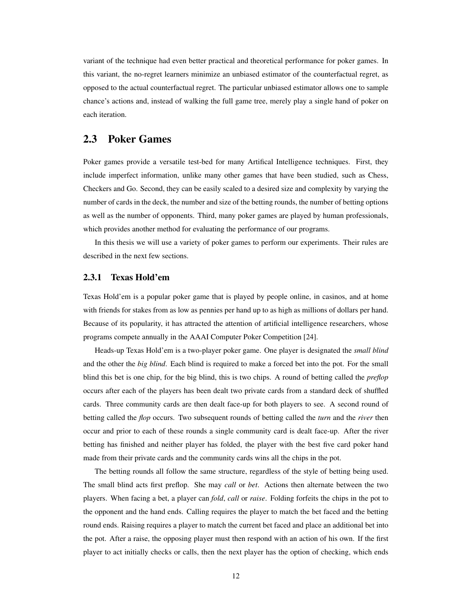variant of the technique had even better practical and theoretical performance for poker games. In this variant, the no-regret learners minimize an unbiased estimator of the counterfactual regret, as opposed to the actual counterfactual regret. The particular unbiased estimator allows one to sample chance's actions and, instead of walking the full game tree, merely play a single hand of poker on each iteration.

## 2.3 Poker Games

Poker games provide a versatile test-bed for many Artifical Intelligence techniques. First, they include imperfect information, unlike many other games that have been studied, such as Chess, Checkers and Go. Second, they can be easily scaled to a desired size and complexity by varying the number of cards in the deck, the number and size of the betting rounds, the number of betting options as well as the number of opponents. Third, many poker games are played by human professionals, which provides another method for evaluating the performance of our programs.

In this thesis we will use a variety of poker games to perform our experiments. Their rules are described in the next few sections.

#### 2.3.1 Texas Hold'em

Texas Hold'em is a popular poker game that is played by people online, in casinos, and at home with friends for stakes from as low as pennies per hand up to as high as millions of dollars per hand. Because of its popularity, it has attracted the attention of artificial intelligence researchers, whose programs compete annually in the AAAI Computer Poker Competition [24].

Heads-up Texas Hold'em is a two-player poker game. One player is designated the *small blind* and the other the *big blind*. Each blind is required to make a forced bet into the pot. For the small blind this bet is one chip, for the big blind, this is two chips. A round of betting called the *preflop* occurs after each of the players has been dealt two private cards from a standard deck of shuffled cards. Three community cards are then dealt face-up for both players to see. A second round of betting called the *flop* occurs. Two subsequent rounds of betting called the *turn* and the *river* then occur and prior to each of these rounds a single community card is dealt face-up. After the river betting has finished and neither player has folded, the player with the best five card poker hand made from their private cards and the community cards wins all the chips in the pot.

The betting rounds all follow the same structure, regardless of the style of betting being used. The small blind acts first preflop. She may *call* or *bet*. Actions then alternate between the two players. When facing a bet, a player can *fold*, *call* or *raise*. Folding forfeits the chips in the pot to the opponent and the hand ends. Calling requires the player to match the bet faced and the betting round ends. Raising requires a player to match the current bet faced and place an additional bet into the pot. After a raise, the opposing player must then respond with an action of his own. If the first player to act initially checks or calls, then the next player has the option of checking, which ends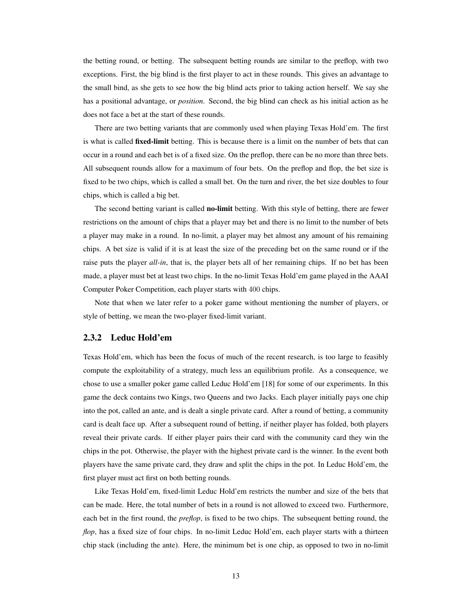the betting round, or betting. The subsequent betting rounds are similar to the preflop, with two exceptions. First, the big blind is the first player to act in these rounds. This gives an advantage to the small bind, as she gets to see how the big blind acts prior to taking action herself. We say she has a positional advantage, or *position*. Second, the big blind can check as his initial action as he does not face a bet at the start of these rounds.

There are two betting variants that are commonly used when playing Texas Hold'em. The first is what is called **fixed-limit** betting. This is because there is a limit on the number of bets that can occur in a round and each bet is of a fixed size. On the preflop, there can be no more than three bets. All subsequent rounds allow for a maximum of four bets. On the preflop and flop, the bet size is fixed to be two chips, which is called a small bet. On the turn and river, the bet size doubles to four chips, which is called a big bet.

The second betting variant is called **no-limit** betting. With this style of betting, there are fewer restrictions on the amount of chips that a player may bet and there is no limit to the number of bets a player may make in a round. In no-limit, a player may bet almost any amount of his remaining chips. A bet size is valid if it is at least the size of the preceding bet on the same round or if the raise puts the player *all-in*, that is, the player bets all of her remaining chips. If no bet has been made, a player must bet at least two chips. In the no-limit Texas Hold'em game played in the AAAI Computer Poker Competition, each player starts with 400 chips.

Note that when we later refer to a poker game without mentioning the number of players, or style of betting, we mean the two-player fixed-limit variant.

#### 2.3.2 Leduc Hold'em

Texas Hold'em, which has been the focus of much of the recent research, is too large to feasibly compute the exploitability of a strategy, much less an equilibrium profile. As a consequence, we chose to use a smaller poker game called Leduc Hold'em [18] for some of our experiments. In this game the deck contains two Kings, two Queens and two Jacks. Each player initially pays one chip into the pot, called an ante, and is dealt a single private card. After a round of betting, a community card is dealt face up. After a subsequent round of betting, if neither player has folded, both players reveal their private cards. If either player pairs their card with the community card they win the chips in the pot. Otherwise, the player with the highest private card is the winner. In the event both players have the same private card, they draw and split the chips in the pot. In Leduc Hold'em, the first player must act first on both betting rounds.

Like Texas Hold'em, fixed-limit Leduc Hold'em restricts the number and size of the bets that can be made. Here, the total number of bets in a round is not allowed to exceed two. Furthermore, each bet in the first round, the *preflop*, is fixed to be two chips. The subsequent betting round, the *flop*, has a fixed size of four chips. In no-limit Leduc Hold'em, each player starts with a thirteen chip stack (including the ante). Here, the minimum bet is one chip, as opposed to two in no-limit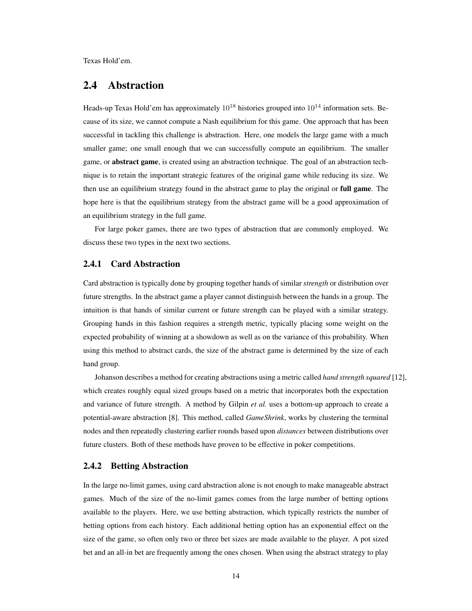Texas Hold'em.

### 2.4 Abstraction

Heads-up Texas Hold'em has approximately  $10^{18}$  histories grouped into  $10^{14}$  information sets. Because of its size, we cannot compute a Nash equilibrium for this game. One approach that has been successful in tackling this challenge is abstraction. Here, one models the large game with a much smaller game; one small enough that we can successfully compute an equilibrium. The smaller game, or abstract game, is created using an abstraction technique. The goal of an abstraction technique is to retain the important strategic features of the original game while reducing its size. We then use an equilibrium strategy found in the abstract game to play the original or full game. The hope here is that the equilibrium strategy from the abstract game will be a good approximation of an equilibrium strategy in the full game.

For large poker games, there are two types of abstraction that are commonly employed. We discuss these two types in the next two sections.

#### 2.4.1 Card Abstraction

Card abstraction is typically done by grouping together hands of similar *strength* or distribution over future strengths. In the abstract game a player cannot distinguish between the hands in a group. The intuition is that hands of similar current or future strength can be played with a similar strategy. Grouping hands in this fashion requires a strength metric, typically placing some weight on the expected probability of winning at a showdown as well as on the variance of this probability. When using this method to abstract cards, the size of the abstract game is determined by the size of each hand group.

Johanson describes a method for creating abstractions using a metric called *hand strength squared* [12], which creates roughly equal sized groups based on a metric that incorporates both the expectation and variance of future strength. A method by Gilpin *et al.* uses a bottom-up approach to create a potential-aware abstraction [8]. This method, called *GameShrink*, works by clustering the terminal nodes and then repeatedly clustering earlier rounds based upon *distances* between distributions over future clusters. Both of these methods have proven to be effective in poker competitions.

#### 2.4.2 Betting Abstraction

In the large no-limit games, using card abstraction alone is not enough to make manageable abstract games. Much of the size of the no-limit games comes from the large number of betting options available to the players. Here, we use betting abstraction, which typically restricts the number of betting options from each history. Each additional betting option has an exponential effect on the size of the game, so often only two or three bet sizes are made available to the player. A pot sized bet and an all-in bet are frequently among the ones chosen. When using the abstract strategy to play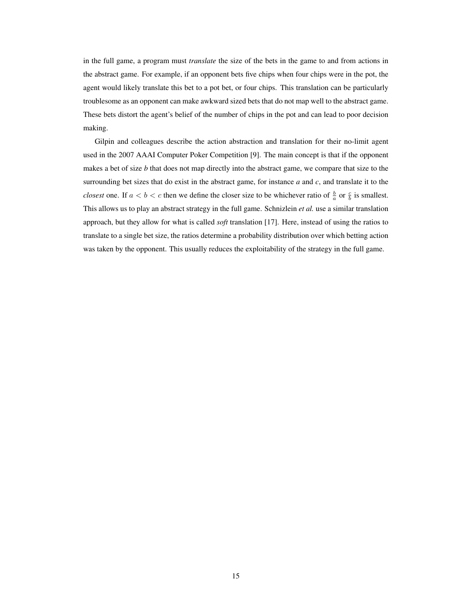in the full game, a program must *translate* the size of the bets in the game to and from actions in the abstract game. For example, if an opponent bets five chips when four chips were in the pot, the agent would likely translate this bet to a pot bet, or four chips. This translation can be particularly troublesome as an opponent can make awkward sized bets that do not map well to the abstract game. These bets distort the agent's belief of the number of chips in the pot and can lead to poor decision making.

Gilpin and colleagues describe the action abstraction and translation for their no-limit agent used in the 2007 AAAI Computer Poker Competition [9]. The main concept is that if the opponent makes a bet of size *b* that does not map directly into the abstract game, we compare that size to the surrounding bet sizes that do exist in the abstract game, for instance *a* and *c*, and translate it to the *closest* one. If  $a < b < c$  then we define the closer size to be whichever ratio of  $\frac{b}{a}$  or  $\frac{c}{b}$  is smallest. This allows us to play an abstract strategy in the full game. Schnizlein *et al.* use a similar translation approach, but they allow for what is called *soft* translation [17]. Here, instead of using the ratios to translate to a single bet size, the ratios determine a probability distribution over which betting action was taken by the opponent. This usually reduces the exploitability of the strategy in the full game.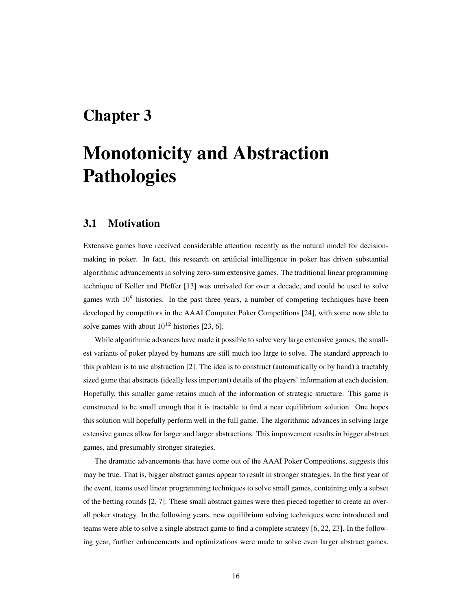## Chapter 3

# Monotonicity and Abstraction **Pathologies**

### 3.1 Motivation

Extensive games have received considerable attention recently as the natural model for decisionmaking in poker. In fact, this research on artificial intelligence in poker has driven substantial algorithmic advancements in solving zero-sum extensive games. The traditional linear programming technique of Koller and Pfeffer [13] was unrivaled for over a decade, and could be used to solve games with  $10<sup>8</sup>$  histories. In the past three years, a number of competing techniques have been developed by competitors in the AAAI Computer Poker Competitions [24], with some now able to solve games with about  $10^{12}$  histories [23, 6].

While algorithmic advances have made it possible to solve very large extensive games, the smallest variants of poker played by humans are still much too large to solve. The standard approach to this problem is to use abstraction [2]. The idea is to construct (automatically or by hand) a tractably sized game that abstracts (ideally less important) details of the players' information at each decision. Hopefully, this smaller game retains much of the information of strategic structure. This game is constructed to be small enough that it is tractable to find a near equilibrium solution. One hopes this solution will hopefully perform well in the full game. The algorithmic advances in solving large extensive games allow for larger and larger abstractions. This improvement results in bigger abstract games, and presumably stronger strategies.

The dramatic advancements that have come out of the AAAI Poker Competitions, suggests this may be true. That is, bigger abstract games appear to result in stronger strategies. In the first year of the event, teams used linear programming techniques to solve small games, containing only a subset of the betting rounds [2, 7]. These small abstract games were then pieced together to create an overall poker strategy. In the following years, new equilibrium solving techniques were introduced and teams were able to solve a single abstract game to find a complete strategy [6, 22, 23]. In the following year, further enhancements and optimizations were made to solve even larger abstract games.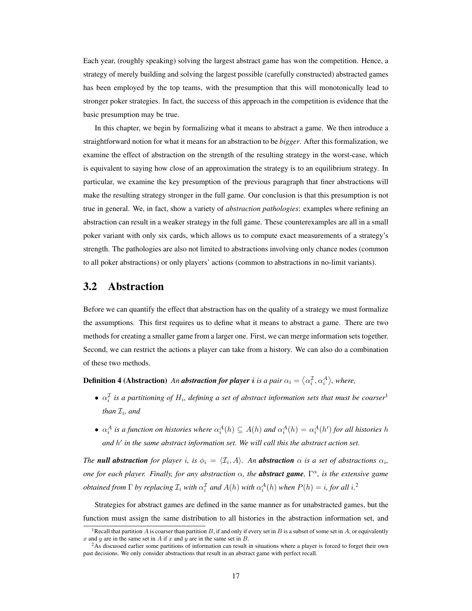Each year, (roughly speaking) solving the largest abstract game has won the competition. Hence, a strategy of merely building and solving the largest possible (carefully constructed) abstracted games has been employed by the top teams, with the presumption that this will monotonically lead to stronger poker strategies. In fact, the success of this approach in the competition is evidence that the basic presumption may be true.

In this chapter, we begin by formalizing what it means to abstract a game. We then introduce a straightforward notion for what it means for an abstraction to be *bigger*. After this formalization, we examine the effect of abstraction on the strength of the resulting strategy in the worst-case, which is equivalent to saying how close of an approximation the strategy is to an equilibrium strategy. In particular, we examine the key presumption of the previous paragraph that finer abstractions will make the resulting strategy stronger in the full game. Our conclusion is that this presumption is not true in general. We, in fact, show a variety of *abstraction pathologies*: examples where refining an abstraction can result in a weaker strategy in the full game. These counterexamples are all in a small poker variant with only six cards, which allows us to compute exact measurements of a strategy's strength. The pathologies are also not limited to abstractions involving only chance nodes (common to all poker abstractions) or only players' actions (common to abstractions in no-limit variants).

### 3.2 Abstraction

Before we can quantify the effect that abstraction has on the quality of a strategy we must formalize the assumptions. This first requires us to define what it means to abstract a game. There are two methods for creating a smaller game from a larger one. First, we can merge information sets together. Second, we can restrict the actions a player can take from a history. We can also do a combination of these two methods.

**Definition 4 (Abstraction)** An **abstraction for player** i is a pair  $\alpha_i = \langle \alpha_i^{\mathcal{I}}, \alpha_i^{\mathcal{A}} \rangle$ , where,

- $\alpha_i^{\mathcal{I}}$  is a partitioning of  $H_i$ , defining a set of abstract information sets that must be coarser<sup>1</sup> than  $\mathcal{I}_i$ , and
- $\alpha_i^A$  is a function on histories where  $\alpha_i^A(h) \subseteq A(h)$  and  $\alpha_i^A(h) = \alpha_i^A(h')$  for all histories h and h' in the same abstract information set. We will call this the abstract action set.

*The null abstraction for player i, is*  $\phi_i = \langle \mathcal{I}_i, A \rangle$ . An *abstraction*  $\alpha$  *is a set of abstractions*  $\alpha_i$ *, one for each player. Finally, for any abstraction* α*, the abstract game,* Γ <sup>α</sup>*, is the extensive game obtained from*  $\Gamma$  *by replacing*  $\mathcal{I}_i$  *with*  $\alpha_i^{\mathcal{I}}$  *and*  $A(h)$  *with*  $\alpha_i^A(h)$  *when*  $P(h) = i$ *, for all*  $i$ *.*<sup>2</sup>

Strategies for abstract games are defined in the same manner as for unabstracted games, but the function must assign the same distribution to all histories in the abstraction information set, and

<sup>&</sup>lt;sup>1</sup> Recall that partition A is coarser than partition B, if and only if every set in B is a subset of some set in A, or equivalently x and y are in the same set in A if x and y are in the same set in  $B$ .

 $2$ As discussed earlier some partitions of information can result in situations where a player is forced to forget their own past decisions. We only consider abstractions that result in an abstract game with perfect recall.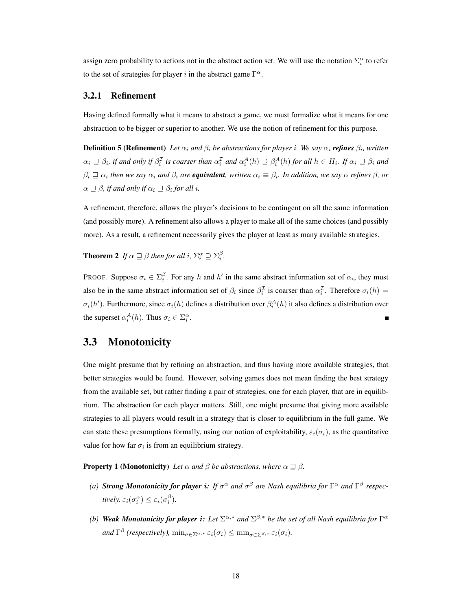assign zero probability to actions not in the abstract action set. We will use the notation  $\Sigma_i^{\alpha}$  to refer to the set of strategies for player i in the abstract game  $\Gamma^{\alpha}$ .

#### 3.2.1 Refinement

Having defined formally what it means to abstract a game, we must formalize what it means for one abstraction to be bigger or superior to another. We use the notion of refinement for this purpose.

**Definition 5 (Refinement)** Let  $\alpha_i$  and  $\beta_i$  be abstractions for player i. We say  $\alpha_i$  **refines**  $\beta_i$ , written  $\alpha_i \supseteq \beta_i$ , if and only if  $\beta_i^{\mathcal{I}}$  is coarser than  $\alpha_i^{\mathcal{I}}$  and  $\alpha_i^A(h) \supseteq \beta_i^A(h)$  for all  $h \in H_i$ . If  $\alpha_i \supseteq \beta_i$  and  $\beta_i \supseteq \alpha_i$  then we say  $\alpha_i$  and  $\beta_i$  are **equivalent**, written  $\alpha_i \equiv \beta_i$ . In addition, we say  $\alpha$  refines  $\beta$ , or  $\alpha \sqsupseteq \beta$ , if and only if  $\alpha_i \sqsupseteq \beta_i$  for all *i*.

A refinement, therefore, allows the player's decisions to be contingent on all the same information (and possibly more). A refinement also allows a player to make all of the same choices (and possibly more). As a result, a refinement necessarily gives the player at least as many available strategies.

**Theorem 2** If  $\alpha \sqsupseteq \beta$  then for all i,  $\Sigma_i^{\alpha} \supseteq \Sigma_i^{\beta}$ .

PROOF. Suppose  $\sigma_i \in \Sigma_i^{\beta}$ . For any h and h' in the same abstract information set of  $\alpha_i$ , they must also be in the same abstract information set of  $\beta_i$  since  $\beta_i^{\mathcal{I}}$  is coarser than  $\alpha_i^{\mathcal{I}}$ . Therefore  $\sigma_i(h)$  =  $\sigma_i(h')$ . Furthermore, since  $\sigma_i(h)$  defines a distribution over  $\beta_i^A(h)$  it also defines a distribution over the superset  $\alpha_i^A(h)$ . Thus  $\sigma_i \in \Sigma_i^{\alpha}$ .

## 3.3 Monotonicity

One might presume that by refining an abstraction, and thus having more available strategies, that better strategies would be found. However, solving games does not mean finding the best strategy from the available set, but rather finding a pair of strategies, one for each player, that are in equilibrium. The abstraction for each player matters. Still, one might presume that giving more available strategies to all players would result in a strategy that is closer to equilibrium in the full game. We can state these presumptions formally, using our notion of exploitability,  $\varepsilon_i(\sigma_i)$ , as the quantitative value for how far  $\sigma_i$  is from an equilibrium strategy.

**Property 1 (Monotonicity)** *Let*  $\alpha$  *and*  $\beta$  *be abstractions, where*  $\alpha \supseteq \beta$ *.* 

- (a) **Strong Monotonicity for player i:** If  $\sigma^{\alpha}$  and  $\sigma^{\beta}$  are Nash equilibria for  $\Gamma^{\alpha}$  and  $\Gamma^{\beta}$  respectively,  $\varepsilon_i(\sigma_i^{\alpha}) \leq \varepsilon_i(\sigma_i^{\beta})$ .
- *(b) Weak Monotonicity for player i: Let*  $\Sigma^{\alpha,*}$  *and*  $\Sigma^{\beta,*}$  *be the set of all Nash equilibria for*  $\Gamma^{\alpha}$ and  $\Gamma^{\beta}$  (respectively),  $\min_{\sigma \in \Sigma^{\alpha,*}} \varepsilon_i(\sigma_i) \leq \min_{\sigma \in \Sigma^{\beta,*}} \varepsilon_i(\sigma_i)$ .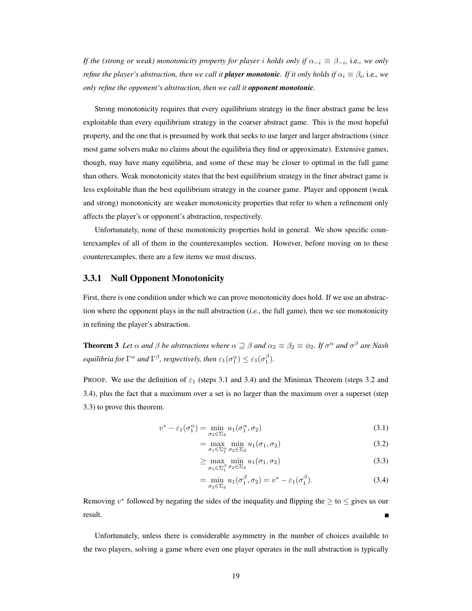*If the (strong or weak) monotonicity property for player i holds only if*  $\alpha_{-i} \equiv \beta_{-i}$ , i.e., we only *refine the player's abstraction, then we call it player monotonic. If it only holds if*  $\alpha_i \equiv \beta_i$ *, i.e., we only refine the opponent's abstraction, then we call it opponent monotonic.*

Strong monotonicity requires that every equilibrium strategy in the finer abstract game be less exploitable than every equilibrium strategy in the coarser abstract game. This is the most hopeful property, and the one that is presumed by work that seeks to use larger and larger abstractions (since most game solvers make no claims about the equilibria they find or approximate). Extensive games, though, may have many equilibria, and some of these may be closer to optimal in the full game than others. Weak monotonicity states that the best equilibrium strategy in the finer abstract game is less exploitable than the best equilibrium strategy in the coarser game. Player and opponent (weak and strong) monotonicity are weaker monotonicity properties that refer to when a refinement only affects the player's or opponent's abstraction, respectively.

Unfortunately, none of these monotonicity properties hold in general. We show specific counterexamples of all of them in the counterexamples section. However, before moving on to these counterexamples, there are a few items we must discuss.

#### 3.3.1 Null Opponent Monotonicity

First, there is one condition under which we can prove monotonicity does hold. If we use an abstraction where the opponent plays in the null abstraction (*i.e.*, the full game), then we see monotonicity in refining the player's abstraction.

**Theorem 3** Let  $\alpha$  and  $\beta$  be abstractions where  $\alpha \sqsupseteq \beta$  and  $\alpha_2 \equiv \beta_2 \equiv \phi_2$ . If  $\sigma^{\alpha}$  and  $\sigma^{\beta}$  are Nash *equilibria for*  $\Gamma^{\alpha}$  *and*  $\Gamma^{\beta}$ *, respectively, then*  $\varepsilon_1(\sigma_1^{\alpha}) \leq \varepsilon_1(\sigma_1^{\beta})$ *.* 

PROOF. We use the definition of  $\varepsilon_1$  (steps 3.1 and 3.4) and the Minimax Theorem (steps 3.2 and 3.4), plus the fact that a maximum over a set is no larger than the maximum over a superset (step 3.3) to prove this theorem.

$$
v^* - \varepsilon_1(\sigma_1^{\alpha}) = \min_{\sigma_2 \in \Sigma_2} u_1(\sigma_1^{\alpha}, \sigma_2)
$$
\n(3.1)

$$
= \max_{\sigma_1 \in \Sigma_1^{\alpha}} \min_{\sigma_2 \in \Sigma_2} u_1(\sigma_1, \sigma_2)
$$
\n(3.2)

$$
\geq \max_{\sigma_1 \in \Sigma_1^{\beta}} \min_{\sigma_2 \in \Sigma_2} u_1(\sigma_1, \sigma_2) \tag{3.3}
$$

$$
= \min_{\sigma_2 \in \Sigma_2} u_1(\sigma_1^{\beta}, \sigma_2) = v^* - \varepsilon_1(\sigma_1^{\beta}). \tag{3.4}
$$

Removing  $v^*$  followed by negating the sides of the inequality and flipping the  $\geq$  to  $\leq$  gives us our result.

Unfortunately, unless there is considerable asymmetry in the number of choices available to the two players, solving a game where even one player operates in the null abstraction is typically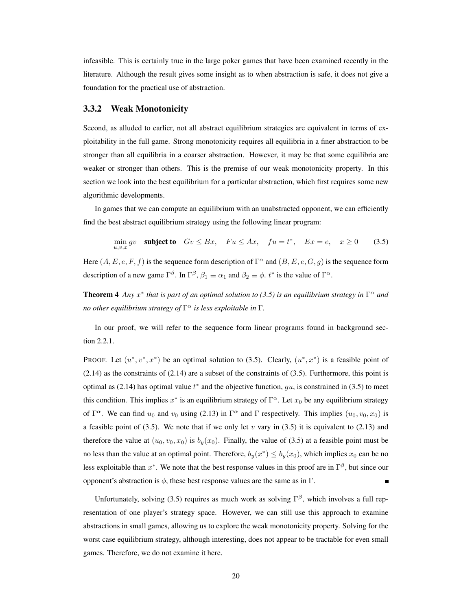infeasible. This is certainly true in the large poker games that have been examined recently in the literature. Although the result gives some insight as to when abstraction is safe, it does not give a foundation for the practical use of abstraction.

#### 3.3.2 Weak Monotonicity

Second, as alluded to earlier, not all abstract equilibrium strategies are equivalent in terms of exploitability in the full game. Strong monotonicity requires all equilibria in a finer abstraction to be stronger than all equilibria in a coarser abstraction. However, it may be that some equilibria are weaker or stronger than others. This is the premise of our weak monotonicity property. In this section we look into the best equilibrium for a particular abstraction, which first requires some new algorithmic developments.

In games that we can compute an equilibrium with an unabstracted opponent, we can efficiently find the best abstract equilibrium strategy using the following linear program:

$$
\min_{u,v,x} gv \quad \text{subject to} \quad Gv \leq Bx, \quad Fu \leq Ax, \quad fu = t^*, \quad Ex = e, \quad x \geq 0 \tag{3.5}
$$

Here  $(A, E, e, F, f)$  is the sequence form description of  $\Gamma^{\alpha}$  and  $(B, E, e, G, g)$  is the sequence form description of a new game  $\Gamma^{\beta}$ . In  $\Gamma^{\beta}$ ,  $\beta_1 \equiv \alpha_1$  and  $\beta_2 \equiv \phi$ .  $t^*$  is the value of  $\Gamma^{\alpha}$ .

**Theorem 4** Any  $x^*$  that is part of an optimal solution to (3.5) is an equilibrium strategy in  $\Gamma^{\alpha}$  and *no other equilibrium strategy of* Γ <sup>α</sup> *is less exploitable in* Γ*.*

In our proof, we will refer to the sequence form linear programs found in background section 2.2.1.

PROOF. Let  $(u^*, v^*, x^*)$  be an optimal solution to (3.5). Clearly,  $(u^*, x^*)$  is a feasible point of  $(2.14)$  as the constraints of  $(2.14)$  are a subset of the constraints of  $(3.5)$ . Furthermore, this point is optimal as (2.14) has optimal value  $t^*$  and the objective function,  $gu$ , is constrained in (3.5) to meet this condition. This implies  $x^*$  is an equilibrium strategy of  $\Gamma^{\alpha}$ . Let  $x_0$  be any equilibrium strategy of  $\Gamma^{\alpha}$ . We can find  $u_0$  and  $v_0$  using (2.13) in  $\Gamma^{\alpha}$  and  $\Gamma$  respectively. This implies  $(u_0, v_0, x_0)$  is a feasible point of (3.5). We note that if we only let v vary in (3.5) it is equivalent to (2.13) and therefore the value at  $(u_0, v_0, x_0)$  is  $b_y(x_0)$ . Finally, the value of (3.5) at a feasible point must be no less than the value at an optimal point. Therefore,  $b_y(x^*) \leq b_y(x_0)$ , which implies  $x_0$  can be no less exploitable than  $x^*$ . We note that the best response values in this proof are in  $\Gamma^{\beta}$ , but since our opponent's abstraction is  $\phi$ , these best response values are the same as in Γ.

Unfortunately, solving (3.5) requires as much work as solving  $\Gamma^{\beta}$ , which involves a full representation of one player's strategy space. However, we can still use this approach to examine abstractions in small games, allowing us to explore the weak monotonicity property. Solving for the worst case equilibrium strategy, although interesting, does not appear to be tractable for even small games. Therefore, we do not examine it here.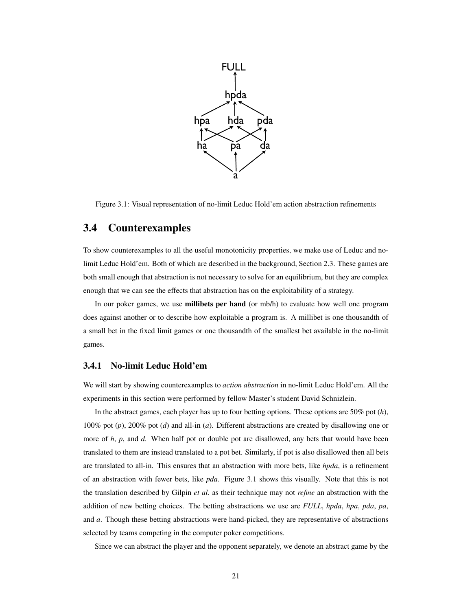

Figure 3.1: Visual representation of no-limit Leduc Hold'em action abstraction refinements

## 3.4 Counterexamples

To show counterexamples to all the useful monotonicity properties, we make use of Leduc and nolimit Leduc Hold'em. Both of which are described in the background, Section 2.3. These games are both small enough that abstraction is not necessary to solve for an equilibrium, but they are complex enough that we can see the effects that abstraction has on the exploitability of a strategy.

In our poker games, we use **millibets per hand** (or mb/h) to evaluate how well one program does against another or to describe how exploitable a program is. A millibet is one thousandth of a small bet in the fixed limit games or one thousandth of the smallest bet available in the no-limit games.

#### 3.4.1 No-limit Leduc Hold'em

We will start by showing counterexamples to *action abstraction* in no-limit Leduc Hold'em. All the experiments in this section were performed by fellow Master's student David Schnizlein.

In the abstract games, each player has up to four betting options. These options are 50% pot (*h*), 100% pot (*p*), 200% pot (*d*) and all-in (*a*). Different abstractions are created by disallowing one or more of *h*, *p*, and *d*. When half pot or double pot are disallowed, any bets that would have been translated to them are instead translated to a pot bet. Similarly, if pot is also disallowed then all bets are translated to all-in. This ensures that an abstraction with more bets, like *hpda*, is a refinement of an abstraction with fewer bets, like *pda*. Figure 3.1 shows this visually. Note that this is not the translation described by Gilpin *et al.* as their technique may not *refine* an abstraction with the addition of new betting choices. The betting abstractions we use are *FULL*, *hpda*, *hpa*, *pda*, *pa*, and *a*. Though these betting abstractions were hand-picked, they are representative of abstractions selected by teams competing in the computer poker competitions.

Since we can abstract the player and the opponent separately, we denote an abstract game by the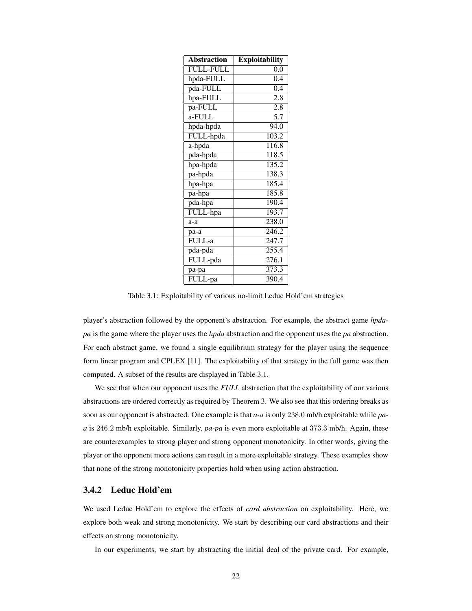| <b>Abstraction</b> | <b>Exploitability</b> |
|--------------------|-----------------------|
| <b>FULL-FULL</b>   | 0.0                   |
| hpda-FULL          | 0.4                   |
| pda-FULL           | 0.4                   |
| hpa-FULL           | $\overline{2.8}$      |
| pa-FULL            | 2.8                   |
| a-FULL             | $\overline{5.7}$      |
| hpda-hpda          | 94.0                  |
| FULL-hpda          | 103.2                 |
| a-hpda             | 116.8                 |
| pda-hpda           | 118.5                 |
| hpa-hpda           | 135.2                 |
| pa-hpda            | $138.\overline{3}$    |
| hpa-hpa            | 185.4                 |
| pa-hpa             | 185.8                 |
| pda-hpa            | 190.4                 |
| FULL-hpa           | 193.7                 |
| $a-a$              | 238.0                 |
| pa-a               | 246.2                 |
| FULL-a             | 247.7                 |
| pda-pda            | $2\overline{55.4}$    |
| FULL-pda           | 276.1                 |
| pa-pa              | 373.3                 |
| FULL-pa            | 390.4                 |

Table 3.1: Exploitability of various no-limit Leduc Hold'em strategies

player's abstraction followed by the opponent's abstraction. For example, the abstract game *hpdapa* is the game where the player uses the *hpda* abstraction and the opponent uses the *pa* abstraction. For each abstract game, we found a single equilibrium strategy for the player using the sequence form linear program and CPLEX [11]. The exploitability of that strategy in the full game was then computed. A subset of the results are displayed in Table 3.1.

We see that when our opponent uses the *FULL* abstraction that the exploitability of our various abstractions are ordered correctly as required by Theorem 3. We also see that this ordering breaks as soon as our opponent is abstracted. One example is that *a-a* is only 238.0 mb/h exploitable while *paa* is 246.2 mb/h exploitable. Similarly, *pa-pa* is even more exploitable at 373.3 mb/h. Again, these are counterexamples to strong player and strong opponent monotonicity. In other words, giving the player or the opponent more actions can result in a more exploitable strategy. These examples show that none of the strong monotonicity properties hold when using action abstraction.

#### 3.4.2 Leduc Hold'em

We used Leduc Hold'em to explore the effects of *card abstraction* on exploitability. Here, we explore both weak and strong monotonicity. We start by describing our card abstractions and their effects on strong monotonicity.

In our experiments, we start by abstracting the initial deal of the private card. For example,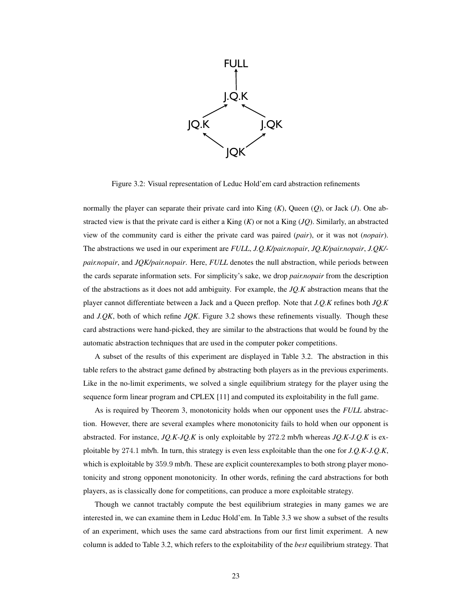

Figure 3.2: Visual representation of Leduc Hold'em card abstraction refinements

normally the player can separate their private card into King (*K*), Queen (*Q*), or Jack (*J*). One abstracted view is that the private card is either a King (*K*) or not a King (*JQ*). Similarly, an abstracted view of the community card is either the private card was paired (*pair*), or it was not (*nopair*). The abstractions we used in our experiment are *FULL*, *J.Q.K/pair.nopair*, *JQ.K/pair.nopair*, *J.QK/ pair.nopair*, and *JQK/pair.nopair*. Here, *FULL* denotes the null abstraction, while periods between the cards separate information sets. For simplicity's sake, we drop *pair.nopair* from the description of the abstractions as it does not add ambiguity. For example, the *JQ.K* abstraction means that the player cannot differentiate between a Jack and a Queen preflop. Note that *J.Q.K* refines both *JQ.K* and *J.QK*, both of which refine *JQK*. Figure 3.2 shows these refinements visually. Though these card abstractions were hand-picked, they are similar to the abstractions that would be found by the automatic abstraction techniques that are used in the computer poker competitions.

A subset of the results of this experiment are displayed in Table 3.2. The abstraction in this table refers to the abstract game defined by abstracting both players as in the previous experiments. Like in the no-limit experiments, we solved a single equilibrium strategy for the player using the sequence form linear program and CPLEX [11] and computed its exploitability in the full game.

As is required by Theorem 3, monotonicity holds when our opponent uses the *FULL* abstraction. However, there are several examples where monotonicity fails to hold when our opponent is abstracted. For instance, *JQ.K-JQ.K* is only exploitable by 272.2 mb/h whereas *JQ.K-J.Q.K* is exploitable by 274.1 mb/h. In turn, this strategy is even less exploitable than the one for *J.Q.K-J.Q.K*, which is exploitable by 359.9 mb/h. These are explicit counterexamples to both strong player monotonicity and strong opponent monotonicity. In other words, refining the card abstractions for both players, as is classically done for competitions, can produce a more exploitable strategy.

Though we cannot tractably compute the best equilibrium strategies in many games we are interested in, we can examine them in Leduc Hold'em. In Table 3.3 we show a subset of the results of an experiment, which uses the same card abstractions from our first limit experiment. A new column is added to Table 3.2, which refers to the exploitability of the *best* equilibrium strategy. That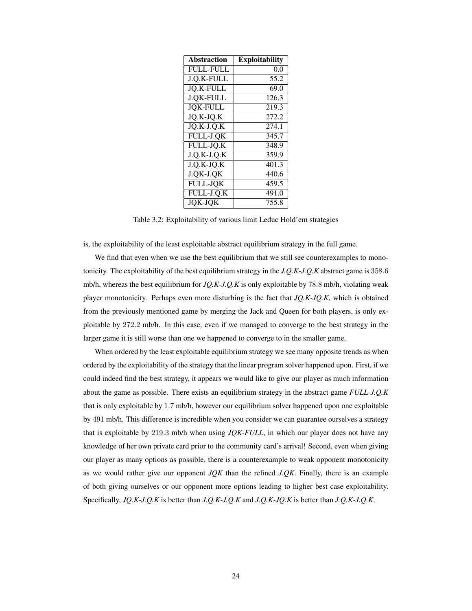| <b>Abstraction</b> | <b>Exploitability</b> |
|--------------------|-----------------------|
| <b>FULL-FULL</b>   | 0.0                   |
| J.Q.K-FULL         | 55.2                  |
| <b>JO.K-FULL</b>   | 69.0                  |
| <b>J.QK-FULL</b>   | 126.3                 |
| <b>JOK-FULL</b>    | 219.3                 |
| JQ.K-JQ.K          | 272.2                 |
| JQ.K-J.Q.K         | 274.1                 |
| FULL-J.QK          | 345.7                 |
| FULL-JQ.K          | 348.9                 |
| $J.Q.K-J.Q.K$      | 359.9                 |
| J.Q.K-JQ.K         | 401.3                 |
| J.QK-J.QK          | 440.6                 |
| <b>FULL-JQK</b>    | 459.5                 |
| FULL-J.Q.K         | 491.0                 |
| <b>JOK-JOK</b>     | 755.8                 |

Table 3.2: Exploitability of various limit Leduc Hold'em strategies

is, the exploitability of the least exploitable abstract equilibrium strategy in the full game.

We find that even when we use the best equilibrium that we still see counterexamples to monotonicity. The exploitability of the best equilibrium strategy in the *J.Q.K-J.Q.K* abstract game is 358.6 mb/h, whereas the best equilibrium for *JQ.K-J.Q.K* is only exploitable by 78.8 mb/h, violating weak player monotonicity. Perhaps even more disturbing is the fact that *JQ.K-JQ.K*, which is obtained from the previously mentioned game by merging the Jack and Queen for both players, is only exploitable by 272.2 mb/h. In this case, even if we managed to converge to the best strategy in the larger game it is still worse than one we happened to converge to in the smaller game.

When ordered by the least exploitable equilibrium strategy we see many opposite trends as when ordered by the exploitability of the strategy that the linear program solver happened upon. First, if we could indeed find the best strategy, it appears we would like to give our player as much information about the game as possible. There exists an equilibrium strategy in the abstract game *FULL-J.Q.K* that is only exploitable by 1.7 mb/h, however our equilibrium solver happened upon one exploitable by 491 mb/h. This difference is incredible when you consider we can guarantee ourselves a strategy that is exploitable by 219.3 mb/h when using *JQK-FULL*, in which our player does not have any knowledge of her own private card prior to the community card's arrival! Second, even when giving our player as many options as possible, there is a counterexample to weak opponent monotonicity as we would rather give our opponent *JQK* than the refined *J.QK*. Finally, there is an example of both giving ourselves or our opponent more options leading to higher best case exploitability. Specifically, *JQ.K-J.Q.K* is better than *J.Q.K-J.Q.K* and *J.Q.K-JQ.K* is better than *J.Q.K-J.Q.K*.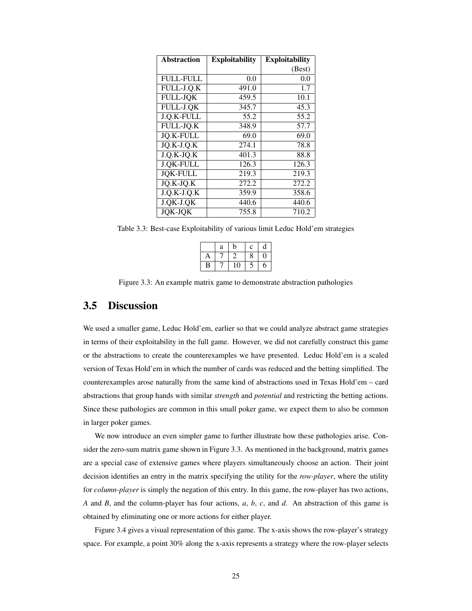| <b>Abstraction</b> | <b>Exploitability</b> | <b>Exploitability</b> |
|--------------------|-----------------------|-----------------------|
|                    |                       | (Best)                |
| <b>FULL-FULL</b>   | 0.0                   | 0.0                   |
| FULL-J.Q.K         | 491.0                 | 1.7                   |
| <b>FULL-JOK</b>    | 459.5                 | 10.1                  |
| FULL-J.QK          | 345.7                 | 45.3                  |
| J.Q.K-FULL         | 55.2                  | 55.2                  |
| FULL-JQ.K          | 348.9                 | 57.7                  |
| <b>JO.K-FULL</b>   | 69.0                  | 69.0                  |
| JQ.K-J.Q.K         | 274.1                 | 78.8                  |
| $J.Q.K-JQ.K$       | 401.3                 | 88.8                  |
| <b>J.QK-FULL</b>   | 126.3                 | 126.3                 |
| <b>JOK-FULL</b>    | 219.3                 | 219.3                 |
| $JQ.K-JQ.K$        | 272.2                 | 272.2                 |
| $J.Q.K-J.Q.K$      | 359.9                 | 358.6                 |
| J.QK-J.QK          | 440.6                 | 440.6                 |
| <b>JOK-JOK</b>     | 755.8                 | 710.2                 |

Table 3.3: Best-case Exploitability of various limit Leduc Hold'em strategies

|   | a | b  | $\mathbf c$ | d |
|---|---|----|-------------|---|
| Α |   | 2  | 8           | 0 |
| B |   | 10 | C           | 6 |

Figure 3.3: An example matrix game to demonstrate abstraction pathologies

## 3.5 Discussion

We used a smaller game, Leduc Hold'em, earlier so that we could analyze abstract game strategies in terms of their exploitability in the full game. However, we did not carefully construct this game or the abstractions to create the counterexamples we have presented. Leduc Hold'em is a scaled version of Texas Hold'em in which the number of cards was reduced and the betting simplified. The counterexamples arose naturally from the same kind of abstractions used in Texas Hold'em – card abstractions that group hands with similar *strength* and *potential* and restricting the betting actions. Since these pathologies are common in this small poker game, we expect them to also be common in larger poker games.

We now introduce an even simpler game to further illustrate how these pathologies arise. Consider the zero-sum matrix game shown in Figure 3.3. As mentioned in the background, matrix games are a special case of extensive games where players simultaneously choose an action. Their joint decision identifies an entry in the matrix specifying the utility for the *row-player*, where the utility for *column-player* is simply the negation of this entry. In this game, the row-player has two actions, *A* and *B*, and the column-player has four actions, *a*, *b*, *c*, and *d*. An abstraction of this game is obtained by eliminating one or more actions for either player.

Figure 3.4 gives a visual representation of this game. The x-axis shows the row-player's strategy space. For example, a point 30% along the x-axis represents a strategy where the row-player selects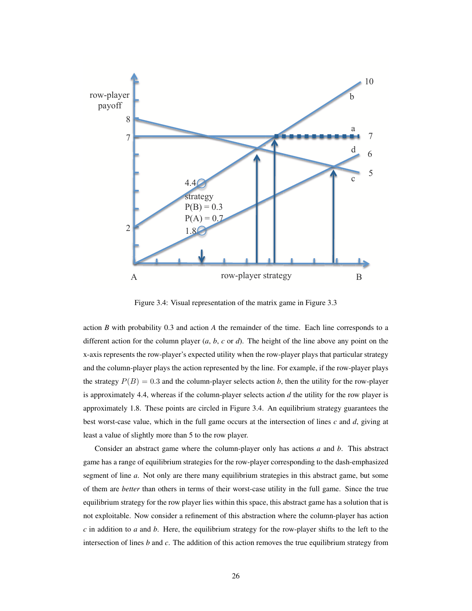

Figure 3.4: Visual representation of the matrix game in Figure 3.3

action *B* with probability 0.3 and action *A* the remainder of the time. Each line corresponds to a different action for the column player (*a*, *b*, *c* or *d*). The height of the line above any point on the x-axis represents the row-player's expected utility when the row-player plays that particular strategy and the column-player plays the action represented by the line. For example, if the row-player plays the strategy  $P(B) = 0.3$  and the column-player selects action *b*, then the utility for the row-player is approximately 4.4, whereas if the column-player selects action *d* the utility for the row player is approximately 1.8. These points are circled in Figure 3.4. An equilibrium strategy guarantees the best worst-case value, which in the full game occurs at the intersection of lines *c* and *d*, giving at least a value of slightly more than 5 to the row player.

Consider an abstract game where the column-player only has actions *a* and *b*. This abstract game has a range of equilibrium strategies for the row-player corresponding to the dash-emphasized segment of line *a*. Not only are there many equilibrium strategies in this abstract game, but some of them are *better* than others in terms of their worst-case utility in the full game. Since the true equilibrium strategy for the row player lies within this space, this abstract game has a solution that is not exploitable. Now consider a refinement of this abstraction where the column-player has action *c* in addition to *a* and *b*. Here, the equilibrium strategy for the row-player shifts to the left to the intersection of lines *b* and *c*. The addition of this action removes the true equilibrium strategy from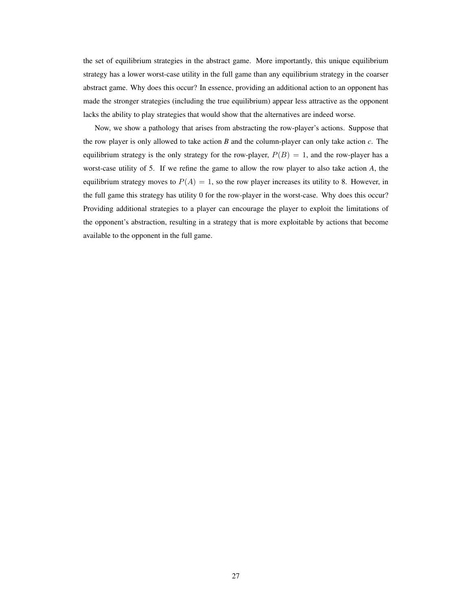the set of equilibrium strategies in the abstract game. More importantly, this unique equilibrium strategy has a lower worst-case utility in the full game than any equilibrium strategy in the coarser abstract game. Why does this occur? In essence, providing an additional action to an opponent has made the stronger strategies (including the true equilibrium) appear less attractive as the opponent lacks the ability to play strategies that would show that the alternatives are indeed worse.

Now, we show a pathology that arises from abstracting the row-player's actions. Suppose that the row player is only allowed to take action *B* and the column-player can only take action *c*. The equilibrium strategy is the only strategy for the row-player,  $P(B) = 1$ , and the row-player has a worst-case utility of 5. If we refine the game to allow the row player to also take action *A*, the equilibrium strategy moves to  $P(A) = 1$ , so the row player increases its utility to 8. However, in the full game this strategy has utility 0 for the row-player in the worst-case. Why does this occur? Providing additional strategies to a player can encourage the player to exploit the limitations of the opponent's abstraction, resulting in a strategy that is more exploitable by actions that become available to the opponent in the full game.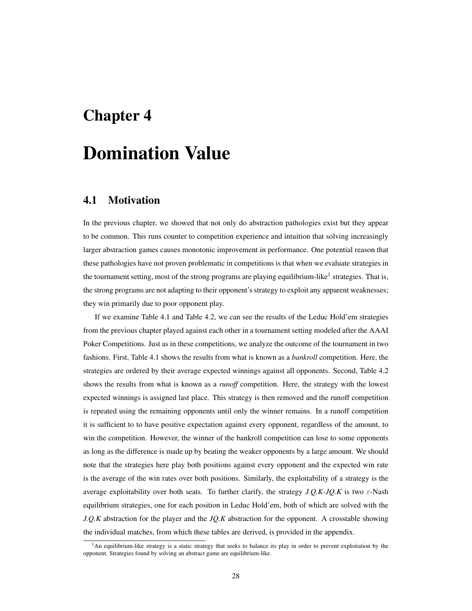## Chapter 4

## Domination Value

## 4.1 Motivation

In the previous chapter, we showed that not only do abstraction pathologies exist but they appear to be common. This runs counter to competition experience and intuition that solving increasingly larger abstraction games causes monotonic improvement in performance. One potential reason that these pathologies have not proven problematic in competitions is that when we evaluate strategies in the tournament setting, most of the strong programs are playing equilibrium-like<sup>1</sup> strategies. That is, the strong programs are not adapting to their opponent's strategy to exploit any apparent weaknesses; they win primarily due to poor opponent play.

If we examine Table 4.1 and Table 4.2, we can see the results of the Leduc Hold'em strategies from the previous chapter played against each other in a tournament setting modeled after the AAAI Poker Competitions. Just as in these competitions, we analyze the outcome of the tournament in two fashions. First, Table 4.1 shows the results from what is known as a *bankroll* competition. Here, the strategies are ordered by their average expected winnings against all opponents. Second, Table 4.2 shows the results from what is known as a *runoff* competition. Here, the strategy with the lowest expected winnings is assigned last place. This strategy is then removed and the runoff competition is repeated using the remaining opponents until only the winner remains. In a runoff competition it is sufficient to to have positive expectation against every opponent, regardless of the amount, to win the competition. However, the winner of the bankroll competition can lose to some opponents as long as the difference is made up by beating the weaker opponents by a large amount. We should note that the strategies here play both positions against every opponent and the expected win rate is the average of the win rates over both positions. Similarly, the exploitability of a strategy is the average exploitability over both seats. To further clarify, the strategy  $J.Q.K-JQ.K$  is two  $\varepsilon$ -Nash equilibrium strategies, one for each position in Leduc Hold'em, both of which are solved with the *J.Q.K* abstraction for the player and the *JQ.K* abstraction for the opponent. A crosstable showing the individual matches, from which these tables are derived, is provided in the appendix.

 $<sup>1</sup>$ An equilibrium-like strategy is a static strategy that seeks to balance its play in order to prevent exploitation by the</sup> opponent. Strategies found by solving an abstract game are equilibrium-like.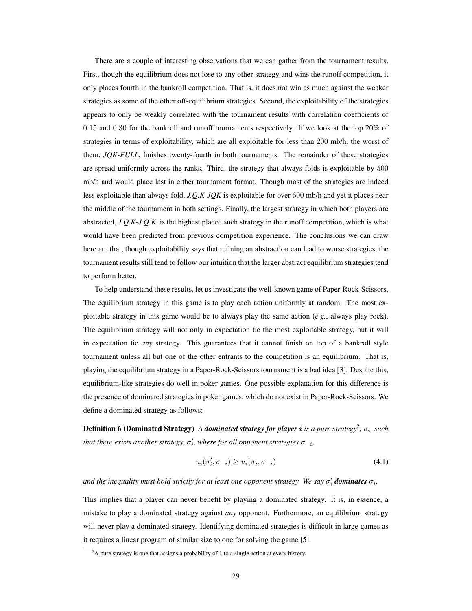There are a couple of interesting observations that we can gather from the tournament results. First, though the equilibrium does not lose to any other strategy and wins the runoff competition, it only places fourth in the bankroll competition. That is, it does not win as much against the weaker strategies as some of the other off-equilibrium strategies. Second, the exploitability of the strategies appears to only be weakly correlated with the tournament results with correlation coefficients of 0.15 and 0.30 for the bankroll and runoff tournaments respectively. If we look at the top 20% of strategies in terms of exploitability, which are all exploitable for less than 200 mb/h, the worst of them, *JQK-FULL*, finishes twenty-fourth in both tournaments. The remainder of these strategies are spread uniformly across the ranks. Third, the strategy that always folds is exploitable by 500 mb/h and would place last in either tournament format. Though most of the strategies are indeed less exploitable than always fold, *J.Q.K-JQK* is exploitable for over 600 mb/h and yet it places near the middle of the tournament in both settings. Finally, the largest strategy in which both players are abstracted, *J.Q.K-J.Q.K*, is the highest placed such strategy in the runoff competition, which is what would have been predicted from previous competition experience. The conclusions we can draw here are that, though exploitability says that refining an abstraction can lead to worse strategies, the tournament results still tend to follow our intuition that the larger abstract equilibrium strategies tend to perform better.

To help understand these results, let us investigate the well-known game of Paper-Rock-Scissors. The equilibrium strategy in this game is to play each action uniformly at random. The most exploitable strategy in this game would be to always play the same action (*e.g.*, always play rock). The equilibrium strategy will not only in expectation tie the most exploitable strategy, but it will in expectation tie *any* strategy. This guarantees that it cannot finish on top of a bankroll style tournament unless all but one of the other entrants to the competition is an equilibrium. That is, playing the equilibrium strategy in a Paper-Rock-Scissors tournament is a bad idea [3]. Despite this, equilibrium-like strategies do well in poker games. One possible explanation for this difference is the presence of dominated strategies in poker games, which do not exist in Paper-Rock-Scissors. We define a dominated strategy as follows:

**Definition 6 (Dominated Strategy)** A *dominated strategy for player i is a pure strategy<sup>2</sup>,*  $\sigma_i$ *, such that there exists another strategy,*  $\sigma_i'$ *, where for all opponent strategies*  $\sigma_{-i}$ *,* 

$$
u_i(\sigma'_i, \sigma_{-i}) \ge u_i(\sigma_i, \sigma_{-i})
$$
\n(4.1)

and the inequality must hold strictly for at least one opponent strategy. We say  $\sigma'_i$  **dominates**  $\sigma_i$ .

This implies that a player can never benefit by playing a dominated strategy. It is, in essence, a mistake to play a dominated strategy against *any* opponent. Furthermore, an equilibrium strategy will never play a dominated strategy. Identifying dominated strategies is difficult in large games as it requires a linear program of similar size to one for solving the game [5].

 $2A$  pure strategy is one that assigns a probability of 1 to a single action at every history.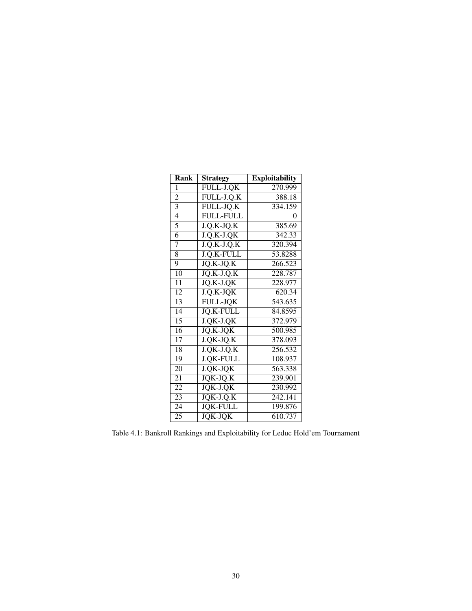| Rank            | <b>Strategy</b>  | <b>Exploitability</b> |
|-----------------|------------------|-----------------------|
| 1               | FULL-J.QK        | 270.999               |
| 2               | FULL-J.Q.K       | 388.18                |
| 3               | FULL-JQ.K        | 334.159               |
| $\overline{4}$  | <b>FULL-FULL</b> | 0                     |
| 5               | $J.Q.K-JQ.K$     | 385.69                |
| 6               | J.Q.K-J.QK       | 342.33                |
| 7               | $J.Q.K-J.Q.K$    | 320.394               |
| 8               | J.Q.K-FULL       | 53.8288               |
| 9               | JQ.K-JQ.K        | 266.523               |
| 10              | $JQ.K-J.Q.K$     | 228.787               |
| 11              | $JQ.K-J.QK$      | 228.977               |
| $\overline{12}$ | J.Q.K-JQK        | 620.34                |
| 13              | <b>FULL-JQK</b>  | 543.635               |
| 14              | <b>JO.K-FULL</b> | 84.8595               |
| $\overline{15}$ | J.QK-J.QK        | 372.979               |
| $\overline{16}$ | JQ.K-JQK         | 500.985               |
| $\overline{17}$ | J.QK-JQ.K        | 378.093               |
| $\overline{18}$ | $J.QK-J.Q.K$     | 256.532               |
| 19              | <b>J.QK-FULL</b> | 108.937               |
| 20              | J.QK-JQK         | 563.338               |
| 21              | JQK-JQ.K         | 239.901               |
| 22              | JQK-J.QK         | 230.992               |
| 23              | $JQK-J.Q.K$      | $242.\overline{141}$  |
| 24              | <b>JQK-FULL</b>  | 199.876               |
| 25              | <b>JOK-JOK</b>   | 610.737               |

Table 4.1: Bankroll Rankings and Exploitability for Leduc Hold'em Tournament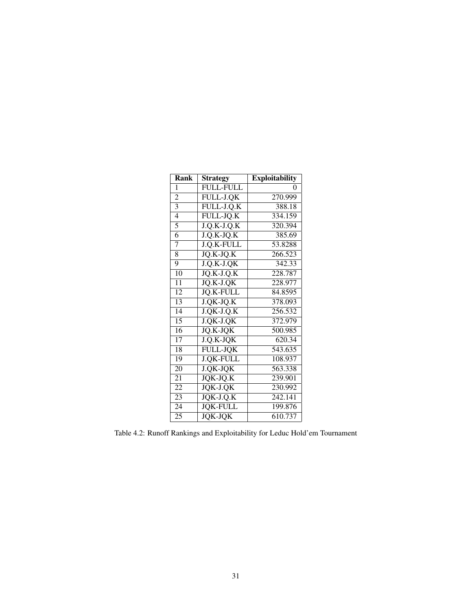| Rank            | <b>Strategy</b>   | <b>Exploitability</b> |
|-----------------|-------------------|-----------------------|
| 1               | <b>FULL-FULL</b>  | 0                     |
| 2               | FULL-J.QK         | 270.999               |
| 3               | FULL-J.Q.K        | 388.18                |
| $\overline{4}$  | FULL-JQ.K         | 334.159               |
| 5               | $J.Q.K-J.Q.K$     | 320.394               |
| 6               | J.Q.K-JQ.K        | 385.69                |
| 7               | J.Q.K-FULL        | 53.8288               |
| 8               | JQ.K-JQ.K         | 266.523               |
| 9               | $J.Q.K-J.QK$      | 342.33                |
| 10              | $JQ.K-J.Q.K$      | 228.787               |
| $\overline{11}$ | $JQ.K-J.QK$       | 228.977               |
| $\overline{12}$ | <b>JO.K-FULL</b>  | 84.8595               |
| 13              | J.QK-JQ.K         | 378.093               |
| 14              | $J.$ QK- $J.$ Q.K | 256.532               |
| $\overline{15}$ | J.QK-J.QK         | 372.979               |
| $\overline{16}$ | JQ.K-JQK          | 500.985               |
| $\overline{17}$ | J.Q.K-JQK         | 620.34                |
| $\overline{18}$ | <b>FULL-JQK</b>   | 543.635               |
| 19              | <b>J.QK-FULL</b>  | 108.937               |
| 20              | J.QK-JQK          | 563.338               |
| 21              | JQK-JQ.K          | 239.901               |
| 22              | JQK-J.QK          | 230.992               |
| 23              | $JQK-J.Q.K$       | $242.\overline{141}$  |
| 24              | <b>JQK-FULL</b>   | 199.876               |
| 25              | <b>JOK-JOK</b>    | 610.737               |

Table 4.2: Runoff Rankings and Exploitability for Leduc Hold'em Tournament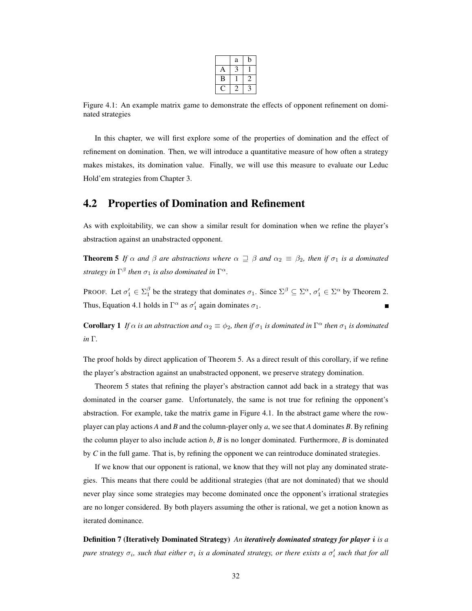|   | $\rm{a}$ |  |
|---|----------|--|
| Α |          |  |
| В |          |  |
|   |          |  |

Figure 4.1: An example matrix game to demonstrate the effects of opponent refinement on dominated strategies

In this chapter, we will first explore some of the properties of domination and the effect of refinement on domination. Then, we will introduce a quantitative measure of how often a strategy makes mistakes, its domination value. Finally, we will use this measure to evaluate our Leduc Hold'em strategies from Chapter 3.

## 4.2 Properties of Domination and Refinement

As with exploitability, we can show a similar result for domination when we refine the player's abstraction against an unabstracted opponent.

**Theorem 5** *If*  $\alpha$  *and*  $\beta$  *are abstractions where*  $\alpha \supseteq \beta$  *and*  $\alpha_2 \equiv \beta_2$ *, then if*  $\sigma_1$  *is a dominated strategy in*  $\Gamma^{\beta}$  *then*  $\sigma_1$  *is also dominated in*  $\Gamma^{\alpha}$ *.* 

PROOF. Let  $\sigma'_1 \in \Sigma_1^{\beta}$  be the strategy that dominates  $\sigma_1$ . Since  $\Sigma^{\beta} \subseteq \Sigma^{\alpha}$ ,  $\sigma'_1 \in \Sigma^{\alpha}$  by Theorem 2. Thus, Equation 4.1 holds in  $\Gamma^{\alpha}$  as  $\sigma'_{1}$  again dominates  $\sigma_{1}$ .

**Corollary 1** If  $\alpha$  *is an abstraction and*  $\alpha_2 \equiv \phi_2$ , then if  $\sigma_1$  *is dominated in*  $\Gamma^{\alpha}$  *then*  $\sigma_1$  *is dominated in* Γ*.*

The proof holds by direct application of Theorem 5. As a direct result of this corollary, if we refine the player's abstraction against an unabstracted opponent, we preserve strategy domination.

Theorem 5 states that refining the player's abstraction cannot add back in a strategy that was dominated in the coarser game. Unfortunately, the same is not true for refining the opponent's abstraction. For example, take the matrix game in Figure 4.1. In the abstract game where the rowplayer can play actions *A* and *B* and the column-player only *a*, we see that *A* dominates *B*. By refining the column player to also include action *b*, *B* is no longer dominated. Furthermore, *B* is dominated by *C* in the full game. That is, by refining the opponent we can reintroduce dominated strategies.

If we know that our opponent is rational, we know that they will not play any dominated strategies. This means that there could be additional strategies (that are not dominated) that we should never play since some strategies may become dominated once the opponent's irrational strategies are no longer considered. By both players assuming the other is rational, we get a notion known as iterated dominance.

Definition 7 (Iteratively Dominated Strategy) *An iteratively dominated strategy for player* i *is a pure strategy*  $\sigma_i$ , such that either  $\sigma_i$  is a dominated strategy, or there exists a  $\sigma'_i$  such that for all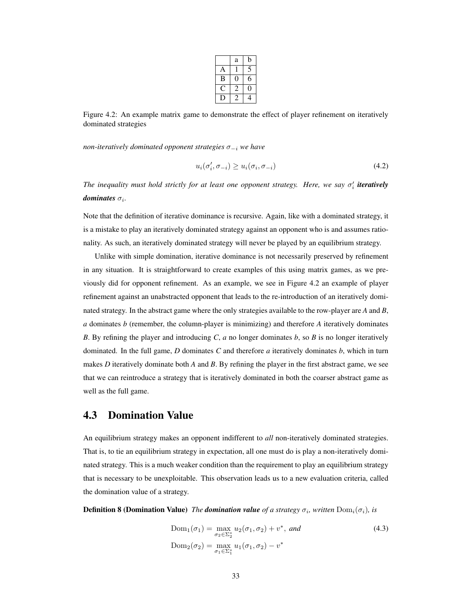|   | a | b |
|---|---|---|
| Δ |   |   |
| В |   | 6 |
|   | 2 | 1 |
|   |   |   |

Figure 4.2: An example matrix game to demonstrate the effect of player refinement on iteratively dominated strategies

*non-iteratively dominated opponent strategies* σ−<sup>i</sup> *we have*

$$
u_i(\sigma'_i, \sigma_{-i}) \ge u_i(\sigma_i, \sigma_{-i})
$$
\n(4.2)

*The inequality must hold strictly for at least one opponent strategy. Here, we say*  $\sigma_i'$  *iteratively*  $dominates$   $\sigma_i$ .

Note that the definition of iterative dominance is recursive. Again, like with a dominated strategy, it is a mistake to play an iteratively dominated strategy against an opponent who is and assumes rationality. As such, an iteratively dominated strategy will never be played by an equilibrium strategy.

Unlike with simple domination, iterative dominance is not necessarily preserved by refinement in any situation. It is straightforward to create examples of this using matrix games, as we previously did for opponent refinement. As an example, we see in Figure 4.2 an example of player refinement against an unabstracted opponent that leads to the re-introduction of an iteratively dominated strategy. In the abstract game where the only strategies available to the row-player are *A* and *B*, *a* dominates *b* (remember, the column-player is minimizing) and therefore *A* iteratively dominates *B*. By refining the player and introducing *C*, *a* no longer dominates *b*, so *B* is no longer iteratively dominated. In the full game, *D* dominates *C* and therefore *a* iteratively dominates *b*, which in turn makes *D* iteratively dominate both *A* and *B*. By refining the player in the first abstract game, we see that we can reintroduce a strategy that is iteratively dominated in both the coarser abstract game as well as the full game.

### 4.3 Domination Value

An equilibrium strategy makes an opponent indifferent to *all* non-iteratively dominated strategies. That is, to tie an equilibrium strategy in expectation, all one must do is play a non-iteratively dominated strategy. This is a much weaker condition than the requirement to play an equilibrium strategy that is necessary to be unexploitable. This observation leads us to a new evaluation criteria, called the domination value of a strategy.

**Definition 8 (Domination Value)** *The domination value of a strategy*  $\sigma_i$ , written  $\text{Dom}_i(\sigma_i)$ , is

$$
Dom_1(\sigma_1) = \max_{\sigma_2 \in \Sigma_2^*} u_2(\sigma_1, \sigma_2) + v^*, \text{ and}
$$
  
\n
$$
Dom_2(\sigma_2) = \max_{\sigma_1 \in \Sigma_1^*} u_1(\sigma_1, \sigma_2) - v^*
$$
\n(4.3)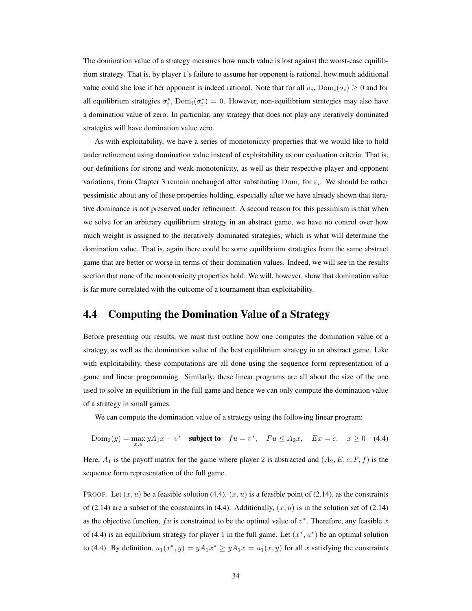The domination value of a strategy measures how much value is lost against the worst-case equilibrium strategy. That is, by player 1's failure to assume her opponent is rational, how much additional value could she lose if her opponent is indeed rational. Note that for all  $\sigma_i$ ,  $\text{Dom}_i(\sigma_i) \geq 0$  and for all equilibrium strategies  $\sigma_i^*$ ,  $\text{Dom}_i(\sigma_i^*) = 0$ . However, non-equilibrium strategies may also have a domination value of zero. In particular, any strategy that does not play any iteratively dominated strategies will have domination value zero.

As with exploitability, we have a series of monotonicity properties that we would like to hold under refinement using domination value instead of exploitability as our evaluation criteria. That is, our definitions for strong and weak monotonicity, as well as their respective player and opponent variations, from Chapter 3 remain unchanged after substituting  $Dom<sub>i</sub>$  for  $\varepsilon<sub>i</sub>$ . We should be rather pessimistic about any of these properties holding, especially after we have already shown that iterative dominance is not preserved under refinement. A second reason for this pessimism is that when we solve for an arbitrary equilibrium strategy in an abstract game, we have no control over how much weight is assigned to the iteratively dominated strategies, which is what will determine the domination value. That is, again there could be some equilibrium strategies from the same abstract game that are better or worse in terms of their domination values. Indeed, we will see in the results section that none of the monotonicity properties hold. We will, however, show that domination value is far more correlated with the outcome of a tournament than exploitability.

## 4.4 Computing the Domination Value of a Strategy

Before presenting our results, we must first outline how one computes the domination value of a strategy, as well as the domination value of the best equilibrium strategy in an abstract game. Like with exploitability, these computations are all done using the sequence form representation of a game and linear programming. Similarly, these linear programs are all about the size of the one used to solve an equilibrium in the full game and hence we can only compute the domination value of a strategy in small games.

We can compute the domination value of a strategy using the following linear program:

$$
Dom_2(y) = \max_{x,u} yA_1x - v^* \quad \text{subject to} \quad fu = v^*, \quad Fu \le A_2x, \quad Ex = e, \quad x \ge 0 \quad (4.4)
$$

Here,  $A_1$  is the payoff matrix for the game where player 2 is abstracted and  $(A_2, E, e, F, f)$  is the sequence form representation of the full game.

PROOF. Let  $(x, u)$  be a feasible solution (4.4).  $(x, u)$  is a feasible point of (2.14), as the constraints of (2.14) are a subset of the constraints in (4.4). Additionally,  $(x, u)$  is in the solution set of (2.14) as the objective function,  $fu$  is constrained to be the optimal value of  $v^*$ . Therefore, any feasible x of (4.4) is an equilibrium strategy for player 1 in the full game. Let  $(x^*, u^*)$  be an optimal solution to (4.4). By definition,  $u_1(x^*, y) = yA_1x^* \ge yA_1x = u_1(x, y)$  for all x satisfying the constraints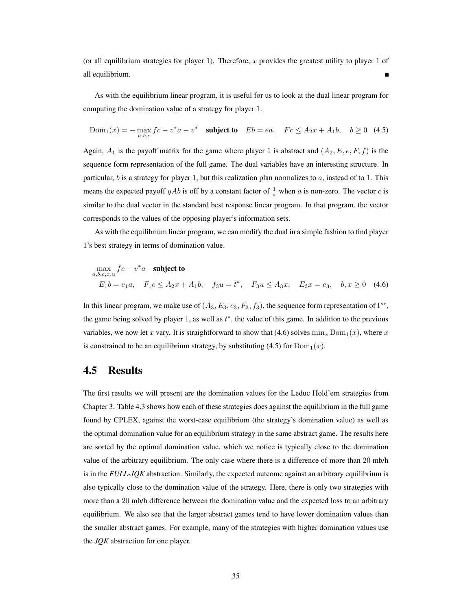(or all equilibrium strategies for player 1). Therefore, x provides the greatest utility to player 1 of all equilibrium.

As with the equilibrium linear program, it is useful for us to look at the dual linear program for computing the domination value of a strategy for player 1.

$$
Dom_1(x) = -\max_{a,b,c} fc - v^*a - v^* \quad \text{subject to} \quad Eb = ea, \quad Fc \le A_2x + A_1b, \quad b \ge 0 \quad (4.5)
$$

Again,  $A_1$  is the payoff matrix for the game where player 1 is abstract and  $(A_2, E, e, F, f)$  is the sequence form representation of the full game. The dual variables have an interesting structure. In particular,  $b$  is a strategy for player 1, but this realization plan normalizes to  $a$ , instead of to 1. This means the expected payoff yAb is off by a constant factor of  $\frac{1}{a}$  when a is non-zero. The vector c is similar to the dual vector in the standard best response linear program. In that program, the vector corresponds to the values of the opposing player's information sets.

As with the equilibrium linear program, we can modify the dual in a simple fashion to find player 1's best strategy in terms of domination value.

$$
\max_{a,b,c,x,u} fc - v^*a \text{ subject to}
$$
  
\n
$$
E_1b = e_1a, \quad F_1c \le A_2x + A_1b, \quad f_3u = t^*, \quad F_3u \le A_3x, \quad E_3x = e_3, \quad b, x \ge 0 \quad (4.6)
$$

In this linear program, we make use of  $(A_3, E_3, e_3, F_3, f_3)$ , the sequence form representation of  $\Gamma^{\alpha}$ , the game being solved by player 1, as well as  $t^*$ , the value of this game. In addition to the previous variables, we now let x vary. It is straightforward to show that (4.6) solves  $\min_{x} \text{Dom}_1(x)$ , where x is constrained to be an equilibrium strategy, by substituting (4.5) for  $Dom<sub>1</sub>(x)$ .

### 4.5 Results

The first results we will present are the domination values for the Leduc Hold'em strategies from Chapter 3. Table 4.3 shows how each of these strategies does against the equilibrium in the full game found by CPLEX, against the worst-case equilibrium (the strategy's domination value) as well as the optimal domination value for an equilibrium strategy in the same abstract game. The results here are sorted by the optimal domination value, which we notice is typically close to the domination value of the arbitrary equilibrium. The only case where there is a difference of more than 20 mb/h is in the *FULL-JQK* abstraction. Similarly, the expected outcome against an arbitrary equilibrium is also typically close to the domination value of the strategy. Here, there is only two strategies with more than a 20 mb/h difference between the domination value and the expected loss to an arbitrary equilibrium. We also see that the larger abstract games tend to have lower domination values than the smaller abstract games. For example, many of the strategies with higher domination values use the *JQK* abstraction for one player.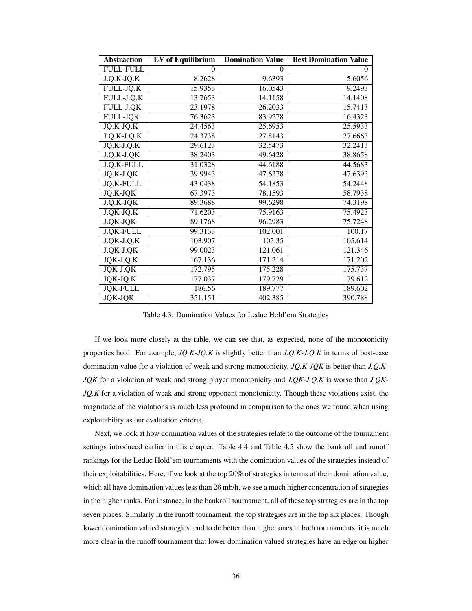| <b>Abstraction</b> | <b>EV</b> of Equilibrium | <b>Domination Value</b> | <b>Best Domination Value</b> |
|--------------------|--------------------------|-------------------------|------------------------------|
| <b>FULL-FULL</b>   | 0                        | $\theta$                | $\theta$                     |
| $J.Q.K-JQ.K$       | 8.2628                   | 9.6393                  | 5.6056                       |
| FULL-JQ.K          | 15.9353                  | 16.0543                 | 9.2493                       |
| FULL-J.Q.K         | 13.7653                  | 14.1158                 | 14.1408                      |
| FULL-J.QK          | 23.1978                  | 26.2033                 | 15.7413                      |
| <b>FULL-JQK</b>    | 76.3623                  | 83.9278                 | 16.4323                      |
| JQ.K-JQ.K          | 24.4563                  | 25.6953                 | 25.5933                      |
| $J.Q.K-J.Q.K$      | 24.3738                  | 27.8143                 | 27.6663                      |
| JQ.K-J.Q.K         | 29.6123                  | 32.5473                 | 32.2413                      |
| $J.Q.K-J.QK$       | 38.2403                  | 49.6428                 | 38.8658                      |
| J.Q.K-FULL         | 31.0328                  | 44.6188                 | 44.5683                      |
| JQ.K-J.QK          | 39.9943                  | 47.6378                 | 47.6393                      |
| <b>JQ.K-FULL</b>   | 43.0438                  | 54.1853                 | 54.2448                      |
| JQ.K-JQK           | 67.3973                  | 78.1593                 | 58.7938                      |
| $J.Q.K-JQK$        | 89.3688                  | 99.6298                 | 74.3198                      |
| J.QK-JQ.K          | 71.6203                  | 75.9163                 | 75.4923                      |
| J.QK-JQK           | 89.1768                  | 96.2983                 | 75.7248                      |
| J.QK-FULL          | 99.3133                  | 102.001                 | 100.17                       |
| $J.QK-J.Q.K$       | 103.907                  | 105.35                  | 105.614                      |
| $J.QK-J.QK$        | 99.0023                  | 121.061                 | 121.346                      |
| $JQK-J.Q.K$        | 167.136                  | 171.214                 | 171.202                      |
| $JQK-J.QK$         | 172.795                  | 175.228                 | 175.737                      |
| JQK-JQ.K           | 177.037                  | 179.729                 | 179.612                      |
| <b>JQK-FULL</b>    | 186.56                   | 189.777                 | 189.602                      |
| <b>JQK-JQK</b>     | 351.151                  | 402.385                 | 390.788                      |

Table 4.3: Domination Values for Leduc Hold'em Strategies

If we look more closely at the table, we can see that, as expected, none of the monotonicity properties hold. For example, *JQ.K-JQ.K* is slightly better than *J.Q.K-J.Q.K* in terms of best-case domination value for a violation of weak and strong monotonicity, *JQ.K-JQK* is better than *J.Q.K-JQK* for a violation of weak and strong player monotonicity and *J.QK-J.Q.K* is worse than *J.QK-JQ.K* for a violation of weak and strong opponent monotonicity. Though these violations exist, the magnitude of the violations is much less profound in comparison to the ones we found when using exploitability as our evaluation criteria.

Next, we look at how domination values of the strategies relate to the outcome of the tournament settings introduced earlier in this chapter. Table 4.4 and Table 4.5 show the bankroll and runoff rankings for the Leduc Hold'em tournaments with the domination values of the strategies instead of their exploitabilities. Here, if we look at the top 20% of strategies in terms of their domination value, which all have domination values less than 26 mb/h, we see a much higher concentration of strategies in the higher ranks. For instance, in the bankroll tournament, all of these top strategies are in the top seven places. Similarly in the runoff tournament, the top strategies are in the top six places. Though lower domination valued strategies tend to do better than higher ones in both tournaments, it is much more clear in the runoff tournament that lower domination valued strategies have an edge on higher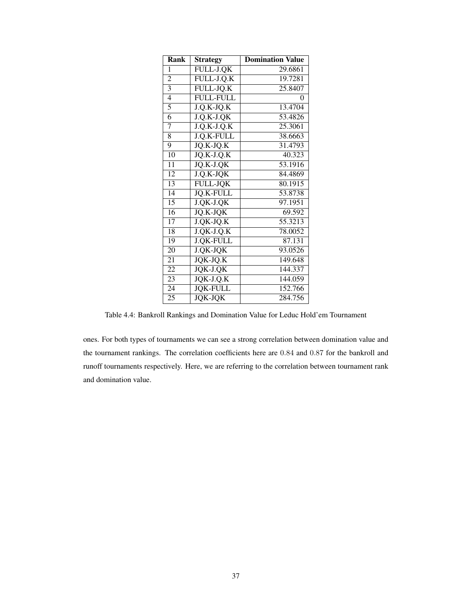| Rank            | <b>Strategy</b>       | <b>Domination Value</b> |
|-----------------|-----------------------|-------------------------|
| 1               | FULL-J.QK             | 29.6861                 |
| $\overline{c}$  | FULL-J.Q.K            | 19.7281                 |
| 3               | FULL-JQ.K             | 25.8407                 |
| $\overline{4}$  | <b>FULL-FULL</b>      | 0                       |
| $\overline{5}$  | $J.Q.K-JQ.K$          | 13.4704                 |
| 6               | $J.Q.K-J.QK$          | 53.4826                 |
| 7               | $J.Q.K-J.Q.K$         | 25.3061                 |
| 8               | J.Q.K-FULL            | 38.6663                 |
| 9               | JQ.K-JQ.K             | 31.4793                 |
| 10              | JQ.K-J.Q.K            | 40.323                  |
| $\overline{11}$ | JQ.K-J.QK             | 53.1916                 |
| $\overline{12}$ | J.Q.K-JQK             | 84.4869                 |
| $\overline{13}$ | <b>FULL-JQK</b>       | 80.1915                 |
| 14              | <b>JQ.K-FULL</b>      | 53.8738                 |
| 15              | J.QK-J.QK             | 97.1951                 |
| $\overline{16}$ | $JQ.K-JQK$            | 69.592                  |
| 17              | J.QK-JQ.K             | 55.3213                 |
| 18              | J.QK-J.Q.K            | 78.0052                 |
| 19              | <b>J.QK-FULL</b>      | 87.131                  |
| 20              | J.QK-JQK              | 93.0526                 |
| 21              | $JQK-JQ.K$            | 149.648                 |
| 22              | $\overline{JQ}K-J.QK$ | 144.337                 |
| 23              | JQK-J.Q.K             | 144.059                 |
| 24              | <b>JQK-FULL</b>       | 152.766                 |
| 25              | <b>JQK-JQK</b>        | 284.756                 |

Table 4.4: Bankroll Rankings and Domination Value for Leduc Hold'em Tournament

ones. For both types of tournaments we can see a strong correlation between domination value and the tournament rankings. The correlation coefficients here are 0.84 and 0.87 for the bankroll and runoff tournaments respectively. Here, we are referring to the correlation between tournament rank and domination value.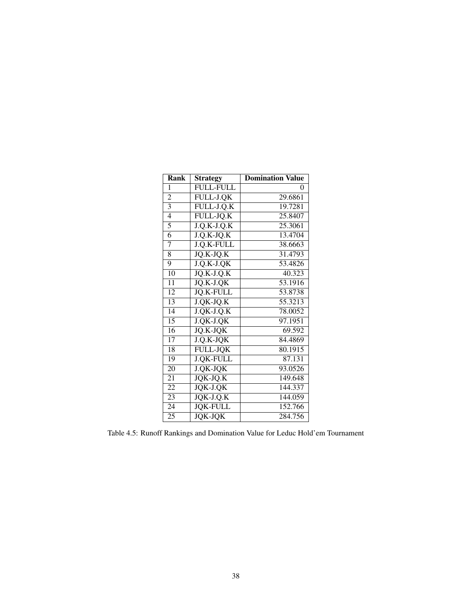| Rank            | <b>Strategy</b>  | Domination Value |
|-----------------|------------------|------------------|
| 1               | <b>FULL-FULL</b> | 0                |
| $\overline{2}$  | FULL-J.QK        | 29.6861          |
| $\overline{3}$  | FULL-J.Q.K       | 19.7281          |
| $\overline{4}$  | FULL-JQ.K        | 25.8407          |
| 5               | $J.Q.K-J.Q.K$    | 25.3061          |
| 6               | $J.Q.K-JQ.K$     | 13.4704          |
| $\overline{7}$  | J.Q.K-FULL       | 38.6663          |
| 8               | JQ.K-JQ.K        | 31.4793          |
| 9               | J.Q.K-J.QK       | 53.4826          |
| $\overline{10}$ | $JQ.K-J.Q.K$     | 40.323           |
| 11              | JQ.K-J.QK        | 53.1916          |
| $\overline{12}$ | <b>JO.K-FULL</b> | 53.8738          |
| 13              | J.QK-JQ.K        | 55.3213          |
| 14              | J.QK-J.Q.K       | 78.0052          |
| $\overline{15}$ | J.QK-J.QK        | 97.1951          |
| $\overline{16}$ | JQ.K-JQK         | 69.592           |
| $\overline{17}$ | J.Q.K-JQK        | 84.4869          |
| $\overline{18}$ | <b>FULL-JQK</b>  | 80.1915          |
| 19              | <b>J.QK-FULL</b> | 87.131           |
| 20              | J.QK-JQK         | 93.0526          |
| 21              | JQK-JQ.K         | 149.648          |
| 22              | JQK-J.QK         | 144.337          |
| 23              | JQK-J.Q.K        | 144.059          |
| 24              | <b>JOK-FULL</b>  | 152.766          |
| 25              | <b>JOK-JOK</b>   | 284.756          |

Table 4.5: Runoff Rankings and Domination Value for Leduc Hold'em Tournament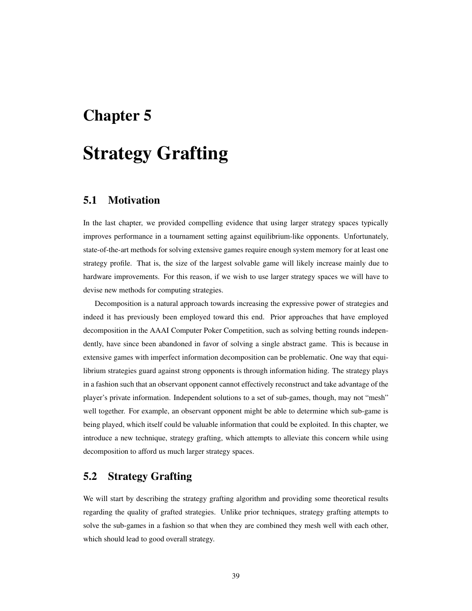## Chapter 5

## Strategy Grafting

## 5.1 Motivation

In the last chapter, we provided compelling evidence that using larger strategy spaces typically improves performance in a tournament setting against equilibrium-like opponents. Unfortunately, state-of-the-art methods for solving extensive games require enough system memory for at least one strategy profile. That is, the size of the largest solvable game will likely increase mainly due to hardware improvements. For this reason, if we wish to use larger strategy spaces we will have to devise new methods for computing strategies.

Decomposition is a natural approach towards increasing the expressive power of strategies and indeed it has previously been employed toward this end. Prior approaches that have employed decomposition in the AAAI Computer Poker Competition, such as solving betting rounds independently, have since been abandoned in favor of solving a single abstract game. This is because in extensive games with imperfect information decomposition can be problematic. One way that equilibrium strategies guard against strong opponents is through information hiding. The strategy plays in a fashion such that an observant opponent cannot effectively reconstruct and take advantage of the player's private information. Independent solutions to a set of sub-games, though, may not "mesh" well together. For example, an observant opponent might be able to determine which sub-game is being played, which itself could be valuable information that could be exploited. In this chapter, we introduce a new technique, strategy grafting, which attempts to alleviate this concern while using decomposition to afford us much larger strategy spaces.

## 5.2 Strategy Grafting

We will start by describing the strategy grafting algorithm and providing some theoretical results regarding the quality of grafted strategies. Unlike prior techniques, strategy grafting attempts to solve the sub-games in a fashion so that when they are combined they mesh well with each other, which should lead to good overall strategy.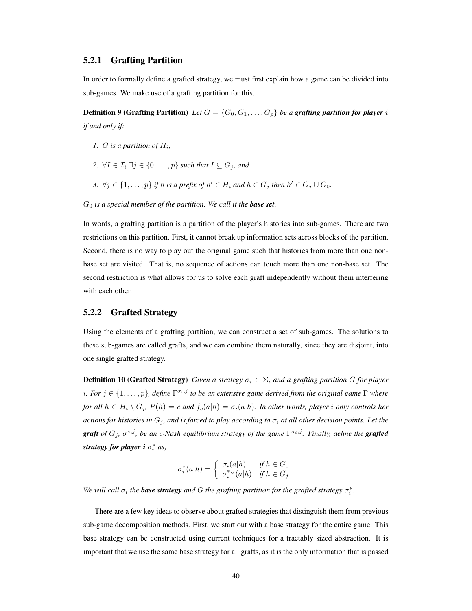#### 5.2.1 Grafting Partition

In order to formally define a grafted strategy, we must first explain how a game can be divided into sub-games. We make use of a grafting partition for this.

**Definition 9 (Grafting Partition)** Let  $G = \{G_0, G_1, \ldots, G_p\}$  be a grafting partition for player i *if and only if:*

- 1. *G* is a partition of  $H_i$ ,
- 2.  $\forall I \in \mathcal{I}_i \exists j \in \{0, \ldots, p\}$  *such that*  $I \subseteq G_j$ *, and*
- 3.  $\forall j \in \{1, \ldots, p\}$  if h is a prefix of  $h' \in H_i$  and  $h \in G_j$  then  $h' \in G_j \cup G_0$ .

 $G_0$  *is a special member of the partition. We call it the base set.* 

In words, a grafting partition is a partition of the player's histories into sub-games. There are two restrictions on this partition. First, it cannot break up information sets across blocks of the partition. Second, there is no way to play out the original game such that histories from more than one nonbase set are visited. That is, no sequence of actions can touch more than one non-base set. The second restriction is what allows for us to solve each graft independently without them interfering with each other.

#### 5.2.2 Grafted Strategy

Using the elements of a grafting partition, we can construct a set of sub-games. The solutions to these sub-games are called grafts, and we can combine them naturally, since they are disjoint, into one single grafted strategy.

**Definition 10 (Grafted Strategy)** *Given a strategy*  $\sigma_i \in \Sigma_i$  *and a grafting partition G for player* i. For  $j \in \{1, \ldots, p\}$ , define  $\Gamma^{\sigma_i, j}$  to be an extensive game derived from the original game  $\Gamma$  where *for all*  $h \in H_i \setminus G_j$ ,  $P(h) = c$  *and*  $f_c(a|h) = \sigma_i(a|h)$ *. In other words, player i only controls her actions for histories in*  $G_j$ *, and is forced to play according to*  $\sigma_i$  *at all other decision points. Let the graft* of  $G_j$ ,  $\sigma^{*,j}$ , be an  $\epsilon$ -Nash equilibrium strategy of the game  $\Gamma^{\sigma_i,j}$ . Finally, define the **grafted** *strategy for player* i σ ∗ i *as,*

$$
\sigma_i^*(a|h) = \begin{cases} \sigma_i(a|h) & \text{if } h \in G_0 \\ \sigma_i^{*,j}(a|h) & \text{if } h \in G_j \end{cases}
$$

We will call  $\sigma_i$  the **base strategy** and G the grafting partition for the grafted strategy  $\sigma_i^*$ .

There are a few key ideas to observe about grafted strategies that distinguish them from previous sub-game decomposition methods. First, we start out with a base strategy for the entire game. This base strategy can be constructed using current techniques for a tractably sized abstraction. It is important that we use the same base strategy for all grafts, as it is the only information that is passed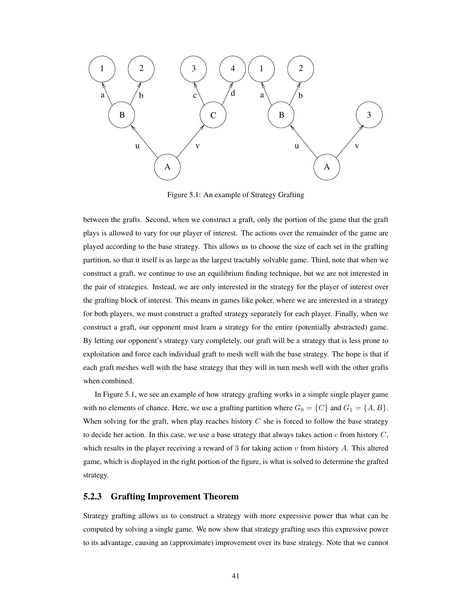

Figure 5.1: An example of Strategy Grafting

between the grafts. Second, when we construct a graft, only the portion of the game that the graft plays is allowed to vary for our player of interest. The actions over the remainder of the game are played according to the base strategy. This allows us to choose the size of each set in the grafting partition, so that it itself is as large as the largest tractably solvable game. Third, note that when we construct a graft, we continue to use an equilibrium finding technique, but we are not interested in the pair of strategies. Instead, we are only interested in the strategy for the player of interest over the grafting block of interest. This means in games like poker, where we are interested in a strategy for both players, we must construct a grafted strategy separately for each player. Finally, when we construct a graft, our opponent must learn a strategy for the entire (potentially abstracted) game. By letting our opponent's strategy vary completely, our graft will be a strategy that is less prone to exploitation and force each individual graft to mesh well with the base strategy. The hope is that if each graft meshes well with the base strategy that they will in turn mesh well with the other grafts when combined.

In Figure 5.1, we see an example of how strategy grafting works in a simple single player game with no elements of chance. Here, we use a grafting partition where  $G_0 = \{C\}$  and  $G_1 = \{A, B\}$ . When solving for the graft, when play reaches history  $C$  she is forced to follow the base strategy to decide her action. In this case, we use a base strategy that always takes action  $c$  from history  $C$ , which results in the player receiving a reward of 3 for taking action  $v$  from history  $A$ . This altered game, which is displayed in the right portion of the figure, is what is solved to determine the grafted strategy.

#### 5.2.3 Grafting Improvement Theorem

Strategy grafting allows us to construct a strategy with more expressive power that what can be computed by solving a single game. We now show that strategy grafting uses this expressive power to its advantage, causing an (approximate) improvement over its base strategy. Note that we cannot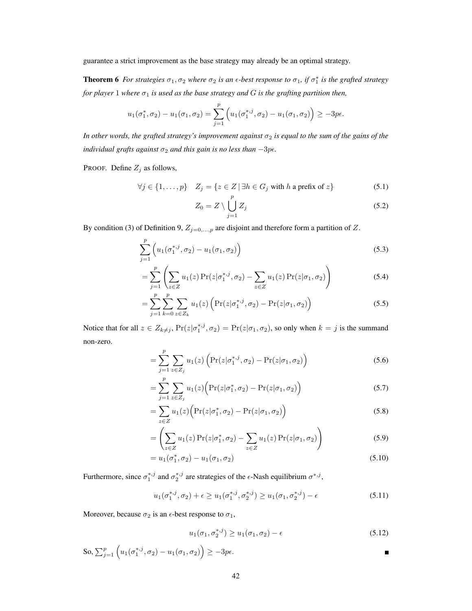guarantee a strict improvement as the base strategy may already be an optimal strategy.

**Theorem 6** For strategies  $\sigma_1, \sigma_2$  where  $\sigma_2$  is an  $\epsilon$ -best response to  $\sigma_1$ , if  $\sigma_1^*$  is the grafted strategy *for player* 1 *where*  $\sigma_1$  *is used as the base strategy and*  $G$  *is the grafting partition then,* 

$$
u_1(\sigma_1^*, \sigma_2) - u_1(\sigma_1, \sigma_2) = \sum_{j=1}^p \left( u_1(\sigma_1^{*,j}, \sigma_2) - u_1(\sigma_1, \sigma_2) \right) \ge -3p\epsilon.
$$

*In other words, the grafted strategy's improvement against*  $\sigma_2$  *is equal to the sum of the gains of the individual grafts against*  $\sigma_2$  *and this gain is no less than*  $-3p\epsilon$ *.* 

PROOF. Define  $Z_j$  as follows,

$$
\forall j \in \{1, \dots, p\} \quad Z_j = \{z \in Z \mid \exists h \in G_j \text{ with } h \text{ a prefix of } z\}
$$
 (5.1)

$$
Z_0 = Z \setminus \bigcup_{j=1}^p Z_j \tag{5.2}
$$

By condition (3) of Definition 9,  $Z_{j=0,...,p}$  are disjoint and therefore form a partition of Z.

$$
\sum_{j=1}^{p} \left( u_1(\sigma_1^{*,j}, \sigma_2) - u_1(\sigma_1, \sigma_2) \right)
$$
\n(5.3)

$$
= \sum_{j=1}^{p} \left( \sum_{z \in Z} u_1(z) \Pr(z | \sigma_1^{*,j}, \sigma_2) - \sum_{z \in Z} u_1(z) \Pr(z | \sigma_1, \sigma_2) \right)
$$
(5.4)

$$
= \sum_{j=1}^{p} \sum_{k=0}^{p} \sum_{z \in Z_k} u_1(z) \left( \Pr(z | \sigma_1^{*,j}, \sigma_2) - \Pr(z | \sigma_1, \sigma_2) \right)
$$
(5.5)

Notice that for all  $z \in Z_{k \neq j}$ ,  $Pr(z | \sigma_1^{*,j}, \sigma_2) = Pr(z | \sigma_1, \sigma_2)$ , so only when  $k = j$  is the summand non-zero.

$$
= \sum_{j=1}^{p} \sum_{z \in Z_j} u_1(z) \left( \Pr(z | \sigma_1^{*,j}, \sigma_2) - \Pr(z | \sigma_1, \sigma_2) \right)
$$
(5.6)

$$
=\sum_{j=1}^{p} \sum_{z \in Z_j} u_1(z) \Big( \Pr(z|\sigma_1^*, \sigma_2) - \Pr(z|\sigma_1, \sigma_2) \Big) \tag{5.7}
$$

$$
=\sum_{z\in Z}u_1(z)\Big(\Pr(z|\sigma_1^*,\sigma_2)-\Pr(z|\sigma_1,\sigma_2)\Big)\tag{5.8}
$$

$$
= \left(\sum_{z \in Z} u_1(z) \Pr(z|\sigma_1^*, \sigma_2) - \sum_{z \in Z} u_1(z) \Pr(z|\sigma_1, \sigma_2)\right)
$$
(5.9)

$$
= u_1(\sigma_1^*, \sigma_2) - u_1(\sigma_1, \sigma_2) \tag{5.10}
$$

Furthermore, since  $\sigma_1^{*,j}$  and  $\sigma_2^{*,j}$  are strategies of the  $\epsilon$ -Nash equilibrium  $\sigma^{*,j}$ ,

$$
u_1(\sigma_1^{*,j}, \sigma_2) + \epsilon \ge u_1(\sigma_1^{*,j}, \sigma_2^{*,j}) \ge u_1(\sigma_1, \sigma_2^{*,j}) - \epsilon
$$
\n(5.11)

Moreover, because  $\sigma_2$  is an  $\epsilon$ -best response to  $\sigma_1$ ,

$$
u_1(\sigma_1, \sigma_2^{*,j}) \ge u_1(\sigma_1, \sigma_2) - \epsilon \tag{5.12}
$$

So, 
$$
\sum_{j=1}^p \left( u_1(\sigma_1^{*,j}, \sigma_2) - u_1(\sigma_1, \sigma_2) \right) \ge -3p\epsilon.
$$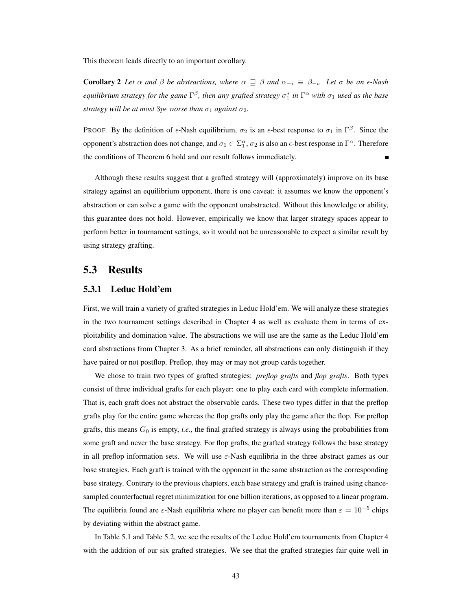This theorem leads directly to an important corollary.

**Corollary 2** Let  $\alpha$  and  $\beta$  be abstractions, where  $\alpha \supseteq \beta$  and  $\alpha_{-i} \equiv \beta_{-i}$ . Let  $\sigma$  be an  $\epsilon$ -Nash *equilibrium strategy for the game*  $\Gamma^{\beta}$ , then any grafted strategy  $\sigma_1^*$  in  $\Gamma^{\alpha}$  with  $\sigma_1$  used as the base *strategy will be at most*  $3p\epsilon$  *worse than*  $\sigma_1$  *against*  $\sigma_2$ *.* 

PROOF. By the definition of  $\epsilon$ -Nash equilibrium,  $\sigma_2$  is an  $\epsilon$ -best response to  $\sigma_1$  in  $\Gamma^{\beta}$ . Since the opponent's abstraction does not change, and  $\sigma_1 \in \Sigma_1^{\alpha}$ ,  $\sigma_2$  is also an  $\epsilon$ -best response in  $\Gamma^{\alpha}$ . Therefore the conditions of Theorem 6 hold and our result follows immediately.

Although these results suggest that a grafted strategy will (approximately) improve on its base strategy against an equilibrium opponent, there is one caveat: it assumes we know the opponent's abstraction or can solve a game with the opponent unabstracted. Without this knowledge or ability, this guarantee does not hold. However, empirically we know that larger strategy spaces appear to perform better in tournament settings, so it would not be unreasonable to expect a similar result by using strategy grafting.

### 5.3 Results

#### 5.3.1 Leduc Hold'em

First, we will train a variety of grafted strategies in Leduc Hold'em. We will analyze these strategies in the two tournament settings described in Chapter 4 as well as evaluate them in terms of exploitability and domination value. The abstractions we will use are the same as the Leduc Hold'em card abstractions from Chapter 3. As a brief reminder, all abstractions can only distinguish if they have paired or not postflop. Preflop, they may or may not group cards together.

We chose to train two types of grafted strategies: *preflop grafts* and *flop grafts*. Both types consist of three individual grafts for each player: one to play each card with complete information. That is, each graft does not abstract the observable cards. These two types differ in that the preflop grafts play for the entire game whereas the flop grafts only play the game after the flop. For preflop grafts, this means  $G_0$  is empty, *i.e.*, the final grafted strategy is always using the probabilities from some graft and never the base strategy. For flop grafts, the grafted strategy follows the base strategy in all preflop information sets. We will use  $\varepsilon$ -Nash equilibria in the three abstract games as our base strategies. Each graft is trained with the opponent in the same abstraction as the corresponding base strategy. Contrary to the previous chapters, each base strategy and graft is trained using chancesampled counterfactual regret minimization for one billion iterations, as opposed to a linear program. The equilibria found are  $\varepsilon$ -Nash equilibria where no player can benefit more than  $\varepsilon = 10^{-5}$  chips by deviating within the abstract game.

In Table 5.1 and Table 5.2, we see the results of the Leduc Hold'em tournaments from Chapter 4 with the addition of our six grafted strategies. We see that the grafted strategies fair quite well in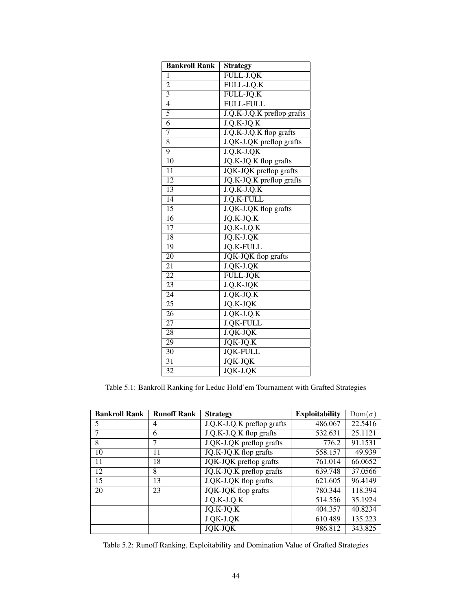| <b>Bankroll Rank</b> | Strategy                   |
|----------------------|----------------------------|
| 1                    | FULL-J.QK                  |
| $\overline{2}$       | FULL-J.Q.K                 |
| $\overline{3}$       | FULL-JQ.K                  |
| $\overline{4}$       | <b>FULL-FULL</b>           |
| $\overline{5}$       | J.Q.K-J.Q.K preflop grafts |
| $\overline{6}$       | $J.Q.K-JQ.K$               |
| 7                    | J.Q.K-J.Q.K flop grafts    |
| 8                    | J.QK-J.QK preflop grafts   |
| 9                    | $J.Q.K-J.QK$               |
| $\overline{10}$      | JQ.K-JQ.K flop grafts      |
| 11                   | JQK-JQK preflop grafts     |
| $\overline{12}$      | JQ.K-JQ.K preflop grafts   |
| $\overline{13}$      | $J.Q.K-J.Q.K$              |
| 14                   | J.Q.K-FULL                 |
| $\overline{15}$      | J.QK-J.QK flop grafts      |
| $\overline{16}$      | $JQ.K-JQ.K$                |
| $\overline{17}$      | $JO.K-J.O.K$               |
| $\overline{18}$      | $JQ.K-J.QK$                |
| $\overline{19}$      | <b>JQ.K-FULL</b>           |
| 20                   | <b>JQK-JQK</b> flop grafts |
| $\overline{21}$      | $J.$ QK- $J.$ QK           |
| $\overline{22}$      | <b>FULL-JOK</b>            |
| $\overline{23}$      | $J.Q.K-JQK$                |
| 24                   | $J.QK-JQ.K$                |
| $\overline{25}$      | <b>JQ.K-JQK</b>            |
| 26                   | $J.QK-J.Q.K$               |
| $\overline{27}$      | J.QK-FULL                  |
| 28                   | J.QK-JQK                   |
| $\overline{29}$      | $JQK-JQ.K$                 |
| $\overline{30}$      | <b>JQK-FULL</b>            |
| 31                   | <b>JQK-JQK</b>             |
| 32                   | JQK-J.QK                   |

Table 5.1: Bankroll Ranking for Leduc Hold'em Tournament with Grafted Strategies

| <b>Bankroll Rank</b> | <b>Runoff Rank</b> | <b>Strategy</b>                     | <b>Exploitability</b> | $Dom(\sigma)$ |
|----------------------|--------------------|-------------------------------------|-----------------------|---------------|
| 5                    | 4                  | J.Q.K-J.Q.K preflop grafts          | 486.067               | 22.5416       |
| 7                    | 6                  | J.Q.K-J.Q.K flop grafts             | 532.631               | 25.1121       |
| 8                    | 7                  | J.QK-J.QK preflop grafts            | 776.2                 | 91.1531       |
| 10                   | 11                 | $\overline{JQ.K}$ -JQ.K flop grafts | 558.157               | 49.939        |
| 11                   | 18                 | JQK-JQK preflop grafts              | 761.014               | 66.0652       |
| 12                   | 8                  | JQ.K-JQ.K preflop grafts            | 639.748               | 37.0566       |
| 15                   | 13                 | J.QK-J.QK flop grafts               | 621.605               | 96.4149       |
| 20                   | 23                 | <b>JQK-JQK</b> flop grafts          | 780.344               | 118.394       |
|                      |                    | $J.Q.K-J.Q.K$                       | 514.556               | 35.1924       |
|                      |                    | JQ.K-JQ.K                           | 404.357               | 40.8234       |
|                      |                    | J.QK-J.QK                           | 610.489               | 135.223       |
|                      |                    | <b>JOK-JOK</b>                      | 986.812               | 343.825       |

Table 5.2: Runoff Ranking, Exploitability and Domination Value of Grafted Strategies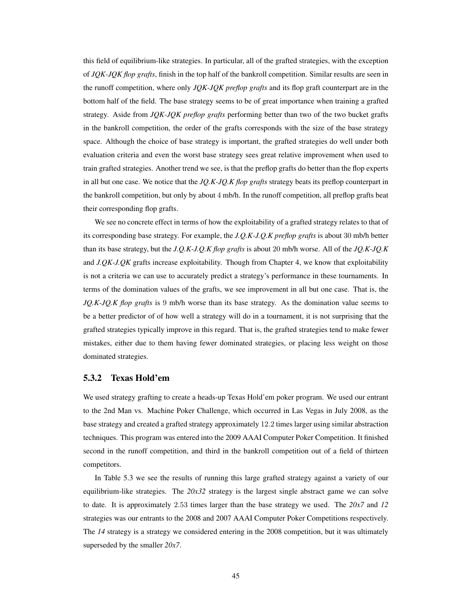this field of equilibrium-like strategies. In particular, all of the grafted strategies, with the exception of *JQK-JQK flop grafts*, finish in the top half of the bankroll competition. Similar results are seen in the runoff competition, where only *JQK-JQK preflop grafts* and its flop graft counterpart are in the bottom half of the field. The base strategy seems to be of great importance when training a grafted strategy. Aside from *JQK-JQK preflop grafts* performing better than two of the two bucket grafts in the bankroll competition, the order of the grafts corresponds with the size of the base strategy space. Although the choice of base strategy is important, the grafted strategies do well under both evaluation criteria and even the worst base strategy sees great relative improvement when used to train grafted strategies. Another trend we see, is that the preflop grafts do better than the flop experts in all but one case. We notice that the *JQ.K-JQ.K flop grafts* strategy beats its preflop counterpart in the bankroll competition, but only by about 4 mb/h. In the runoff competition, all preflop grafts beat their corresponding flop grafts.

We see no concrete effect in terms of how the exploitability of a grafted strategy relates to that of its corresponding base strategy. For example, the *J.Q.K-J.Q.K preflop grafts* is about 30 mb/h better than its base strategy, but the *J.Q.K-J.Q.K flop grafts* is about 20 mb/h worse. All of the *JQ.K-JQ.K* and *J.QK-J.QK* grafts increase exploitability. Though from Chapter 4, we know that exploitability is not a criteria we can use to accurately predict a strategy's performance in these tournaments. In terms of the domination values of the grafts, we see improvement in all but one case. That is, the *JQ.K-JQ.K flop grafts* is 9 mb/h worse than its base strategy. As the domination value seems to be a better predictor of of how well a strategy will do in a tournament, it is not surprising that the grafted strategies typically improve in this regard. That is, the grafted strategies tend to make fewer mistakes, either due to them having fewer dominated strategies, or placing less weight on those dominated strategies.

#### 5.3.2 Texas Hold'em

We used strategy grafting to create a heads-up Texas Hold'em poker program. We used our entrant to the 2nd Man vs. Machine Poker Challenge, which occurred in Las Vegas in July 2008, as the base strategy and created a grafted strategy approximately 12.2 times larger using similar abstraction techniques. This program was entered into the 2009 AAAI Computer Poker Competition. It finished second in the runoff competition, and third in the bankroll competition out of a field of thirteen competitors.

In Table 5.3 we see the results of running this large grafted strategy against a variety of our equilibrium-like strategies. The *20x32* strategy is the largest single abstract game we can solve to date. It is approximately 2.53 times larger than the base strategy we used. The *20x7* and *12* strategies was our entrants to the 2008 and 2007 AAAI Computer Poker Competitions respectively. The *14* strategy is a strategy we considered entering in the 2008 competition, but it was ultimately superseded by the smaller *20x7*.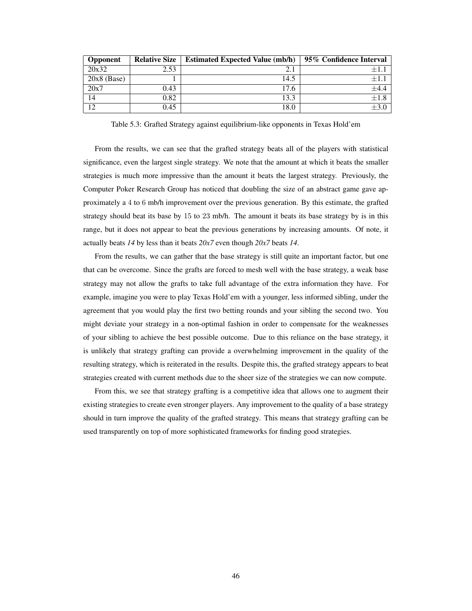| <b>Opponent</b> | <b>Relative Size</b> | <b>Estimated Expected Value (mb/h)</b> | 95% Confidence Interval |
|-----------------|----------------------|----------------------------------------|-------------------------|
| 20x32           | 2.53                 | 2.1                                    | $+1$                    |
| $20x8$ (Base)   |                      | 14.5                                   | $+1$                    |
| 20x7            | 0.43                 | 17.6                                   | $+4.4$                  |
| 14              | 0.82                 | 13.3                                   | $+1.8$                  |
| 12              | 0.45                 | 18.0                                   |                         |

Table 5.3: Grafted Strategy against equilibrium-like opponents in Texas Hold'em

From the results, we can see that the grafted strategy beats all of the players with statistical significance, even the largest single strategy. We note that the amount at which it beats the smaller strategies is much more impressive than the amount it beats the largest strategy. Previously, the Computer Poker Research Group has noticed that doubling the size of an abstract game gave approximately a 4 to 6 mb/h improvement over the previous generation. By this estimate, the grafted strategy should beat its base by 15 to 23 mb/h. The amount it beats its base strategy by is in this range, but it does not appear to beat the previous generations by increasing amounts. Of note, it actually beats *14* by less than it beats *20x7* even though *20x7* beats *14*.

From the results, we can gather that the base strategy is still quite an important factor, but one that can be overcome. Since the grafts are forced to mesh well with the base strategy, a weak base strategy may not allow the grafts to take full advantage of the extra information they have. For example, imagine you were to play Texas Hold'em with a younger, less informed sibling, under the agreement that you would play the first two betting rounds and your sibling the second two. You might deviate your strategy in a non-optimal fashion in order to compensate for the weaknesses of your sibling to achieve the best possible outcome. Due to this reliance on the base strategy, it is unlikely that strategy grafting can provide a overwhelming improvement in the quality of the resulting strategy, which is reiterated in the results. Despite this, the grafted strategy appears to beat strategies created with current methods due to the sheer size of the strategies we can now compute.

From this, we see that strategy grafting is a competitive idea that allows one to augment their existing strategies to create even stronger players. Any improvement to the quality of a base strategy should in turn improve the quality of the grafted strategy. This means that strategy grafting can be used transparently on top of more sophisticated frameworks for finding good strategies.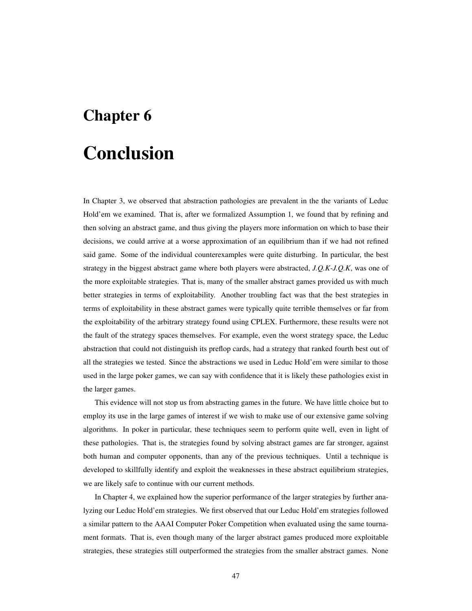## Chapter 6

## Conclusion

In Chapter 3, we observed that abstraction pathologies are prevalent in the the variants of Leduc Hold'em we examined. That is, after we formalized Assumption 1, we found that by refining and then solving an abstract game, and thus giving the players more information on which to base their decisions, we could arrive at a worse approximation of an equilibrium than if we had not refined said game. Some of the individual counterexamples were quite disturbing. In particular, the best strategy in the biggest abstract game where both players were abstracted, *J.Q.K-J.Q.K*, was one of the more exploitable strategies. That is, many of the smaller abstract games provided us with much better strategies in terms of exploitability. Another troubling fact was that the best strategies in terms of exploitability in these abstract games were typically quite terrible themselves or far from the exploitability of the arbitrary strategy found using CPLEX. Furthermore, these results were not the fault of the strategy spaces themselves. For example, even the worst strategy space, the Leduc abstraction that could not distinguish its preflop cards, had a strategy that ranked fourth best out of all the strategies we tested. Since the abstractions we used in Leduc Hold'em were similar to those used in the large poker games, we can say with confidence that it is likely these pathologies exist in the larger games.

This evidence will not stop us from abstracting games in the future. We have little choice but to employ its use in the large games of interest if we wish to make use of our extensive game solving algorithms. In poker in particular, these techniques seem to perform quite well, even in light of these pathologies. That is, the strategies found by solving abstract games are far stronger, against both human and computer opponents, than any of the previous techniques. Until a technique is developed to skillfully identify and exploit the weaknesses in these abstract equilibrium strategies, we are likely safe to continue with our current methods.

In Chapter 4, we explained how the superior performance of the larger strategies by further analyzing our Leduc Hold'em strategies. We first observed that our Leduc Hold'em strategies followed a similar pattern to the AAAI Computer Poker Competition when evaluated using the same tournament formats. That is, even though many of the larger abstract games produced more exploitable strategies, these strategies still outperformed the strategies from the smaller abstract games. None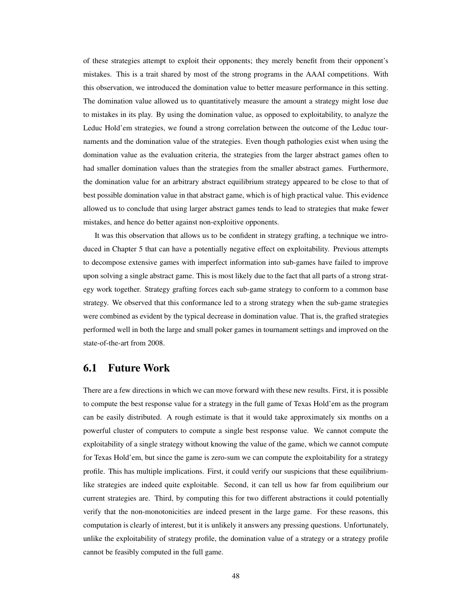of these strategies attempt to exploit their opponents; they merely benefit from their opponent's mistakes. This is a trait shared by most of the strong programs in the AAAI competitions. With this observation, we introduced the domination value to better measure performance in this setting. The domination value allowed us to quantitatively measure the amount a strategy might lose due to mistakes in its play. By using the domination value, as opposed to exploitability, to analyze the Leduc Hold'em strategies, we found a strong correlation between the outcome of the Leduc tournaments and the domination value of the strategies. Even though pathologies exist when using the domination value as the evaluation criteria, the strategies from the larger abstract games often to had smaller domination values than the strategies from the smaller abstract games. Furthermore, the domination value for an arbitrary abstract equilibrium strategy appeared to be close to that of best possible domination value in that abstract game, which is of high practical value. This evidence allowed us to conclude that using larger abstract games tends to lead to strategies that make fewer mistakes, and hence do better against non-exploitive opponents.

It was this observation that allows us to be confident in strategy grafting, a technique we introduced in Chapter 5 that can have a potentially negative effect on exploitability. Previous attempts to decompose extensive games with imperfect information into sub-games have failed to improve upon solving a single abstract game. This is most likely due to the fact that all parts of a strong strategy work together. Strategy grafting forces each sub-game strategy to conform to a common base strategy. We observed that this conformance led to a strong strategy when the sub-game strategies were combined as evident by the typical decrease in domination value. That is, the grafted strategies performed well in both the large and small poker games in tournament settings and improved on the state-of-the-art from 2008.

## 6.1 Future Work

There are a few directions in which we can move forward with these new results. First, it is possible to compute the best response value for a strategy in the full game of Texas Hold'em as the program can be easily distributed. A rough estimate is that it would take approximately six months on a powerful cluster of computers to compute a single best response value. We cannot compute the exploitability of a single strategy without knowing the value of the game, which we cannot compute for Texas Hold'em, but since the game is zero-sum we can compute the exploitability for a strategy profile. This has multiple implications. First, it could verify our suspicions that these equilibriumlike strategies are indeed quite exploitable. Second, it can tell us how far from equilibrium our current strategies are. Third, by computing this for two different abstractions it could potentially verify that the non-monotonicities are indeed present in the large game. For these reasons, this computation is clearly of interest, but it is unlikely it answers any pressing questions. Unfortunately, unlike the exploitability of strategy profile, the domination value of a strategy or a strategy profile cannot be feasibly computed in the full game.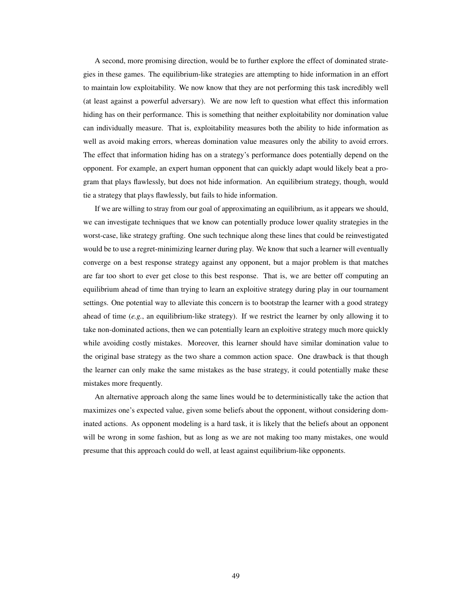A second, more promising direction, would be to further explore the effect of dominated strategies in these games. The equilibrium-like strategies are attempting to hide information in an effort to maintain low exploitability. We now know that they are not performing this task incredibly well (at least against a powerful adversary). We are now left to question what effect this information hiding has on their performance. This is something that neither exploitability nor domination value can individually measure. That is, exploitability measures both the ability to hide information as well as avoid making errors, whereas domination value measures only the ability to avoid errors. The effect that information hiding has on a strategy's performance does potentially depend on the opponent. For example, an expert human opponent that can quickly adapt would likely beat a program that plays flawlessly, but does not hide information. An equilibrium strategy, though, would tie a strategy that plays flawlessly, but fails to hide information.

If we are willing to stray from our goal of approximating an equilibrium, as it appears we should, we can investigate techniques that we know can potentially produce lower quality strategies in the worst-case, like strategy grafting. One such technique along these lines that could be reinvestigated would be to use a regret-minimizing learner during play. We know that such a learner will eventually converge on a best response strategy against any opponent, but a major problem is that matches are far too short to ever get close to this best response. That is, we are better off computing an equilibrium ahead of time than trying to learn an exploitive strategy during play in our tournament settings. One potential way to alleviate this concern is to bootstrap the learner with a good strategy ahead of time (*e.g.*, an equilibrium-like strategy). If we restrict the learner by only allowing it to take non-dominated actions, then we can potentially learn an exploitive strategy much more quickly while avoiding costly mistakes. Moreover, this learner should have similar domination value to the original base strategy as the two share a common action space. One drawback is that though the learner can only make the same mistakes as the base strategy, it could potentially make these mistakes more frequently.

An alternative approach along the same lines would be to deterministically take the action that maximizes one's expected value, given some beliefs about the opponent, without considering dominated actions. As opponent modeling is a hard task, it is likely that the beliefs about an opponent will be wrong in some fashion, but as long as we are not making too many mistakes, one would presume that this approach could do well, at least against equilibrium-like opponents.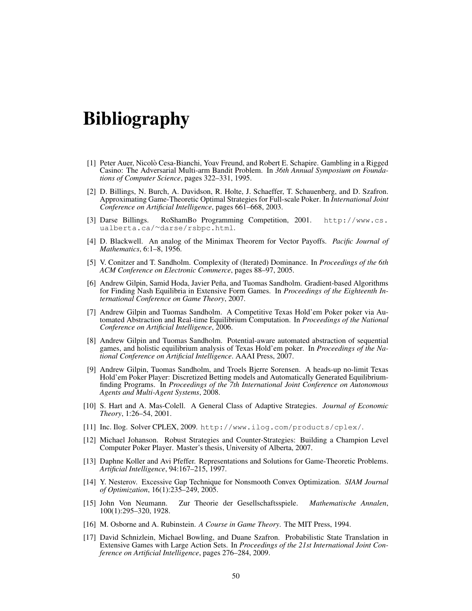## Bibliography

- [1] Peter Auer, Nicolo Cesa-Bianchi, Yoav Freund, and Robert E. Schapire. Gambling in a Rigged ` Casino: The Adversarial Multi-arm Bandit Problem. In *36th Annual Symposium on Foundations of Computer Science*, pages 322–331, 1995.
- [2] D. Billings, N. Burch, A. Davidson, R. Holte, J. Schaeffer, T. Schauenberg, and D. Szafron. Approximating Game-Theoretic Optimal Strategies for Full-scale Poker. In *International Joint Conference on Artificial Intelligence*, pages 661–668, 2003.
- [3] Darse Billings. RoShamBo Programming Competition, 2001. http://www.cs. ualberta.ca/<sup>∼</sup>darse/rsbpc.html.
- [4] D. Blackwell. An analog of the Minimax Theorem for Vector Payoffs. *Pacific Journal of Mathematics*, 6:1–8, 1956.
- [5] V. Conitzer and T. Sandholm. Complexity of (Iterated) Dominance. In *Proceedings of the 6th ACM Conference on Electronic Commerce*, pages 88–97, 2005.
- [6] Andrew Gilpin, Samid Hoda, Javier Peña, and Tuomas Sandholm. Gradient-based Algorithms for Finding Nash Equilibria in Extensive Form Games. In *Proceedings of the Eighteenth International Conference on Game Theory*, 2007.
- [7] Andrew Gilpin and Tuomas Sandholm. A Competitive Texas Hold'em Poker poker via Automated Abstraction and Real-time Equilibrium Computation. In *Proceedings of the National Conference on Artificial Intelligence*, 2006.
- [8] Andrew Gilpin and Tuomas Sandholm. Potential-aware automated abstraction of sequential games, and holistic equilibrium analysis of Texas Hold'em poker. In *Proceedings of the National Conference on Artificial Intelligence*. AAAI Press, 2007.
- [9] Andrew Gilpin, Tuomas Sandholm, and Troels Bjerre Sorensen. A heads-up no-limit Texas Hold'em Poker Player: Discretized Betting models and Automatically Generated Equilibriumfinding Programs. In *Proceedings of the 7th International Joint Conference on Autonomous Agents and Multi-Agent Systems*, 2008.
- [10] S. Hart and A. Mas-Colell. A General Class of Adaptive Strategies. *Journal of Economic Theory*, 1:26–54, 2001.
- [11] Inc. Ilog. Solver CPLEX, 2009. http://www.ilog.com/products/cplex/.
- [12] Michael Johanson. Robust Strategies and Counter-Strategies: Building a Champion Level Computer Poker Player. Master's thesis, University of Alberta, 2007.
- [13] Daphne Koller and Avi Pfeffer. Representations and Solutions for Game-Theoretic Problems. *Artificial Intelligence*, 94:167–215, 1997.
- [14] Y. Nesterov. Excessive Gap Technique for Nonsmooth Convex Optimization. *SIAM Journal of Optimization*, 16(1):235–249, 2005.
- [15] John Von Neumann. Zur Theorie der Gesellschaftsspiele. *Mathematische Annalen*, 100(1):295–320, 1928.
- [16] M. Osborne and A. Rubinstein. *A Course in Game Theory*. The MIT Press, 1994.
- [17] David Schnizlein, Michael Bowling, and Duane Szafron. Probabilistic State Translation in Extensive Games with Large Action Sets. In *Proceedings of the 21st International Joint Conference on Artificial Intelligence*, pages 276–284, 2009.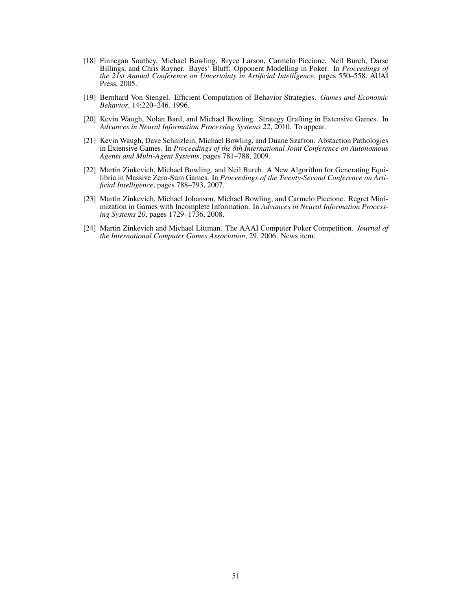- [18] Finnegan Southey, Michael Bowling, Bryce Larson, Carmelo Piccione, Neil Burch, Darse Billings, and Chris Rayner. Bayes' Bluff: Opponent Modelling in Poker. In *Proceedings of the 21st Annual Conference on Uncertainty in Artificial Intelligence*, pages 550–558. AUAI Press, 2005.
- [19] Bernhard Von Stengel. Efficient Computation of Behavior Strategies. *Games and Economic Behavior*, 14:220–246, 1996.
- [20] Kevin Waugh, Nolan Bard, and Michael Bowling. Strategy Grafting in Extensive Games. In *Advances in Neural Information Processing Systems 22*, 2010. To appear.
- [21] Kevin Waugh, Dave Schnizlein, Michael Bowling, and Duane Szafron. Abstaction Pathologies in Extensive Games. In *Proceedings of the 8th International Joint Conference on Autonomous Agents and Multi-Agent Systems*, pages 781–788, 2009.
- [22] Martin Zinkevich, Michael Bowling, and Neil Burch. A New Algorithm for Generating Equilibria in Massive Zero-Sum Games. In *Proceedings of the Twenty-Second Conference on Artificial Intelligence*, pages 788–793, 2007.
- [23] Martin Zinkevich, Michael Johanson, Michael Bowling, and Carmelo Piccione. Regret Minimization in Games with Incomplete Information. In *Advances in Neural Information Processing Systems 20*, pages 1729–1736, 2008.
- [24] Martin Zinkevich and Michael Littman. The AAAI Computer Poker Competition. *Journal of the International Computer Games Association*, 29, 2006. News item.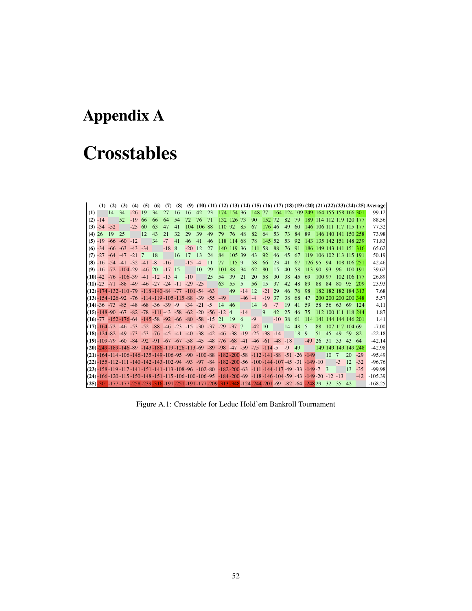# Appendix A

# **Crosstables**

|     | (1)       | (2)                                                                                                                                              | (3) | (4)       | (5) | (6) | (7)      |    |           |               |     |            |        |           |                                            |          |       |       |      |                         |        |                  |                     |             |       | $(8)$ $(9)$ $(10)$ $(11)$ $(12)$ $(13)$ $(14)$ $(15)$ $(16)$ $(17)$ $(18)$ $(19)$ $(20)$ $(21)$ $(22)$ $(23)$ $(24)$ $(25)$ Average |
|-----|-----------|--------------------------------------------------------------------------------------------------------------------------------------------------|-----|-----------|-----|-----|----------|----|-----------|---------------|-----|------------|--------|-----------|--------------------------------------------|----------|-------|-------|------|-------------------------|--------|------------------|---------------------|-------------|-------|-------------------------------------------------------------------------------------------------------------------------------------|
| (1) |           | $ 14\rangle$                                                                                                                                     | 34  | $-26$ 19  |     | 34  | 27       | 16 | 16        | 42            | 23  | 174 154 36 |        |           | 148 77 164 124 109 249 164 155 158 166 301 |          |       |       |      |                         |        |                  |                     |             |       | 99.12l                                                                                                                              |
|     | $(2) -14$ |                                                                                                                                                  | 52  | $-19$     | -66 | -66 | 64       | 54 | 72        | 76            | 71  | 132 126 73 |        |           | 90                                         | 152 72   |       | 82    | 79   | 189 114 112 119 120 177 |        |                  |                     |             |       | 88.56                                                                                                                               |
|     |           | $(3) -34 -52$                                                                                                                                    |     | $-25\,60$ |     | 63  | 47       | 41 |           | 104 106 88    |     | 110 92 85  |        |           | 67                                         | 176 46   |       | 49    | -60  | 146 106 111 117 115 177 |        |                  |                     |             |       | 77.32                                                                                                                               |
| (4) | 26        | 19                                                                                                                                               | 25  |           | 12  | 43  | 21       | 32 | 29        | 39            | 49  | 79         | 76     | 48        | 82                                         | 64       | -53   | 73    | 84   | 89                      |        |                  | 146 140 141 150 258 |             |       | 73.98                                                                                                                               |
|     |           | $(5)$ -19 -66 -60 -12                                                                                                                            |     |           |     | 34  | $-7$     | 41 | 46        | 41            | 46  | 118 114 68 |        |           | 78                                         | 145 52   |       | 53    | 92   | 143 135 142 151 148 239 |        |                  |                     |             |       | 71.83                                                                                                                               |
|     |           | $(6)$ -34 -66 -63 -43 -34                                                                                                                        |     |           |     |     | $-188$   |    | $-20$ 12  |               | 27  | 140 119 36 |        |           | 111 58                                     |          | - 88  | 76 91 |      | 186 149 143 141 151 316 |        |                  |                     |             |       | 65.62                                                                                                                               |
|     |           | $(7)$ -27 -64 -47 -21 7                                                                                                                          |     |           |     | -18 |          | 16 | 17        | 13            | 24  | 84         | 105 39 |           | 43                                         | 92       | 46    | 45    | -67  | 119 106 102 113 115 191 |        |                  |                     |             |       | 50.19                                                                                                                               |
|     |           | $(8) -16 -54 -41 -32 -41 -8$                                                                                                                     |     |           |     |     | $-16$    |    | $-15 - 4$ |               | -11 | 77         | 115 9  |           | 58                                         | -66      | 23    | 41    | -67  | 126 95 94               |        |                  | 108 106 251         |             |       | 42.46                                                                                                                               |
|     |           | $(9) -16 -72 -104 -29 -46$ 20                                                                                                                    |     |           |     |     | $-17$ 15 |    |           | <sup>10</sup> | 29  | 101        | 88     | 34        | 62                                         | 80       | 15    | 40    | 58   | <b>113</b>              | 90     | -93              | 96                  | 100 191     |       | 39.62                                                                                                                               |
|     |           | $(10)$ -42 -76 -106 -39 -41 -12 -13 4                                                                                                            |     |           |     |     |          |    | $-10$     |               | 25  | 54         | 39     | 21        | 20                                         | 58       | 30    | 38    | 45   | 69                      | 100 97 |                  |                     | 102 106 177 |       | 26.89                                                                                                                               |
|     |           | $(11) - 23 - 71 - 88 - 49 - 46 - 27 - 24 - 11 - 29 - 25$                                                                                         |     |           |     |     |          |    |           |               |     | 63         | 55     | -5        | 56                                         | 15       | 37    | 42    | 48   | -89                     |        | 88 84            | 80 95 209           |             |       | 23.93                                                                                                                               |
|     |           | $\frac{1}{12}$ - 174 - 132 - 110 - 79 - 118 - 140 - 84 - 77 - 101 - 54 - 63                                                                      |     |           |     |     |          |    |           |               |     |            | 49     | $-14$     | 12                                         | $-21$ 29 |       | 46    | 76   | -98                     |        |                  | 182 182 182 184 313 |             |       | 7.68                                                                                                                                |
|     |           | $(13)$ -154-126-92 -76 -114-119-105-115-88 -39 -55 -49                                                                                           |     |           |     |     |          |    |           |               |     |            |        | $-46 - 4$ |                                            | $-19$    | -37   | 38    | -68  | 47                      |        |                  | 200 200 200 200 348 |             |       | 5.57                                                                                                                                |
|     |           | $(14) - 36 - 73 - 85 - 48 - 68 - 36 - 39 - 9 - 34 - 21 - 5$ 14 46                                                                                |     |           |     |     |          |    |           |               |     |            |        |           | 14                                         | $-6$     | $-7$  | 19    | 41   | 59                      | 58     | 56 63            |                     | -69         | -124  | 4.11                                                                                                                                |
|     |           | $\frac{1}{15}$ -148 -90 -67 -82 -78 -111 -43 -58 -62 -20 -56 -12 4                                                                               |     |           |     |     |          |    |           |               |     |            |        | $-14$     |                                            | 9        | 42    | 25    | 46   | 75                      |        |                  | 112 100 111 118 244 |             |       | 1.87                                                                                                                                |
|     |           | $(16)$ -77 -152-176-64 -145-58 -92 -66 -80 -58 -15 21 19 6                                                                                       |     |           |     |     |          |    |           |               |     |            |        |           | $-9$                                       |          | $-10$ | -38   | -61  | 114 141 144 144 146 201 |        |                  |                     |             |       | 1.41                                                                                                                                |
|     |           | 1(17) -164 -72 -46 -53 -52 -88 -46 -23 -15 -30 -37 -29 -37 7                                                                                     |     |           |     |     |          |    |           |               |     |            |        |           | $-42 \ 10$                                 |          |       | 14    | 48   | - 5                     | 88     |                  | 107 117 104 69      |             |       | $-7.00$                                                                                                                             |
|     |           | 118 -124 -82 -49 -73 -53 -76 -45 -41 -40 -38 -42 -46 -38 -19 -25 -38 -14                                                                         |     |           |     |     |          |    |           |               |     |            |        |           |                                            |          |       |       | 18 9 |                         | 51     | 45               | 49                  | 59 82       |       | $-22.18$                                                                                                                            |
|     |           | $(19) - 109 - 79 - 60 - 84 - 92 - 91 - 67 - 67 - 58 - 45 - 48 - 76 - 68 - 41 - 46 - 61 - 48 - 18$                                                |     |           |     |     |          |    |           |               |     |            |        |           |                                            |          |       |       |      | $-49$                   | 26     | -31              | 33                  | 43          | -64   | $-42.14$                                                                                                                            |
|     |           | 1200-249-189-146-89 -143-186-119-126-113-69 -89 -98 -47 -59 -75 -114-5 -9 49                                                                     |     |           |     |     |          |    |           |               |     |            |        |           |                                            |          |       |       |      |                         |        |                  | 149 149 149 149 248 |             |       | $-42.98$                                                                                                                            |
|     |           | $(21)$ -164-114-106-146-135-149-106-95-90-100-88-182-200-58-112-141-88-51-26-149                                                                 |     |           |     |     |          |    |           |               |     |            |        |           |                                            |          |       |       |      |                         |        | 10 <sup>10</sup> | $7\phantom{.0}$     | 20          | $-29$ | $-95.49$                                                                                                                            |
|     |           | 149-10, 12- 31- 149-140-142-143-102-94 -93 -97 -84 -182-200-56 -100-144-107-45 -31 -149-10                                                       |     |           |     |     |          |    |           |               |     |            |        |           |                                            |          |       |       |      |                         |        |                  | $-3$                | 12          | $-32$ | $-96.76$                                                                                                                            |
|     |           | $(23)$ -158-119-117-141-151-141-113-108-96 -102-80 -182-200-63 -111-144-117-49-33-149-7 3                                                        |     |           |     |     |          |    |           |               |     |            |        |           |                                            |          |       |       |      |                         |        |                  |                     | $13 - 35$   |       | $-99.98$                                                                                                                            |
|     |           | 13 - 12 - 19 - 149 - 149 - 150 - 148 - 151 - 115 - 106 - 100 - 106 - 107 - 184 - 200 - 69 - 118 - 146 - 104 - 59 - 43 - 149 - 20 - 12 - 13       |     |           |     |     |          |    |           |               |     |            |        |           |                                            |          |       |       |      |                         |        |                  |                     |             | $-42$ | $-105.39$                                                                                                                           |
|     |           | $[(25) - 30] - 177 - 177 - 258 - 239 - 316 - 191 - 251 - 191 - 177 - 209 - 313 - 348 - 124 - 244 - 201 - 69 - 82 - 64 - 248 - 29 - 32 - 35 - 42$ |     |           |     |     |          |    |           |               |     |            |        |           |                                            |          |       |       |      |                         |        |                  |                     |             |       | $-168.25$                                                                                                                           |

Figure A.1: Crosstable for Leduc Hold'em Bankroll Tournament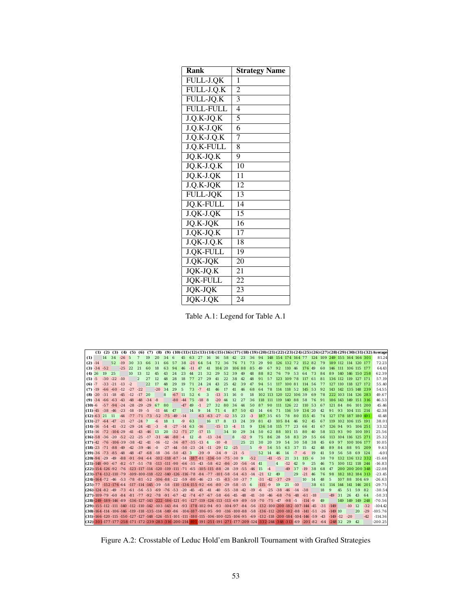| Rank             | <b>Strategy Name</b> |
|------------------|----------------------|
| FULL-J.QK        | 1                    |
| $FULL-J.O.K$     | $\overline{c}$       |
| FULL-JQ.K        | $\overline{3}$       |
| <b>FULL-FULL</b> | $\overline{4}$       |
| $J.O.K-JO.K$     | $\overline{5}$       |
| $J.Q.K-J.QK$     | $\overline{6}$       |
| $J.Q.K-J.Q.K$    | $\overline{7}$       |
| J.Q.K-FULL       | 8                    |
| JQ.K-JQ.K        | 9                    |
| $JQ.K-J.Q.K$     | 10                   |
| JQ.K-J.QK        | $\overline{11}$      |
| J.Q.K-JQK        | 12                   |
| <b>FULL-JOK</b>  | $\overline{1}3$      |
| <b>JO.K-FULL</b> | 14                   |
| J.OK-J.OK        | 15                   |
| JQ.K-JQK         | 16                   |
| $J.$ QK-JQ.K     | $\overline{17}$      |
| $J.QK-J.Q.K$     | 18                   |
| <b>J.QK-FULL</b> | 19                   |
| J.QK-JQK         | 20                   |
| JQK-JQ.K         | 21                   |
| <b>JQK-FULL</b>  | 22                   |
| <b>JOK-JOK</b>   | 23                   |
| JQK-J.QK         | 24                   |

Table A.1: Legend for Table A.1

|           |               |                                                 |                        |            |           |                     |      |                                                      |            |                |          |                                                                                               |           |                |           |                |               |                |          |                                                                                                                                                                                                                                                                                                                                                                            |            |       |                        |            |            |     |       |                     |                     |          |              |                 | $(1)$ $(2)$ $(3)$ $(4)$ $(5)$ $(6)$ $(7)$ $(8)$ $(9)$ $(10)$ $(11)$ $(12)$ $(13)$ $(14)$ $(15)$ $(16)$ $(17)$ $(18)$ $(19)$ $(20)$ $(21)$ $(22)$ $(23)$ $(24)$ $(25)$ $(26)$ $(27)$ $(28)$ $(29)$ $(30)$ $(31)$ $(32)$ Averag |
|-----------|---------------|-------------------------------------------------|------------------------|------------|-----------|---------------------|------|------------------------------------------------------|------------|----------------|----------|-----------------------------------------------------------------------------------------------|-----------|----------------|-----------|----------------|---------------|----------------|----------|----------------------------------------------------------------------------------------------------------------------------------------------------------------------------------------------------------------------------------------------------------------------------------------------------------------------------------------------------------------------------|------------|-------|------------------------|------------|------------|-----|-------|---------------------|---------------------|----------|--------------|-----------------|-------------------------------------------------------------------------------------------------------------------------------------------------------------------------------------------------------------------------------|
| (1)       |               | 14                                              | $34 - 26$              |            | - 5       | 7                   | 19   | 20                                                   | 34         | - 6            |          |                                                                                               |           |                |           |                |               |                |          | 45 63 27 16 16 58 42 23 36 94 148 154 174 164 77 124 109 249 155 164 166 301                                                                                                                                                                                                                                                                                               |            |       |                        |            |            |     |       |                     |                     |          |              |                 | 81.24                                                                                                                                                                                                                         |
|           | $(2) -14$     |                                                 | 52                     | $-19$      | 30        | 33                  | 66   | 31                                                   | 66         | 57             | 38       | $-2164$                                                                                       |           | 54             | 72 36     |                | 76 71         |                | 73       | 29                                                                                                                                                                                                                                                                                                                                                                         |            |       | 90 126 132 72 152 82   |            |            |     | 79    | 189 112 114 120 177 |                     |          |              |                 | 72.23                                                                                                                                                                                                                         |
|           | $(3) -34 -52$ |                                                 |                        | $-25$      | 22.       | 2.1                 | 60   | -18                                                  | 63         | 94             | 46       | $-11$ 47                                                                                      |           | 41             | 104 20    |                | 106 88        |                | 85       | 49                                                                                                                                                                                                                                                                                                                                                                         | 67         | 92    | 110                    | 46         | 176 49     |     | 60    | 146 111             |                     |          | 106 115 177  |                 | 64.43                                                                                                                                                                                                                         |
|           | $(4)$ 26      | 19                                              | 25                     |            | 10        | 13                  | 12   | 45                                                   | 43         | 24             | 23       | 44                                                                                            | 21        | 32             | 29        | 52             | 39            | 49             | 48       | 88                                                                                                                                                                                                                                                                                                                                                                         | 82         | 76    | 79                     | 53         | 64         | 73  | 84    | 89                  | <b>140</b>          |          |              | 146 150 258     | 62.39                                                                                                                                                                                                                         |
| $(5) - 5$ |               |                                                 | $-30$ $-22$ $-10$      |            |           | $\overline{2}$      | 2.7  | 12                                                   | 48         | 28             | 18       | 77                                                                                            | 27        | 29             | 41        | 22             | 38            | 42             | 48       | 91                                                                                                                                                                                                                                                                                                                                                                         | 57         | -123  | 109 78                 |            | 117 61     |     | 81    | 136 112 119 127 171 |                     |          |              |                 | 57.19                                                                                                                                                                                                                         |
| $(6) -7$  |               |                                                 | $-33$ $-21$ $-13$ $-2$ |            |           |                     | 22   | 17                                                   | 48         | 29             | 19       | 71                                                                                            | 24        | 24             | 43        | 25             | 42            | 39             | 47       | 94                                                                                                                                                                                                                                                                                                                                                                         | 51 117     |       | 100 81 114 56          |            |            |     | 77    |                     | 127 110 118 127 172 |          |              |                 | 55.40                                                                                                                                                                                                                         |
|           | $(7) -19$     |                                                 | $-66 - 60 - 12$        |            | $-27 -22$ |                     |      | $-20$                                                | 34         | 29             | 5        | 73                                                                                            | $-7$      | 41             | 46        | 17             | 41            | 46             | 68       | 64                                                                                                                                                                                                                                                                                                                                                                         | 78         | - 114 | 118 52                 |            | 145 53     |     | 92    | 143 142             |                     |          |              | 135 148 239     | 54.55                                                                                                                                                                                                                         |
|           |               | $(8) -20 -31 -18 -45$                           |                        |            | $-12$     | $-17$ 20            |      |                                                      | 8          | $-67$ 11       |          | 52                                                                                            | 6         | 3              | $-13$     | 31             | 16            | $\overline{0}$ | 18       |                                                                                                                                                                                                                                                                                                                                                                            |            |       | 102 113 120 122 106 39 |            |            | 69  | 78    |                     | 222 103 114 126 283 |          |              |                 | 49.67                                                                                                                                                                                                                         |
|           |               | $(9)$ -34 -66 -63 -43 -48                       |                        |            |           | $-48$ $-34$ $-8$    |      |                                                      |            | $-80 - 44$ 75  |          |                                                                                               | $-18$     | -8             | $-20$     | 44             | 12            | 27             | 36       |                                                                                                                                                                                                                                                                                                                                                                            |            |       | 118 111 119 140 88 58  |            |            | -76 | 91    |                     | 186 143 149 151 316 |          |              |                 | 46.53                                                                                                                                                                                                                         |
|           |               |                                                 |                        |            |           |                     |      | $(10) -6 -57 -94 -24 -28 -29 -29 67 80$              |            |                | $-47$ 49 |                                                                                               | $-1$      | 27             | 32        | - 80           | 36            | - 44           | 50       | 87                                                                                                                                                                                                                                                                                                                                                                         | 90 111     |       | 126 22                 |            | 110 53     |     | 67    |                     | 121 84 86 101 200   |          |              |                 | 45.46                                                                                                                                                                                                                         |
|           |               | $(11) -45 -38 -46 -23 -18$                      |                        |            |           | $-19$               | $-5$ | $-11$                                                | 44         | 47             |          | 14                                                                                            | 9         | 14             | 71        | $\overline{4}$ | 87            | -50            | 43       | 14                                                                                                                                                                                                                                                                                                                                                                         | 66         | 71    | 116                    | 59         | 134 20     |     | 42.   | 91                  | 93                  |          | 104 111 214  |                 | 42.38                                                                                                                                                                                                                         |
|           |               | $(12) - 63$ 21 11                               |                        | $-44 - 77$ |           | $-71$ $-73$ $-52$   |      |                                                      | $-75 - 49$ |                | $-14$    |                                                                                               |           | $-63 - 63$     | $-27 -12$ |                | 35            | 23             | $-3$     | 187 35                                                                                                                                                                                                                                                                                                                                                                     |            | 65    | 78                     | 80         | 155 45     |     | 74    | 127                 | 178 187 180 491     |          |              |                 | 41.48                                                                                                                                                                                                                         |
|           |               | $(13) - 27 - 64 - 47 - 21 - 27$                 |                        |            |           | $-24$ 7             |      | $-6$                                                 | 18         | $\mathbf{1}$   | $-9$     | 63                                                                                            |           | 16             | 17        | 8              | 13            | 24             | 39       | 81                                                                                                                                                                                                                                                                                                                                                                         | 43         | 105   | -84                    | 46         | 92         | 45  | 67    | 119                 | 102 106 115 191     |          |              |                 | 38.01                                                                                                                                                                                                                         |
|           |               | $(14) - 16 - 54 - 41 - 32 - 29$                 |                        |            |           | $-24 - 41 - 3$      |      |                                                      | -8         |                |          | $-27 - 14$ 63 $-16$                                                                           |           |                | $-15$     | <sup>13</sup>  | $-4$          | 11             | 9        | 136 58                                                                                                                                                                                                                                                                                                                                                                     |            | 115   | 77                     | 23         | 66         | 41  | 67    | 126                 | 94                  | 95       | 106 251      |                 | 33.12                                                                                                                                                                                                                         |
|           |               | $(15) - 16 - 72 - 104 - 29 - 41 - 43 - 46$      |                        |            |           |                     |      | <sup>13</sup>                                        | 20         | $-32$ $-71$ 27 |          |                                                                                               | $-17$ 15  |                |           | 34             | <sup>10</sup> | 29             | 34       | 50                                                                                                                                                                                                                                                                                                                                                                         | 62         | 88    | 101 15                 |            | 80         | 40  | 58    | 113                 | 93                  | 90       |              | 100 191         | 25.56                                                                                                                                                                                                                         |
|           |               |                                                 |                        |            |           |                     |      | $(16)$ -58 -36 -20 -52 -22 -25 -17 -31 -44 -80 -4 12 |            |                |          |                                                                                               | $-8$      | $-13$          | $-34$     |                | 8             | $-12$          | 9        | 75                                                                                                                                                                                                                                                                                                                                                                         | 86         | 28    | 58                     | 83         | 29         | 55  | 66    | 113                 | 104 116             |          | 125 271      |                 | 25.32                                                                                                                                                                                                                         |
|           |               | $(17) - 42 - 76 - 106 - 39 - 38 - 42 - 41 - 16$ |                        |            |           |                     |      |                                                      |            |                |          | $-12$ $-36$ $-87$ $-35$ $-13$                                                                 |           | $\overline{4}$ | $-10 - 8$ |                |               | 25             | 21       | 30                                                                                                                                                                                                                                                                                                                                                                         | 20         | 39    | 54                     | 30         | 58         | 38  | 45    | 69                  | 97                  |          | 100 106 177  |                 | 10.05                                                                                                                                                                                                                         |
|           |               | $(18) - 23 - 71 - 88 - 49$                      |                        |            |           | $-42 - 39 - 46 - 0$ |      |                                                      |            |                |          | $-27$ $-44$ $-50$ $-23$ $-24$ $-11$                                                           |           |                | $-29$     | 12.            | $-2.5$        |                | 5        | $-9$                                                                                                                                                                                                                                                                                                                                                                       | 56.        | 55    | 63                     | 37         | 15         | 42  | 48    | 89                  | 84                  | 88       | 95           | 209             | 9.63                                                                                                                                                                                                                          |
|           |               | 1(19) 36 - 73 - 85 - 48                         |                        |            | $-48$     |                     |      | $-47$ $-68$ $-18$ $-36$ $-50$ $-43$ 3                |            |                |          |                                                                                               | $-39 - 9$ |                | $-34 - 9$ |                | $-21 - 5$     |                |          | 52                                                                                                                                                                                                                                                                                                                                                                         | 14         | 46    | 14                     | $-7$       | $-6$       | 19  | 41    | 59                  | 56                  | 58       | 69           | -124            | $-4.01$                                                                                                                                                                                                                       |
|           |               | $(20) - 94 - 29 - 49 - 88$                      |                        |            |           |                     |      |                                                      |            |                |          | $-91$ $-94$ $-64$ $-102$ $-118$ $-87$ $-14$ $-187$ $-81$ $-136$ $-50$ $-75$ $-30$ 9           |           |                |           |                |               |                | $-52$    |                                                                                                                                                                                                                                                                                                                                                                            | $-41 - 15$ |       | 21                     | 31         | 115 6      |     | 30    | 70                  |                     |          |              | 132 136 132 332 | $-15.68$                                                                                                                                                                                                                      |
|           |               |                                                 |                        |            |           |                     |      |                                                      |            |                |          | (21) 148 90 67 82 57 51 78 113 111 90 66 35 43 58 62 86 20 56                                 |           |                |           |                |               |                | $-14$ 41 |                                                                                                                                                                                                                                                                                                                                                                            |            | 4     | $-12$                  | 42.        | 9          | 25  | 46    | 75                  | 100 112 118 244     |          |              |                 | $-16.83$                                                                                                                                                                                                                      |
|           |               |                                                 |                        |            |           |                     |      |                                                      |            |                |          |                                                                                               |           |                |           |                |               |                | $-46$    | -15                                                                                                                                                                                                                                                                                                                                                                        | $-4$       |       | $-49$                  | 37         | $-19$      | 38  | 68    | 47                  | 200 200 200 348     |          |              |                 | $-22.08$                                                                                                                                                                                                                      |
|           |               |                                                 |                        |            |           |                     |      |                                                      |            |                |          | $(23)$ -174 -132 -110 -79 -109 -100 -118 -122 -140 -126 -116 -78 -84 -77 -101 -58 -54 -63 -14 |           |                |           |                |               |                |          | $-21$                                                                                                                                                                                                                                                                                                                                                                      | 12         | 49    |                        | 29         | $-2.1$     | 46  | 76    | 98                  | 182 182 184 313     |          |              |                 | $-23.45$                                                                                                                                                                                                                      |
|           |               |                                                 |                        |            |           |                     |      |                                                      |            |                |          | $(24)$ -164-72 -46 -53 -78 -81 -52 -106-88 -22 -59 -80 -46 -23 -15 -83 -30 -37 7              |           |                |           |                |               |                |          | $-31$ $-42$ $-37$ $-29$                                                                                                                                                                                                                                                                                                                                                    |            |       |                        |            | 10         | 14  | 48    | 5                   | 107 88              |          | 104 69       |                 | $-26.63$                                                                                                                                                                                                                      |
|           |               |                                                 |                        |            |           |                     |      |                                                      |            |                |          | $(25)$ -77 -152 -176 -64 -117 -114 -145 -39 -58 -110 -134 -155 -92 -66 -80 -29 -58            |           |                |           |                |               | $-15$          | - 6      | $-115 - 9$                                                                                                                                                                                                                                                                                                                                                                 |            | 19    | 2.1                    | $-10$      |            | 38  | 61    | 114                 | 144                 | 141      | 146          | -201            | $-29.75$                                                                                                                                                                                                                      |
|           |               |                                                 |                        |            |           |                     |      |                                                      |            |                |          | $(26)$ -124-82-49-73-61-56-53-69-76-53-20-45-45-41-40-55-38-42-19                             |           |                |           |                |               |                |          | $-6$                                                                                                                                                                                                                                                                                                                                                                       | $-25 - 38$ |       | $-46$                  | $-14 - 38$ |            |     | 18    | 9                   | 45                  | 51       | 59           | 82              | $-30.54$                                                                                                                                                                                                                      |
|           |               |                                                 |                        |            |           |                     |      |                                                      |            |                |          | $(27)$ -109-79-60-84-81-77-92-78-91-67-42-74-67-67-58-66-45-48                                |           |                |           |                |               |                |          | $-41$ $-30$ $-46$ $-68$                                                                                                                                                                                                                                                                                                                                                    |            |       | $-76$ $-48$            |            | $-61 - 18$ |     |       | $-49$               | 31                  | 26       | 43           | 64              | $-50.31$                                                                                                                                                                                                                      |
|           |               |                                                 |                        |            |           |                     |      |                                                      |            |                |          |                                                                                               |           |                |           |                |               |                |          | (28) 249 -189 -146 -89 -136 -127 -143 -222 -186 -121 -91 -127 -119 -126 -113 -113 -69 -89 -59 -70 -75 -47                                                                                                                                                                                                                                                                  |            |       | $-98$                  | $-5$       | $-114 - 9$ |     | 49    |                     | 149                 | 149      | 149          | 248             | $-70.56$                                                                                                                                                                                                                      |
|           |               |                                                 |                        |            |           |                     |      |                                                      |            |                |          |                                                                                               |           |                |           |                |               |                |          | 142 -103 -104 -105 -107 -144 -145 -107 -142 -103 -143 -143 -84 -93 -178 -102 -94 -93 -104 -97 -84 -56 -132 -100 -200 -182 -107 -144 -45<br>135 - 141 - 164 - 172 - 182 - 183 - 184 - 185 - 196 - 197 - 198 - 198 - 198 - 198 - 198 - 198 - 198 - 198 - 198 - 198 - 198 - 198 - 198 - 198 - 198 - 198 - 198 - 198 - 198 - 198 - 198 - 198 - 198 - 198 - 198 - 198 - 198 - 1 |            |       |                        |            |            |     | $-31$ | $-149$              |                     | $-10$ 12 | $20^{\circ}$ | $-32$<br>$-29$  | $-104.42$<br>$-105.76$                                                                                                                                                                                                        |
|           |               |                                                 |                        |            |           |                     |      |                                                      |            |                |          |                                                                                               |           |                |           |                |               |                |          |                                                                                                                                                                                                                                                                                                                                                                            |            |       |                        |            |            |     |       | $-149$ 10           |                     |          |              | $-42$           |                                                                                                                                                                                                                               |
|           |               |                                                 |                        |            |           |                     |      |                                                      |            |                |          |                                                                                               |           |                |           |                |               |                |          | 148 - 59 - 146 - 149 - 149 - 152 - 152 - 153 - 164 - 164 - 164 - 164 - 164 - 164 - 164 - 164 - 165 - 166 - 167 - 166 - 170 - 170 - 170 - 170 - 170 - 170 - 170 - 170 - 170 - 170 - 170 - 170 - 170 - 170 - 170 - 170 - 170 - 17                                                                                                                                            |            |       |                        |            |            |     |       | $-149 - 12$         |                     | $-20$    |              |                 | $-114.36$                                                                                                                                                                                                                     |
|           |               |                                                 |                        |            |           |                     |      |                                                      |            |                |          |                                                                                               |           |                |           |                |               |                |          | IC32)-301-177-177-258-171-172-239-283-316-200-214-491-191-251-191-271-177-209-124-332-244-348-313-69-201-82-64-24832                                                                                                                                                                                                                                                       |            |       |                        |            |            |     |       |                     |                     | 29       | 42           |                 | $-200.25$                                                                                                                                                                                                                     |

Figure A.2: Crosstable of Leduc Hold'em Bankroll Tournament with Grafted Strategies